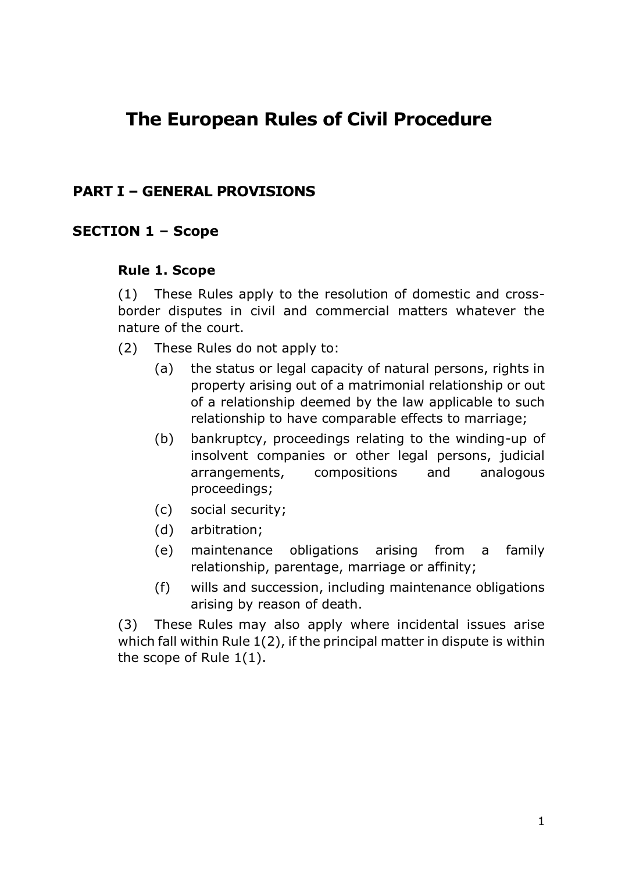# **The European Rules of Civil Procedure**

# **PART I – GENERAL PROVISIONS**

### **SECTION 1 – Scope**

#### **Rule 1. Scope**

(1) These Rules apply to the resolution of domestic and crossborder disputes in civil and commercial matters whatever the nature of the court.

- (2) These Rules do not apply to:
	- (a) the status or legal capacity of natural persons, rights in property arising out of a matrimonial relationship or out of a relationship deemed by the law applicable to such relationship to have comparable effects to marriage;
	- (b) bankruptcy, proceedings relating to the winding-up of insolvent companies or other legal persons, judicial arrangements, compositions and analogous proceedings;
	- (c) social security;
	- (d) arbitration;
	- (e) maintenance obligations arising from a family relationship, parentage, marriage or affinity;
	- (f) wills and succession, including maintenance obligations arising by reason of death.

(3) These Rules may also apply where incidental issues arise which fall within Rule 1(2), if the principal matter in dispute is within the scope of Rule 1(1).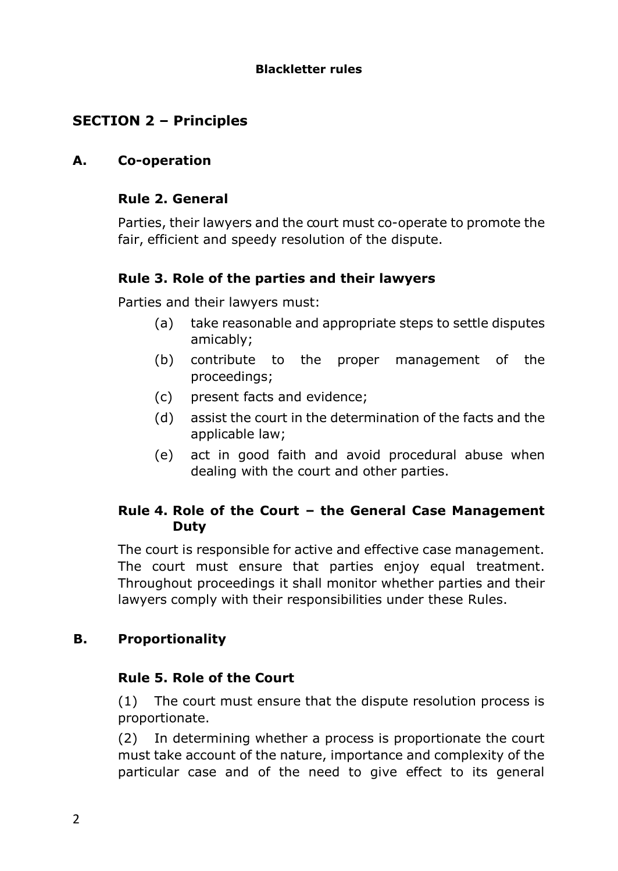### **Blackletter rules**

# **SECTION 2 – Principles**

### **A. Co-operation**

### **Rule 2. General**

Parties, their lawyers and the court must co-operate to promote the fair, efficient and speedy resolution of the dispute.

# **Rule 3. Role of the parties and their lawyers**

Parties and their lawyers must:

- (a) take reasonable and appropriate steps to settle disputes amicably;
- (b) contribute to the proper management of the proceedings;
- (c) present facts and evidence;
- (d) assist the court in the determination of the facts and the applicable law;
- (e) act in good faith and avoid procedural abuse when dealing with the court and other parties.

# **Rule 4. Role of the Court – the General Case Management Duty**

The court is responsible for active and effective case management. The court must ensure that parties enjoy equal treatment. Throughout proceedings it shall monitor whether parties and their lawyers comply with their responsibilities under these Rules.

# **B. Proportionality**

### **Rule 5. Role of the Court**

(1) The court must ensure that the dispute resolution process is proportionate.

(2) In determining whether a process is proportionate the court must take account of the nature, importance and complexity of the particular case and of the need to give effect to its general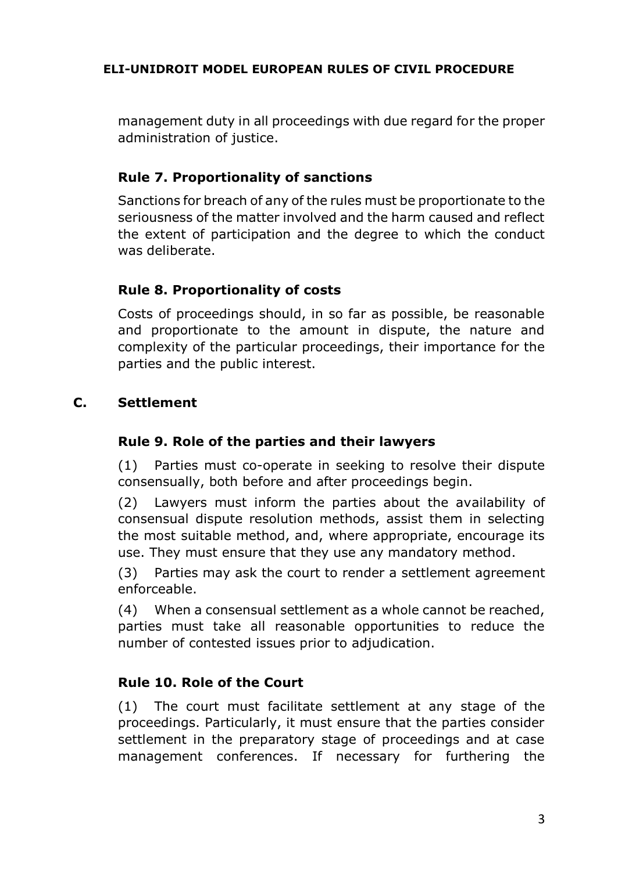management duty in all proceedings with due regard for the proper administration of justice.

# **Rule 7. Proportionality of sanctions**

Sanctions for breach of any of the rules must be proportionate to the seriousness of the matter involved and the harm caused and reflect the extent of participation and the degree to which the conduct was deliberate.

# **Rule 8. Proportionality of costs**

Costs of proceedings should, in so far as possible, be reasonable and proportionate to the amount in dispute, the nature and complexity of the particular proceedings, their importance for the parties and the public interest.

# **C. Settlement**

### **Rule 9. Role of the parties and their lawyers**

(1) Parties must co-operate in seeking to resolve their dispute consensually, both before and after proceedings begin.

(2) Lawyers must inform the parties about the availability of consensual dispute resolution methods, assist them in selecting the most suitable method, and, where appropriate, encourage its use. They must ensure that they use any mandatory method.

(3) Parties may ask the court to render a settlement agreement enforceable.

(4) When a consensual settlement as a whole cannot be reached, parties must take all reasonable opportunities to reduce the number of contested issues prior to adjudication.

### **Rule 10. Role of the Court**

(1) The court must facilitate settlement at any stage of the proceedings. Particularly, it must ensure that the parties consider settlement in the preparatory stage of proceedings and at case management conferences. If necessary for furthering the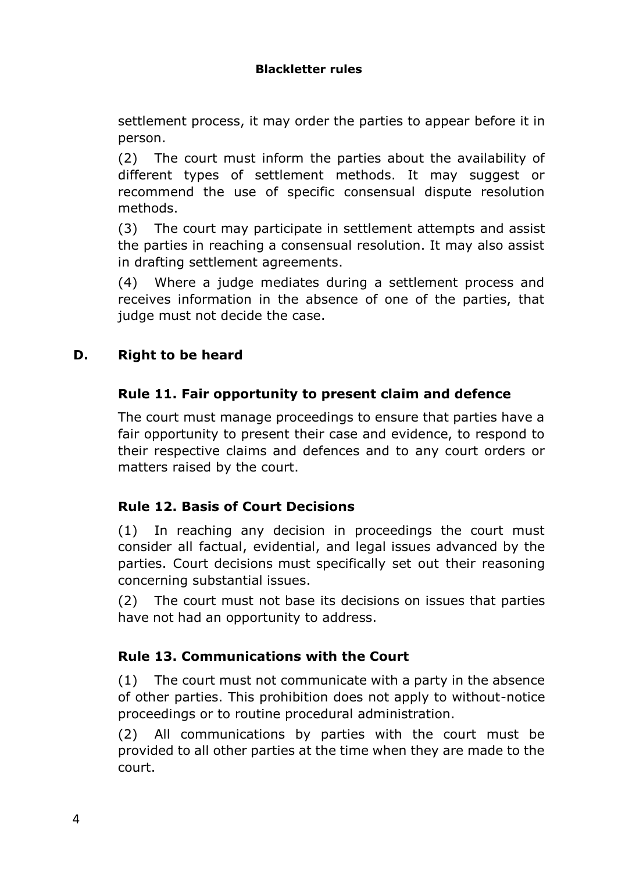settlement process, it may order the parties to appear before it in person.

(2) The court must inform the parties about the availability of different types of settlement methods. It may suggest or recommend the use of specific consensual dispute resolution methods.

(3) The court may participate in settlement attempts and assist the parties in reaching a consensual resolution. It may also assist in drafting settlement agreements.

(4) Where a judge mediates during a settlement process and receives information in the absence of one of the parties, that judge must not decide the case.

# **D. Right to be heard**

# **Rule 11. Fair opportunity to present claim and defence**

The court must manage proceedings to ensure that parties have a fair opportunity to present their case and evidence, to respond to their respective claims and defences and to any court orders or matters raised by the court.

# **Rule 12. Basis of Court Decisions**

(1) In reaching any decision in proceedings the court must consider all factual, evidential, and legal issues advanced by the parties. Court decisions must specifically set out their reasoning concerning substantial issues.

(2) The court must not base its decisions on issues that parties have not had an opportunity to address.

# **Rule 13. Communications with the Court**

(1) The court must not communicate with a party in the absence of other parties. This prohibition does not apply to without-notice proceedings or to routine procedural administration.

(2) All communications by parties with the court must be provided to all other parties at the time when they are made to the court.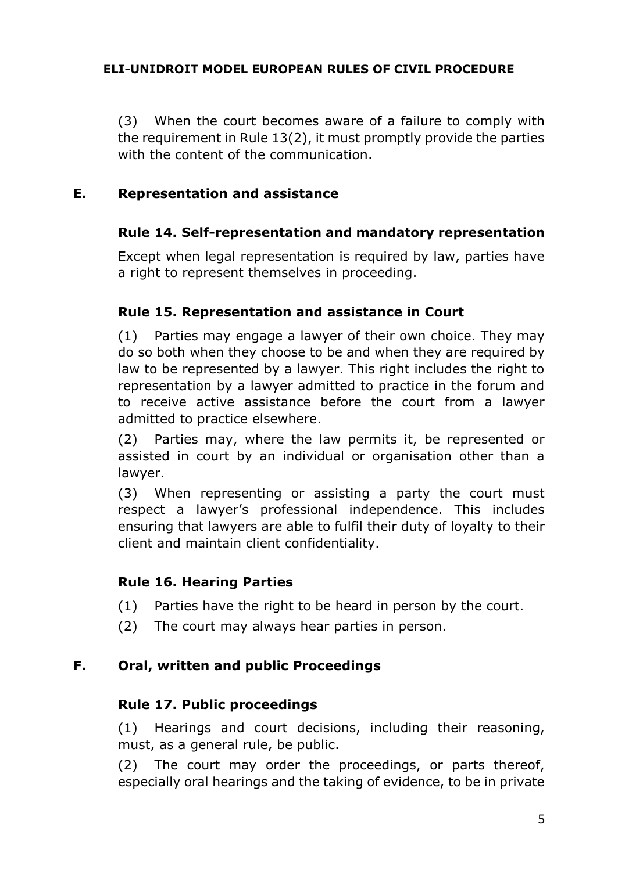(3) When the court becomes aware of a failure to comply with the requirement in Rule 13(2), it must promptly provide the parties with the content of the communication.

### **E. Representation and assistance**

# **Rule 14. Self-representation and mandatory representation**

Except when legal representation is required by law, parties have a right to represent themselves in proceeding.

# **Rule 15. Representation and assistance in Court**

(1) Parties may engage a lawyer of their own choice. They may do so both when they choose to be and when they are required by law to be represented by a lawyer. This right includes the right to representation by a lawyer admitted to practice in the forum and to receive active assistance before the court from a lawyer admitted to practice elsewhere.

(2) Parties may, where the law permits it, be represented or assisted in court by an individual or organisation other than a lawyer.

(3) When representing or assisting a party the court must respect a lawyer's professional independence. This includes ensuring that lawyers are able to fulfil their duty of loyalty to their client and maintain client confidentiality.

### **Rule 16. Hearing Parties**

- (1) Parties have the right to be heard in person by the court.
- (2) The court may always hear parties in person.

# **F. Oral, written and public Proceedings**

### **Rule 17. Public proceedings**

(1) Hearings and court decisions, including their reasoning, must, as a general rule, be public.

(2) The court may order the proceedings, or parts thereof, especially oral hearings and the taking of evidence, to be in private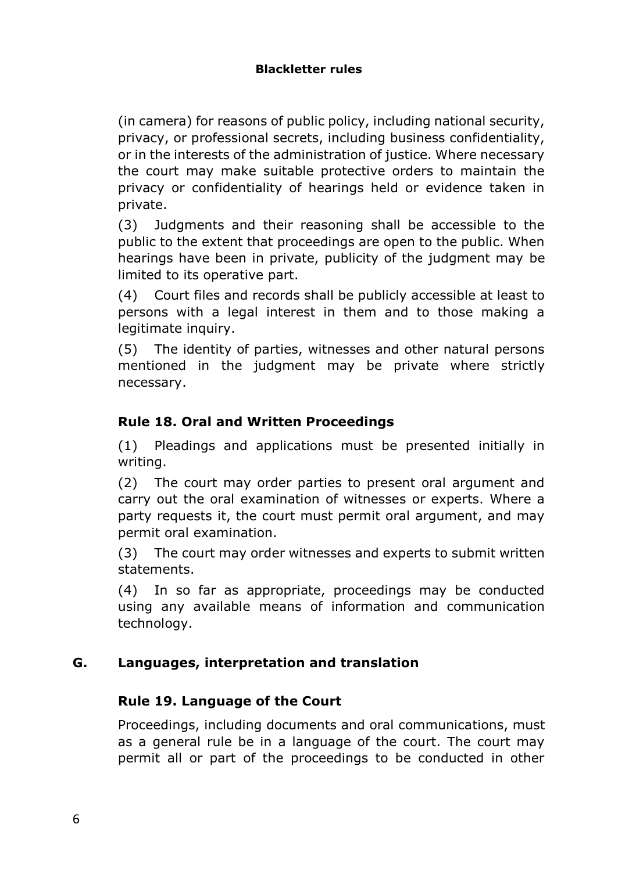(in camera) for reasons of public policy, including national security, privacy, or professional secrets, including business confidentiality, or in the interests of the administration of justice. Where necessary the court may make suitable protective orders to maintain the privacy or confidentiality of hearings held or evidence taken in private.

(3) Judgments and their reasoning shall be accessible to the public to the extent that proceedings are open to the public. When hearings have been in private, publicity of the judgment may be limited to its operative part.

(4) Court files and records shall be publicly accessible at least to persons with a legal interest in them and to those making a legitimate inquiry.

(5) The identity of parties, witnesses and other natural persons mentioned in the judgment may be private where strictly necessary.

# **Rule 18. Oral and Written Proceedings**

(1) Pleadings and applications must be presented initially in writing.

(2) The court may order parties to present oral argument and carry out the oral examination of witnesses or experts. Where a party requests it, the court must permit oral argument, and may permit oral examination.

(3) The court may order witnesses and experts to submit written statements.

(4) In so far as appropriate, proceedings may be conducted using any available means of information and communication technology.

### **G. Languages, interpretation and translation**

### **Rule 19. Language of the Court**

Proceedings, including documents and oral communications, must as a general rule be in a language of the court. The court may permit all or part of the proceedings to be conducted in other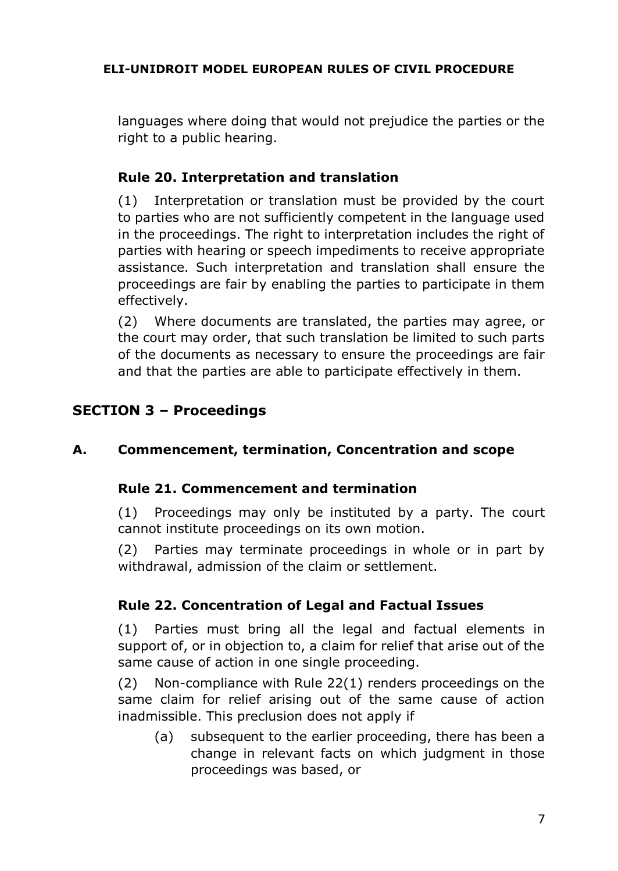languages where doing that would not prejudice the parties or the right to a public hearing.

# **Rule 20. Interpretation and translation**

(1) Interpretation or translation must be provided by the court to parties who are not sufficiently competent in the language used in the proceedings. The right to interpretation includes the right of parties with hearing or speech impediments to receive appropriate assistance. Such interpretation and translation shall ensure the proceedings are fair by enabling the parties to participate in them effectively.

(2) Where documents are translated, the parties may agree, or the court may order, that such translation be limited to such parts of the documents as necessary to ensure the proceedings are fair and that the parties are able to participate effectively in them.

# **SECTION 3 – Proceedings**

# **A. Commencement, termination, Concentration and scope**

### **Rule 21. Commencement and termination**

(1) Proceedings may only be instituted by a party. The court cannot institute proceedings on its own motion.

(2) Parties may terminate proceedings in whole or in part by withdrawal, admission of the claim or settlement.

# **Rule 22. Concentration of Legal and Factual Issues**

(1) Parties must bring all the legal and factual elements in support of, or in objection to, a claim for relief that arise out of the same cause of action in one single proceeding.

(2) Non-compliance with Rule 22(1) renders proceedings on the same claim for relief arising out of the same cause of action inadmissible. This preclusion does not apply if

(a) subsequent to the earlier proceeding, there has been a change in relevant facts on which judgment in those proceedings was based, or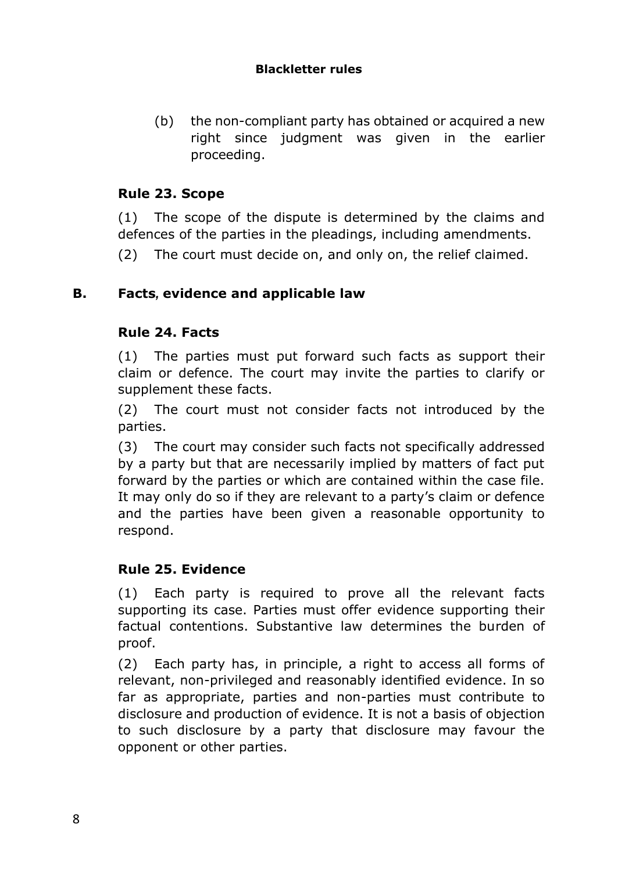### **Blackletter rules**

(b) the non-compliant party has obtained or acquired a new right since judgment was given in the earlier proceeding.

# **Rule 23. Scope**

(1) The scope of the dispute is determined by the claims and defences of the parties in the pleadings, including amendments.

(2) The court must decide on, and only on, the relief claimed.

# **B. Facts***,* **evidence and applicable law**

# **Rule 24. Facts**

(1) The parties must put forward such facts as support their claim or defence. The court may invite the parties to clarify or supplement these facts.

(2) The court must not consider facts not introduced by the parties.

(3) The court may consider such facts not specifically addressed by a party but that are necessarily implied by matters of fact put forward by the parties or which are contained within the case file. It may only do so if they are relevant to a party's claim or defence and the parties have been given a reasonable opportunity to respond.

### **Rule 25. Evidence**

(1) Each party is required to prove all the relevant facts supporting its case. Parties must offer evidence supporting their factual contentions. Substantive law determines the burden of proof.

(2) Each party has, in principle, a right to access all forms of relevant, non-privileged and reasonably identified evidence. In so far as appropriate, parties and non-parties must contribute to disclosure and production of evidence. It is not a basis of objection to such disclosure by a party that disclosure may favour the opponent or other parties.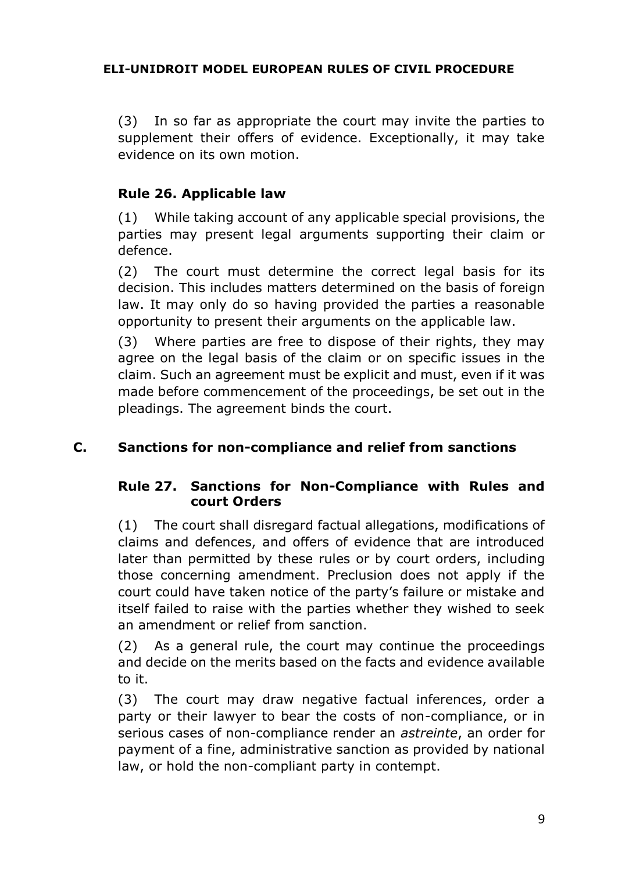(3) In so far as appropriate the court may invite the parties to supplement their offers of evidence. Exceptionally, it may take evidence on its own motion.

# **Rule 26. Applicable law**

(1) While taking account of any applicable special provisions, the parties may present legal arguments supporting their claim or defence.

(2) The court must determine the correct legal basis for its decision. This includes matters determined on the basis of foreign law. It may only do so having provided the parties a reasonable opportunity to present their arguments on the applicable law.

(3) Where parties are free to dispose of their rights, they may agree on the legal basis of the claim or on specific issues in the claim. Such an agreement must be explicit and must, even if it was made before commencement of the proceedings, be set out in the pleadings. The agreement binds the court.

### **C. Sanctions for non-compliance and relief from sanctions**

### **Rule 27. Sanctions for Non-Compliance with Rules and court Orders**

(1) The court shall disregard factual allegations, modifications of claims and defences, and offers of evidence that are introduced later than permitted by these rules or by court orders, including those concerning amendment. Preclusion does not apply if the court could have taken notice of the party's failure or mistake and itself failed to raise with the parties whether they wished to seek an amendment or relief from sanction.

(2) As a general rule, the court may continue the proceedings and decide on the merits based on the facts and evidence available to it.

(3) The court may draw negative factual inferences, order a party or their lawyer to bear the costs of non-compliance, or in serious cases of non-compliance render an *astreinte*, an order for payment of a fine, administrative sanction as provided by national law, or hold the non-compliant party in contempt.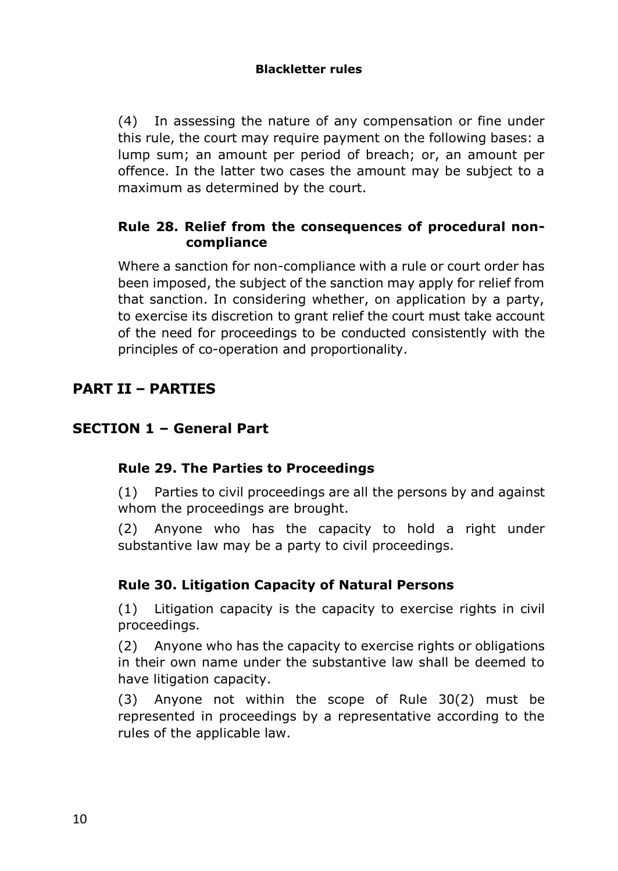### **Blackletter rules**

(4) In assessing the nature of any compensation or fine under this rule, the court may require payment on the following bases: a lump sum; an amount per period of breach; or, an amount per offence. In the latter two cases the amount may be subject to a maximum as determined by the court.

### **Rule 28. Relief from the consequences of procedural noncompliance**

Where a sanction for non-compliance with a rule or court order has been imposed, the subject of the sanction may apply for relief from that sanction. In considering whether, on application by a party, to exercise its discretion to grant relief the court must take account of the need for proceedings to be conducted consistently with the principles of co-operation and proportionality.

# **PART II – PARTIES**

# **SECTION 1 – General Part**

### **Rule 29. The Parties to Proceedings**

(1) Parties to civil proceedings are all the persons by and against whom the proceedings are brought.

(2) Anyone who has the capacity to hold a right under substantive law may be a party to civil proceedings.

### **Rule 30. Litigation Capacity of Natural Persons**

(1) Litigation capacity is the capacity to exercise rights in civil proceedings.

(2) Anyone who has the capacity to exercise rights or obligations in their own name under the substantive law shall be deemed to have litigation capacity.

(3) Anyone not within the scope of Rule 30(2) must be represented in proceedings by a representative according to the rules of the applicable law.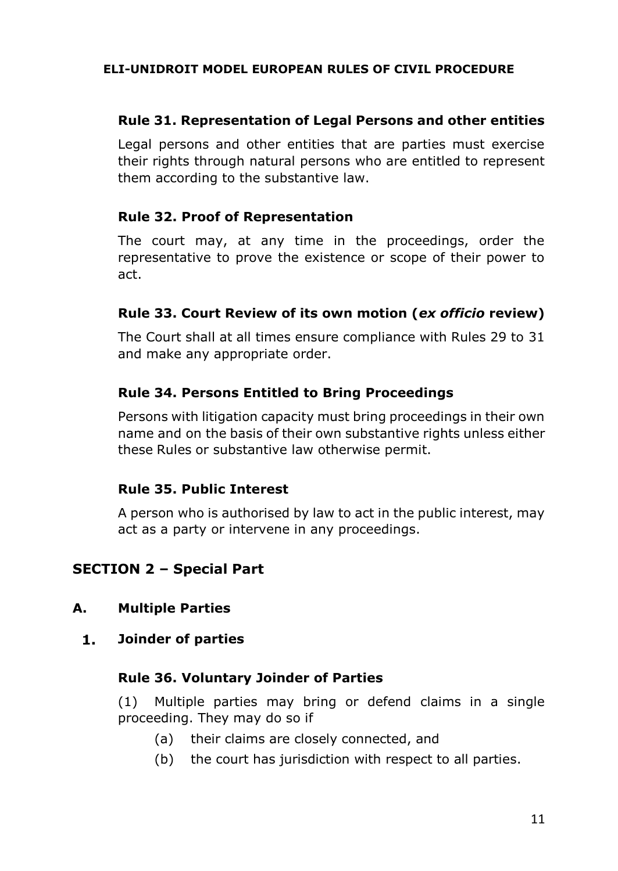### **Rule 31. Representation of Legal Persons and other entities**

Legal persons and other entities that are parties must exercise their rights through natural persons who are entitled to represent them according to the substantive law.

### **Rule 32. Proof of Representation**

The court may, at any time in the proceedings, order the representative to prove the existence or scope of their power to act.

### **Rule 33. Court Review of its own motion (***ex officio* **review)**

The Court shall at all times ensure compliance with Rules 29 to 31 and make any appropriate order.

### **Rule 34. Persons Entitled to Bring Proceedings**

Persons with litigation capacity must bring proceedings in their own name and on the basis of their own substantive rights unless either these Rules or substantive law otherwise permit.

#### **Rule 35. Public Interest**

A person who is authorised by law to act in the public interest, may act as a party or intervene in any proceedings.

# **SECTION 2 – Special Part**

#### **A. Multiple Parties**

 $1.$ **Joinder of parties**

#### **Rule 36. Voluntary Joinder of Parties**

(1) Multiple parties may bring or defend claims in a single proceeding. They may do so if

- (a) their claims are closely connected, and
- (b) the court has jurisdiction with respect to all parties.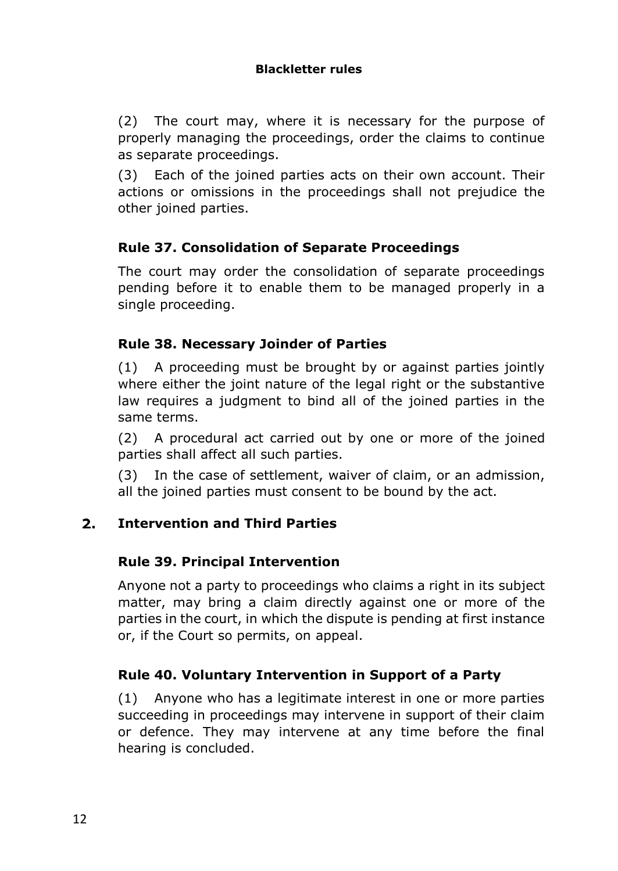### **Blackletter rules**

(2) The court may, where it is necessary for the purpose of properly managing the proceedings, order the claims to continue as separate proceedings.

(3) Each of the joined parties acts on their own account. Their actions or omissions in the proceedings shall not prejudice the other joined parties.

# **Rule 37. Consolidation of Separate Proceedings**

The court may order the consolidation of separate proceedings pending before it to enable them to be managed properly in a single proceeding.

### **Rule 38. Necessary Joinder of Parties**

(1) A proceeding must be brought by or against parties jointly where either the joint nature of the legal right or the substantive law requires a judgment to bind all of the joined parties in the same terms.

(2) A procedural act carried out by one or more of the joined parties shall affect all such parties.

(3) In the case of settlement, waiver of claim, or an admission, all the joined parties must consent to be bound by the act.

#### $2.$ **Intervention and Third Parties**

### **Rule 39. Principal Intervention**

Anyone not a party to proceedings who claims a right in its subject matter, may bring a claim directly against one or more of the parties in the court, in which the dispute is pending at first instance or, if the Court so permits, on appeal.

### **Rule 40. Voluntary Intervention in Support of a Party**

(1) Anyone who has a legitimate interest in one or more parties succeeding in proceedings may intervene in support of their claim or defence. They may intervene at any time before the final hearing is concluded.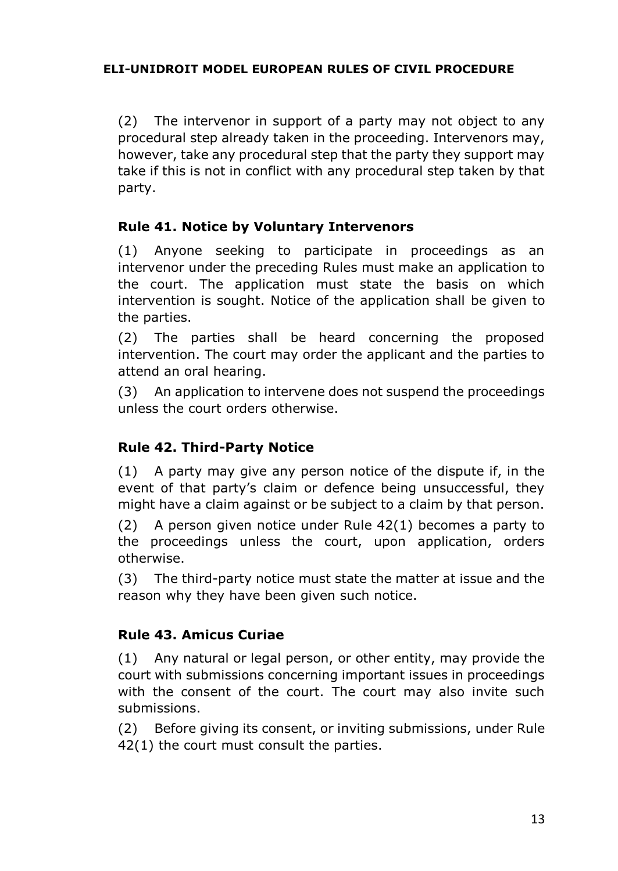(2) The intervenor in support of a party may not object to any procedural step already taken in the proceeding. Intervenors may, however, take any procedural step that the party they support may take if this is not in conflict with any procedural step taken by that party.

# **Rule 41. Notice by Voluntary Intervenors**

(1) Anyone seeking to participate in proceedings as an intervenor under the preceding Rules must make an application to the court. The application must state the basis on which intervention is sought. Notice of the application shall be given to the parties.

(2) The parties shall be heard concerning the proposed intervention. The court may order the applicant and the parties to attend an oral hearing.

(3) An application to intervene does not suspend the proceedings unless the court orders otherwise.

### **Rule 42. Third-Party Notice**

(1) A party may give any person notice of the dispute if, in the event of that party's claim or defence being unsuccessful, they might have a claim against or be subject to a claim by that person.

(2) A person given notice under Rule 42(1) becomes a party to the proceedings unless the court, upon application, orders otherwise.

(3) The third-party notice must state the matter at issue and the reason why they have been given such notice.

# **Rule 43. Amicus Curiae**

(1) Any natural or legal person, or other entity, may provide the court with submissions concerning important issues in proceedings with the consent of the court. The court may also invite such submissions.

(2) Before giving its consent, or inviting submissions, under Rule 42(1) the court must consult the parties.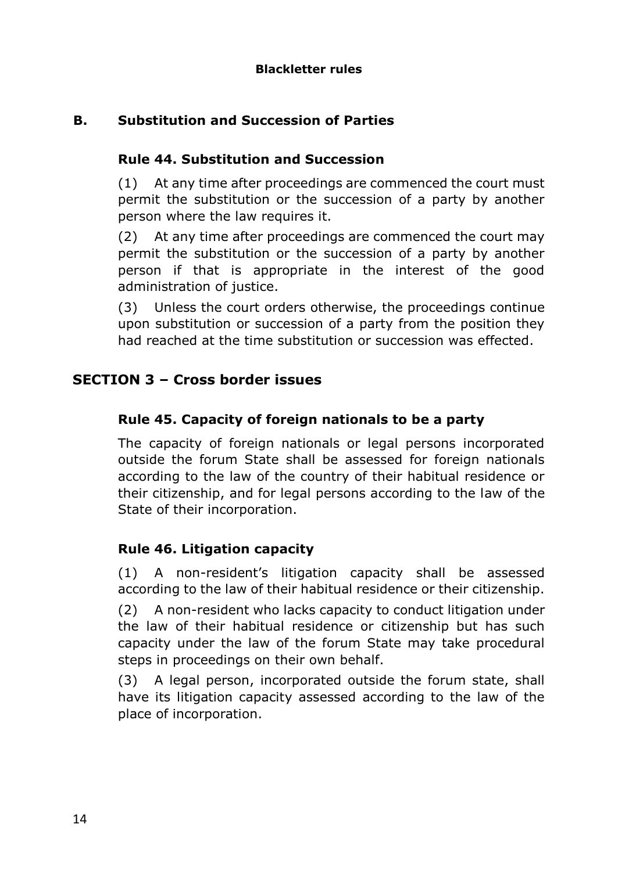# **B. Substitution and Succession of Parties**

# **Rule 44. Substitution and Succession**

(1) At any time after proceedings are commenced the court must permit the substitution or the succession of a party by another person where the law requires it.

(2) At any time after proceedings are commenced the court may permit the substitution or the succession of a party by another person if that is appropriate in the interest of the good administration of justice.

(3) Unless the court orders otherwise, the proceedings continue upon substitution or succession of a party from the position they had reached at the time substitution or succession was effected.

# **SECTION 3 – Cross border issues**

# **Rule 45. Capacity of foreign nationals to be a party**

The capacity of foreign nationals or legal persons incorporated outside the forum State shall be assessed for foreign nationals according to the law of the country of their habitual residence or their citizenship, and for legal persons according to the law of the State of their incorporation.

### **Rule 46. Litigation capacity**

(1) A non-resident's litigation capacity shall be assessed according to the law of their habitual residence or their citizenship.

(2) A non-resident who lacks capacity to conduct litigation under the law of their habitual residence or citizenship but has such capacity under the law of the forum State may take procedural steps in proceedings on their own behalf.

(3) A legal person, incorporated outside the forum state, shall have its litigation capacity assessed according to the law of the place of incorporation.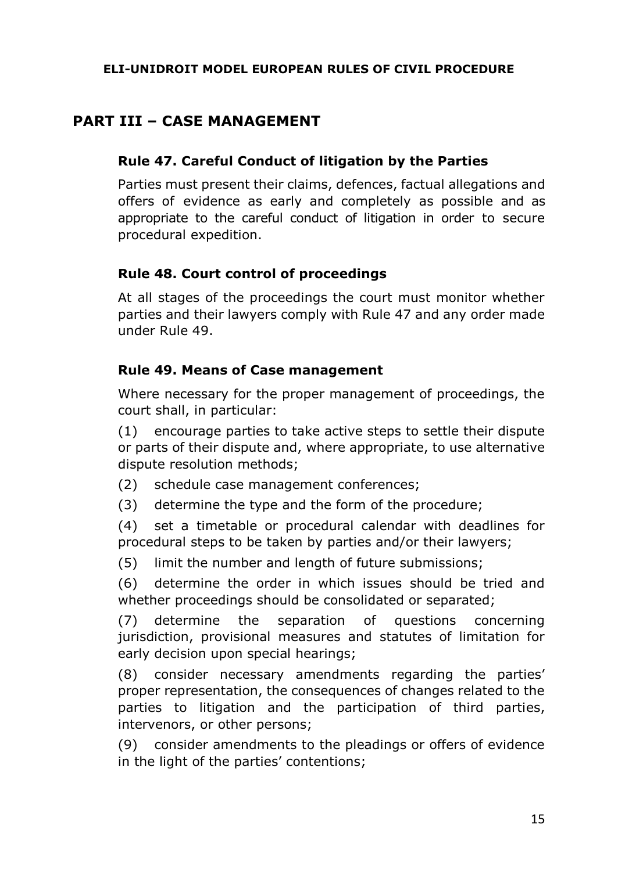# **PART III – CASE MANAGEMENT**

### **Rule 47. Careful Conduct of litigation by the Parties**

Parties must present their claims, defences, factual allegations and offers of evidence as early and completely as possible and as appropriate to the careful conduct of litigation in order to secure procedural expedition.

### **Rule 48. Court control of proceedings**

At all stages of the proceedings the court must monitor whether parties and their lawyers comply with Rule 47 and any order made under Rule 49.

### **Rule 49. Means of Case management**

Where necessary for the proper management of proceedings, the court shall, in particular:

(1) encourage parties to take active steps to settle their dispute or parts of their dispute and, where appropriate, to use alternative dispute resolution methods;

- (2) schedule case management conferences;
- (3) determine the type and the form of the procedure;

(4) set a timetable or procedural calendar with deadlines for procedural steps to be taken by parties and/or their lawyers;

(5) limit the number and length of future submissions;

(6) determine the order in which issues should be tried and whether proceedings should be consolidated or separated;

(7) determine the separation of questions concerning jurisdiction, provisional measures and statutes of limitation for early decision upon special hearings;

(8) consider necessary amendments regarding the parties' proper representation, the consequences of changes related to the parties to litigation and the participation of third parties, intervenors, or other persons;

(9) consider amendments to the pleadings or offers of evidence in the light of the parties' contentions;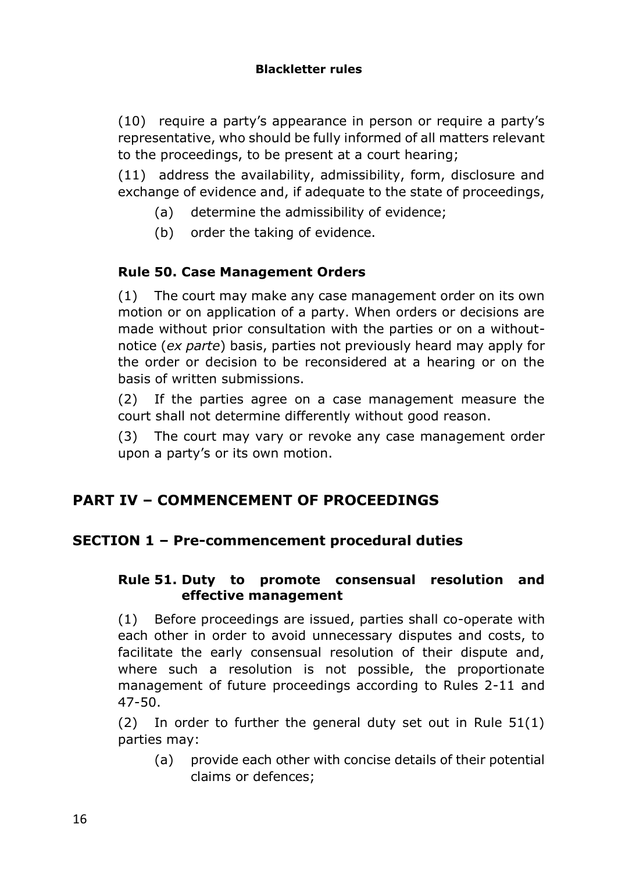(10) require a party's appearance in person or require a party's representative, who should be fully informed of all matters relevant to the proceedings, to be present at a court hearing;

(11) address the availability, admissibility, form, disclosure and exchange of evidence and, if adequate to the state of proceedings,

- (a) determine the admissibility of evidence;
- (b) order the taking of evidence.

# **Rule 50. Case Management Orders**

(1) The court may make any case management order on its own motion or on application of a party. When orders or decisions are made without prior consultation with the parties or on a withoutnotice (*ex parte*) basis, parties not previously heard may apply for the order or decision to be reconsidered at a hearing or on the basis of written submissions.

(2) If the parties agree on a case management measure the court shall not determine differently without good reason.

(3) The court may vary or revoke any case management order upon a party's or its own motion.

# **PART IV – COMMENCEMENT OF PROCEEDINGS**

# **SECTION 1 – Pre-commencement procedural duties**

### **Rule 51. Duty to promote consensual resolution and effective management**

(1) Before proceedings are issued, parties shall co-operate with each other in order to avoid unnecessary disputes and costs, to facilitate the early consensual resolution of their dispute and, where such a resolution is not possible, the proportionate management of future proceedings according to Rules 2-11 and 47-50.

(2) In order to further the general duty set out in Rule 51(1) parties may:

(a) provide each other with concise details of their potential claims or defences;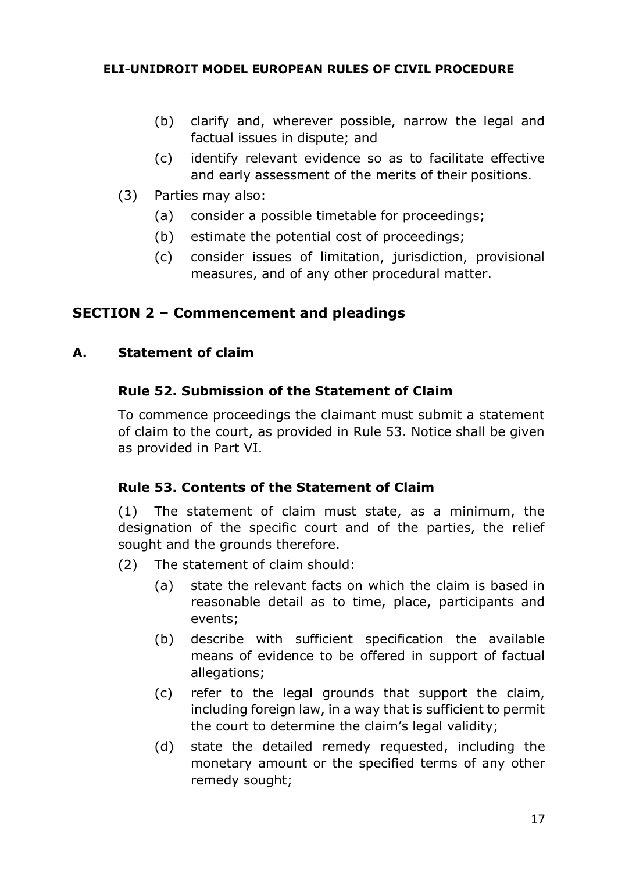- (b) clarify and, wherever possible, narrow the legal and factual issues in dispute; and
- (c) identify relevant evidence so as to facilitate effective and early assessment of the merits of their positions.
- (3) Parties may also:
	- (a) consider a possible timetable for proceedings;
	- (b) estimate the potential cost of proceedings;
	- (c) consider issues of limitation, jurisdiction, provisional measures, and of any other procedural matter.

# **SECTION 2 – Commencement and pleadings**

### **A. Statement of claim**

### **Rule 52. Submission of the Statement of Claim**

To commence proceedings the claimant must submit a statement of claim to the court, as provided in Rule 53. Notice shall be given as provided in Part VI.

### **Rule 53. Contents of the Statement of Claim**

(1) The statement of claim must state, as a minimum, the designation of the specific court and of the parties, the relief sought and the grounds therefore.

- (2) The statement of claim should:
	- (a) state the relevant facts on which the claim is based in reasonable detail as to time, place, participants and events;
	- (b) describe with sufficient specification the available means of evidence to be offered in support of factual allegations;
	- (c) refer to the legal grounds that support the claim, including foreign law, in a way that is sufficient to permit the court to determine the claim's legal validity;
	- (d) state the detailed remedy requested, including the monetary amount or the specified terms of any other remedy sought;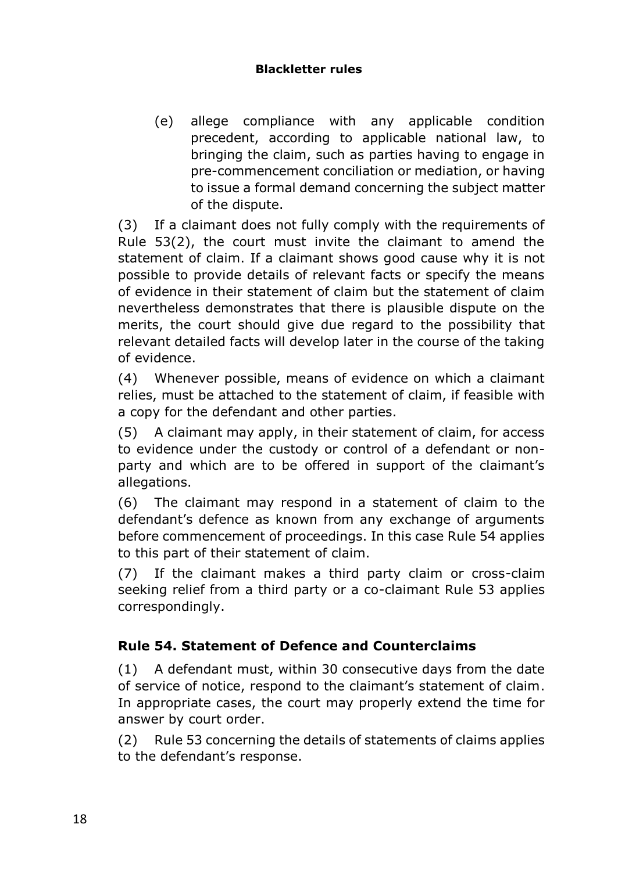### **Blackletter rules**

(e) allege compliance with any applicable condition precedent, according to applicable national law, to bringing the claim, such as parties having to engage in pre-commencement conciliation or mediation, or having to issue a formal demand concerning the subject matter of the dispute.

(3) If a claimant does not fully comply with the requirements of Rule 53(2), the court must invite the claimant to amend the statement of claim. If a claimant shows good cause why it is not possible to provide details of relevant facts or specify the means of evidence in their statement of claim but the statement of claim nevertheless demonstrates that there is plausible dispute on the merits, the court should give due regard to the possibility that relevant detailed facts will develop later in the course of the taking of evidence.

(4) Whenever possible, means of evidence on which a claimant relies, must be attached to the statement of claim, if feasible with a copy for the defendant and other parties.

(5) A claimant may apply, in their statement of claim, for access to evidence under the custody or control of a defendant or nonparty and which are to be offered in support of the claimant's allegations.

(6) The claimant may respond in a statement of claim to the defendant's defence as known from any exchange of arguments before commencement of proceedings. In this case Rule 54 applies to this part of their statement of claim.

(7) If the claimant makes a third party claim or cross-claim seeking relief from a third party or a co-claimant Rule 53 applies correspondingly.

# **Rule 54. Statement of Defence and Counterclaims**

(1) A defendant must, within 30 consecutive days from the date of service of notice, respond to the claimant's statement of claim. In appropriate cases, the court may properly extend the time for answer by court order.

(2) Rule 53 concerning the details of statements of claims applies to the defendant's response.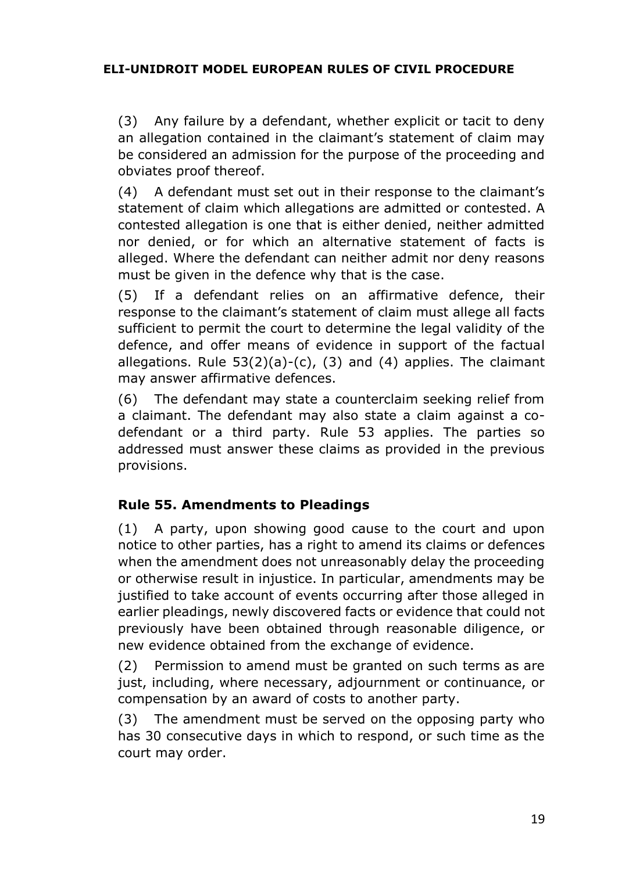(3) Any failure by a defendant, whether explicit or tacit to deny an allegation contained in the claimant's statement of claim may be considered an admission for the purpose of the proceeding and obviates proof thereof.

(4) A defendant must set out in their response to the claimant's statement of claim which allegations are admitted or contested. A contested allegation is one that is either denied, neither admitted nor denied, or for which an alternative statement of facts is alleged. Where the defendant can neither admit nor deny reasons must be given in the defence why that is the case.

(5) If a defendant relies on an affirmative defence, their response to the claimant's statement of claim must allege all facts sufficient to permit the court to determine the legal validity of the defence, and offer means of evidence in support of the factual allegations. Rule  $53(2)(a)-(c)$ , (3) and (4) applies. The claimant may answer affirmative defences.

(6) The defendant may state a counterclaim seeking relief from a claimant. The defendant may also state a claim against a codefendant or a third party. Rule 53 applies. The parties so addressed must answer these claims as provided in the previous provisions.

# **Rule 55. Amendments to Pleadings**

(1) A party, upon showing good cause to the court and upon notice to other parties, has a right to amend its claims or defences when the amendment does not unreasonably delay the proceeding or otherwise result in injustice. In particular, amendments may be justified to take account of events occurring after those alleged in earlier pleadings, newly discovered facts or evidence that could not previously have been obtained through reasonable diligence, or new evidence obtained from the exchange of evidence.

(2) Permission to amend must be granted on such terms as are just, including, where necessary, adjournment or continuance, or compensation by an award of costs to another party.

(3) The amendment must be served on the opposing party who has 30 consecutive days in which to respond, or such time as the court may order.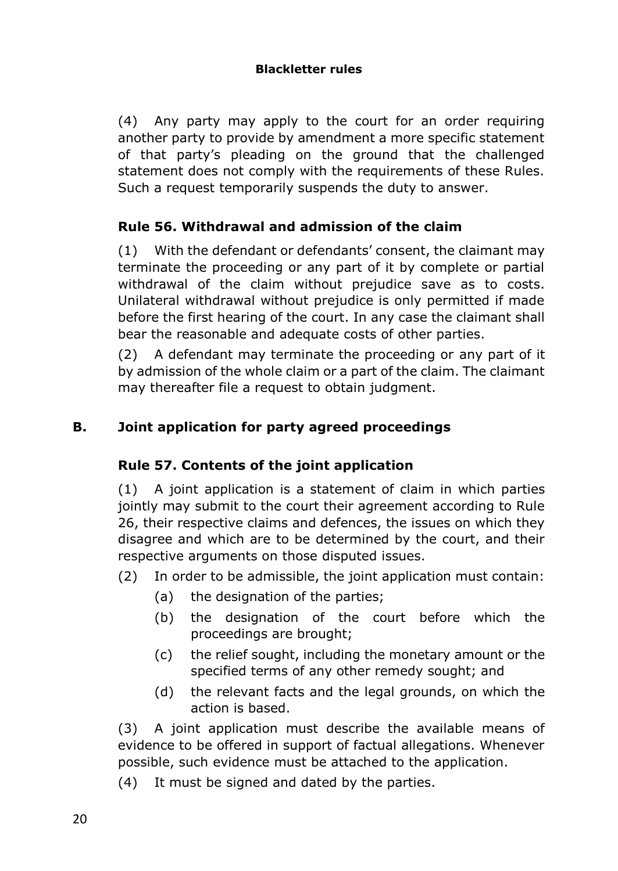(4) Any party may apply to the court for an order requiring another party to provide by amendment a more specific statement of that party's pleading on the ground that the challenged statement does not comply with the requirements of these Rules. Such a request temporarily suspends the duty to answer.

# **Rule 56. Withdrawal and admission of the claim**

(1) With the defendant or defendants' consent, the claimant may terminate the proceeding or any part of it by complete or partial withdrawal of the claim without prejudice save as to costs. Unilateral withdrawal without prejudice is only permitted if made before the first hearing of the court. In any case the claimant shall bear the reasonable and adequate costs of other parties.

(2) A defendant may terminate the proceeding or any part of it by admission of the whole claim or a part of the claim. The claimant may thereafter file a request to obtain judgment.

# **B. Joint application for party agreed proceedings**

### **Rule 57. Contents of the joint application**

(1) A joint application is a statement of claim in which parties jointly may submit to the court their agreement according to Rule 26, their respective claims and defences, the issues on which they disagree and which are to be determined by the court, and their respective arguments on those disputed issues.

- (2) In order to be admissible, the joint application must contain:
	- (a) the designation of the parties;
	- (b) the designation of the court before which the proceedings are brought;
	- (c) the relief sought, including the monetary amount or the specified terms of any other remedy sought; and
	- (d) the relevant facts and the legal grounds, on which the action is based.

(3) A joint application must describe the available means of evidence to be offered in support of factual allegations. Whenever possible, such evidence must be attached to the application.

(4) It must be signed and dated by the parties.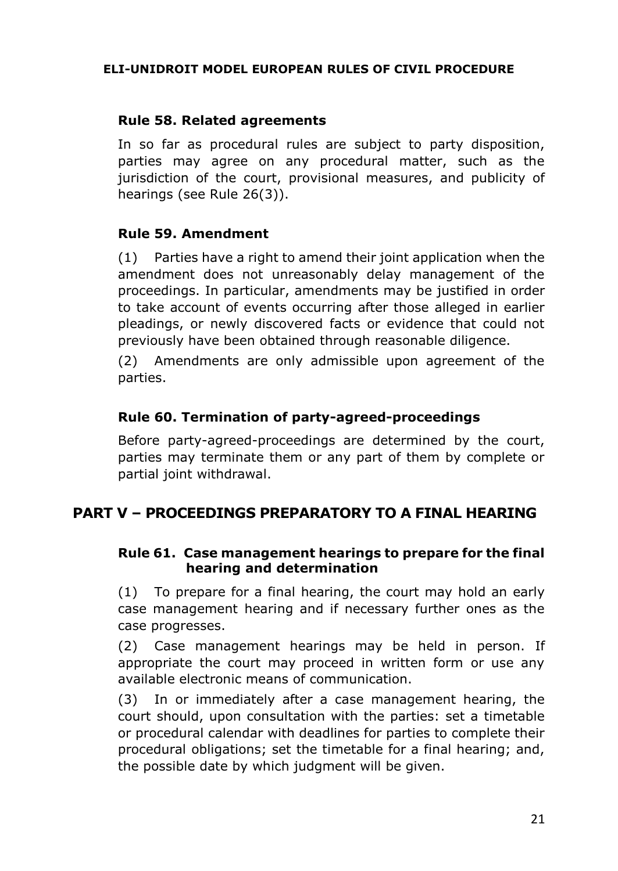### **Rule 58. Related agreements**

In so far as procedural rules are subject to party disposition, parties may agree on any procedural matter, such as the jurisdiction of the court, provisional measures, and publicity of hearings (see Rule 26(3)).

### **Rule 59. Amendment**

(1) Parties have a right to amend their joint application when the amendment does not unreasonably delay management of the proceedings. In particular, amendments may be justified in order to take account of events occurring after those alleged in earlier pleadings, or newly discovered facts or evidence that could not previously have been obtained through reasonable diligence.

(2) Amendments are only admissible upon agreement of the parties.

### **Rule 60. Termination of party-agreed-proceedings**

Before party-agreed-proceedings are determined by the court, parties may terminate them or any part of them by complete or partial joint withdrawal.

# **PART V – PROCEEDINGS PREPARATORY TO A FINAL HEARING**

### **Rule 61. Case management hearings to prepare for the final hearing and determination**

(1) To prepare for a final hearing, the court may hold an early case management hearing and if necessary further ones as the case progresses.

(2) Case management hearings may be held in person. If appropriate the court may proceed in written form or use any available electronic means of communication.

(3) In or immediately after a case management hearing, the court should, upon consultation with the parties: set a timetable or procedural calendar with deadlines for parties to complete their procedural obligations; set the timetable for a final hearing; and, the possible date by which judgment will be given.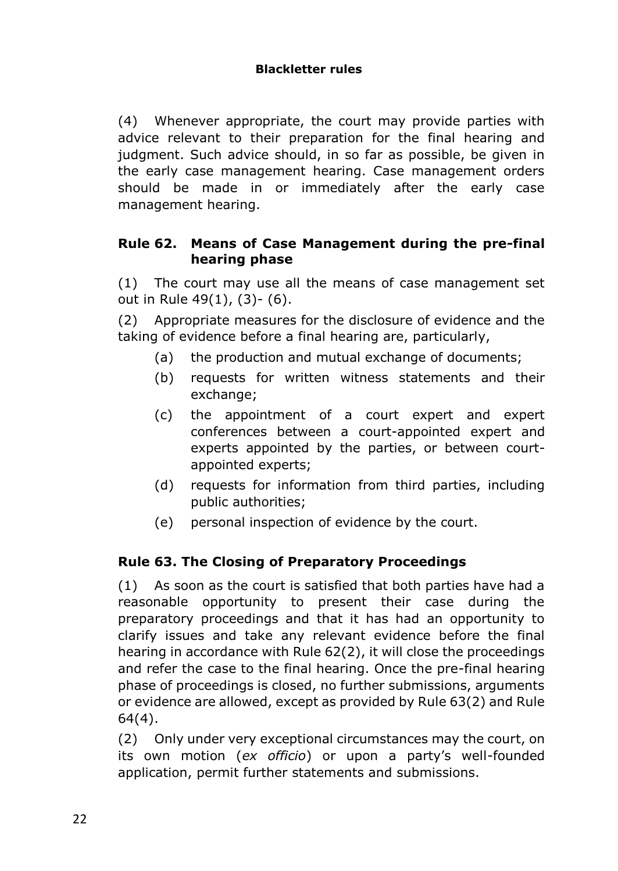(4) Whenever appropriate, the court may provide parties with advice relevant to their preparation for the final hearing and judgment. Such advice should, in so far as possible, be given in the early case management hearing. Case management orders should be made in or immediately after the early case management hearing.

### **Rule 62. Means of Case Management during the pre-final hearing phase**

(1) The court may use all the means of case management set out in Rule 49(1), (3)- (6).

(2) Appropriate measures for the disclosure of evidence and the taking of evidence before a final hearing are, particularly,

- (a) the production and mutual exchange of documents;
- (b) requests for written witness statements and their exchange;
- (c) the appointment of a court expert and expert conferences between a court-appointed expert and experts appointed by the parties, or between courtappointed experts;
- (d) requests for information from third parties, including public authorities;
- (e) personal inspection of evidence by the court.

# **Rule 63. The Closing of Preparatory Proceedings**

(1) As soon as the court is satisfied that both parties have had a reasonable opportunity to present their case during the preparatory proceedings and that it has had an opportunity to clarify issues and take any relevant evidence before the final hearing in accordance with Rule 62(2), it will close the proceedings and refer the case to the final hearing. Once the pre-final hearing phase of proceedings is closed, no further submissions, arguments or evidence are allowed, except as provided by Rule 63(2) and Rule 64(4).

(2) Only under very exceptional circumstances may the court, on its own motion (*ex officio*) or upon a party's well-founded application, permit further statements and submissions.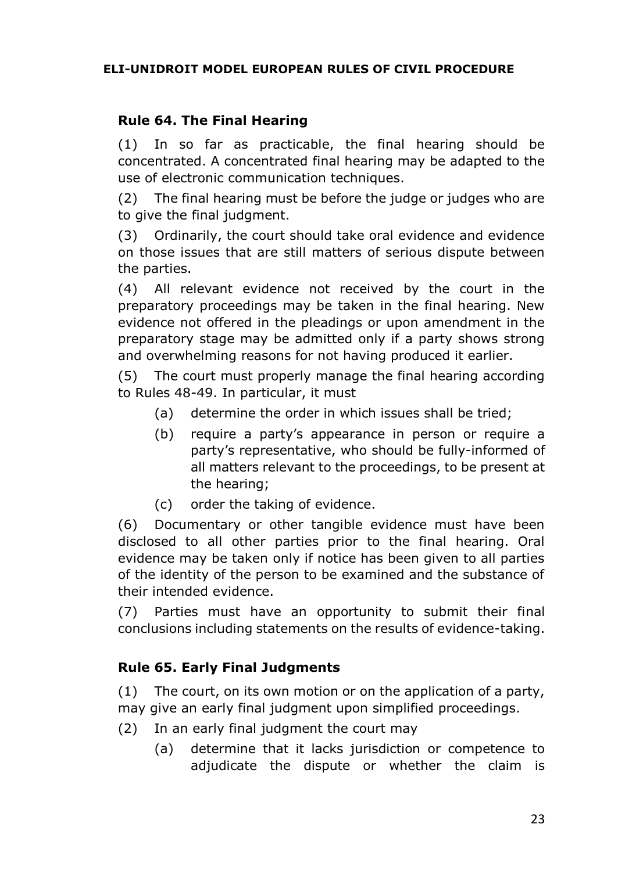# **Rule 64. The Final Hearing**

(1) In so far as practicable, the final hearing should be concentrated. A concentrated final hearing may be adapted to the use of electronic communication techniques.

(2) The final hearing must be before the judge or judges who are to give the final judgment.

(3) Ordinarily, the court should take oral evidence and evidence on those issues that are still matters of serious dispute between the parties.

(4) All relevant evidence not received by the court in the preparatory proceedings may be taken in the final hearing. New evidence not offered in the pleadings or upon amendment in the preparatory stage may be admitted only if a party shows strong and overwhelming reasons for not having produced it earlier.

(5) The court must properly manage the final hearing according to Rules 48-49. In particular, it must

- (a) determine the order in which issues shall be tried;
- (b) require a party's appearance in person or require a party's representative, who should be fully-informed of all matters relevant to the proceedings, to be present at the hearing;
- (c) order the taking of evidence.

(6) Documentary or other tangible evidence must have been disclosed to all other parties prior to the final hearing. Oral evidence may be taken only if notice has been given to all parties of the identity of the person to be examined and the substance of their intended evidence.

(7) Parties must have an opportunity to submit their final conclusions including statements on the results of evidence-taking.

### **Rule 65. Early Final Judgments**

(1) The court, on its own motion or on the application of a party, may give an early final judgment upon simplified proceedings.

- (2) In an early final judgment the court may
	- (a) determine that it lacks jurisdiction or competence to adjudicate the dispute or whether the claim is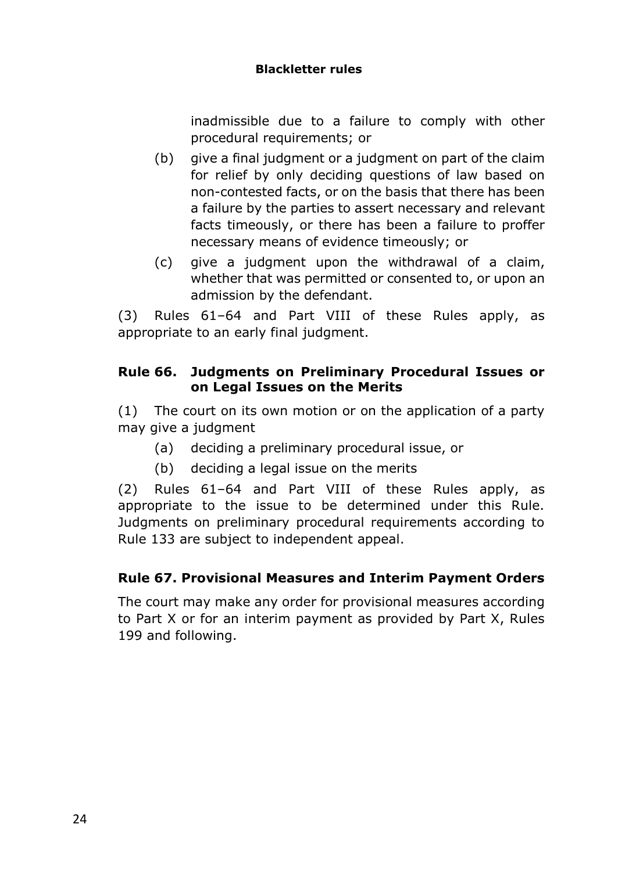### **Blackletter rules**

inadmissible due to a failure to comply with other procedural requirements; or

- (b) give a final judgment or a judgment on part of the claim for relief by only deciding questions of law based on non-contested facts, or on the basis that there has been a failure by the parties to assert necessary and relevant facts timeously, or there has been a failure to proffer necessary means of evidence timeously; or
- (c) give a judgment upon the withdrawal of a claim, whether that was permitted or consented to, or upon an admission by the defendant.

(3) Rules 61–64 and Part VIII of these Rules apply, as appropriate to an early final judgment.

# **Rule 66. Judgments on Preliminary Procedural Issues or on Legal Issues on the Merits**

(1) The court on its own motion or on the application of a party may give a judgment

- (a) deciding a preliminary procedural issue, or
- (b) deciding a legal issue on the merits

(2) Rules 61–64 and Part VIII of these Rules apply, as appropriate to the issue to be determined under this Rule. Judgments on preliminary procedural requirements according to Rule 133 are subject to independent appeal.

# **Rule 67. Provisional Measures and Interim Payment Orders**

The court may make any order for provisional measures according to Part X or for an interim payment as provided by Part X, Rules 199 and following.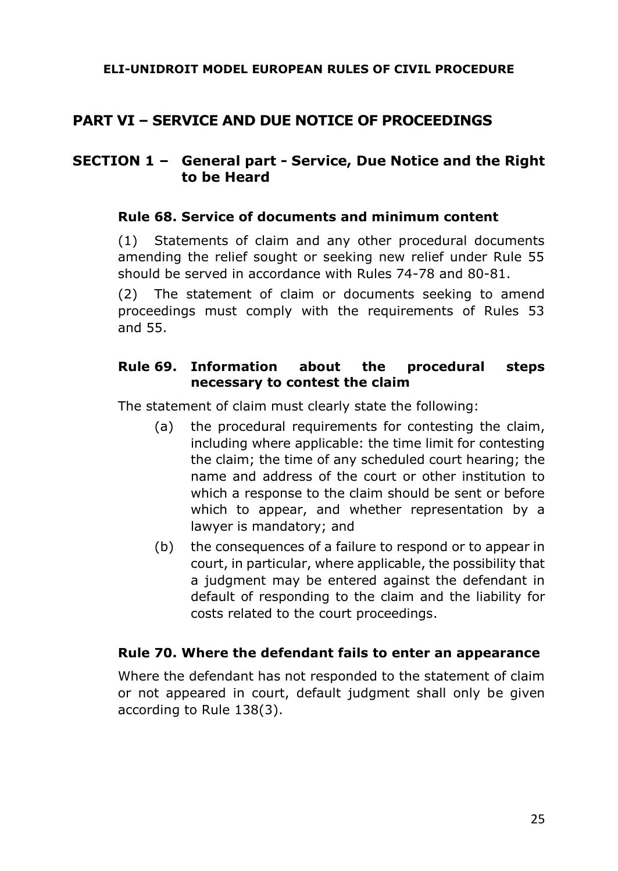# **PART VI – SERVICE AND DUE NOTICE OF PROCEEDINGS**

### **SECTION 1 – General part - Service, Due Notice and the Right to be Heard**

### **Rule 68. Service of documents and minimum content**

(1) Statements of claim and any other procedural documents amending the relief sought or seeking new relief under Rule 55 should be served in accordance with Rules 74-78 and 80-81.

(2) The statement of claim or documents seeking to amend proceedings must comply with the requirements of Rules 53 and 55.

### **Rule 69. Information about the procedural steps necessary to contest the claim**

The statement of claim must clearly state the following:

- (a) the procedural requirements for contesting the claim, including where applicable: the time limit for contesting the claim; the time of any scheduled court hearing; the name and address of the court or other institution to which a response to the claim should be sent or before which to appear, and whether representation by a lawyer is mandatory; and
- (b) the consequences of a failure to respond or to appear in court, in particular, where applicable, the possibility that a judgment may be entered against the defendant in default of responding to the claim and the liability for costs related to the court proceedings.

#### **Rule 70. Where the defendant fails to enter an appearance**

Where the defendant has not responded to the statement of claim or not appeared in court, default judgment shall only be given according to Rule 138(3).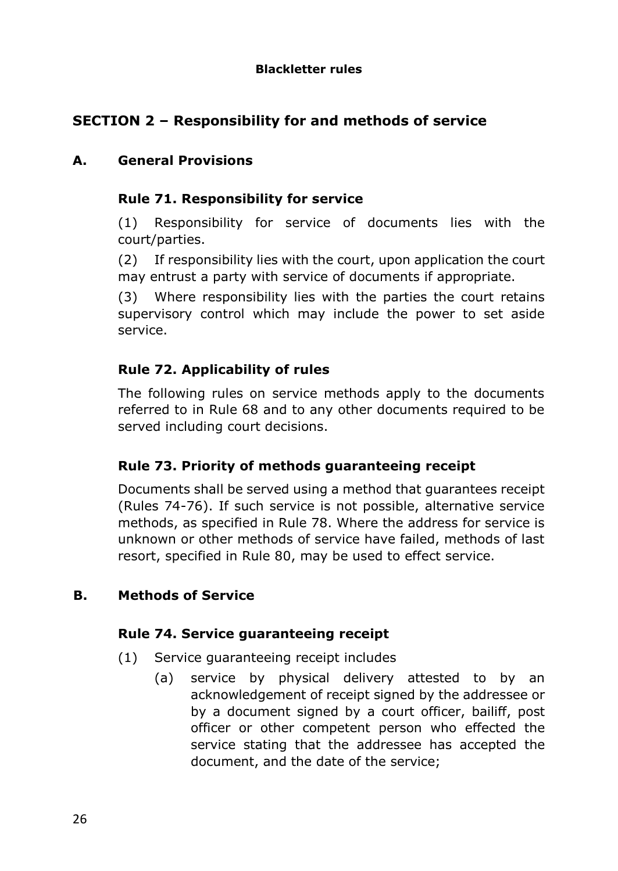# **SECTION 2 – Responsibility for and methods of service**

# **A. General Provisions**

# **Rule 71. Responsibility for service**

(1) Responsibility for service of documents lies with the court/parties.

(2) If responsibility lies with the court, upon application the court may entrust a party with service of documents if appropriate.

(3) Where responsibility lies with the parties the court retains supervisory control which may include the power to set aside service.

# **Rule 72. Applicability of rules**

The following rules on service methods apply to the documents referred to in Rule 68 and to any other documents required to be served including court decisions.

# **Rule 73. Priority of methods guaranteeing receipt**

Documents shall be served using a method that guarantees receipt (Rules 74-76). If such service is not possible, alternative service methods, as specified in Rule 78. Where the address for service is unknown or other methods of service have failed, methods of last resort, specified in Rule 80, may be used to effect service.

# **B. Methods of Service**

### **Rule 74. Service guaranteeing receipt**

- (1) Service guaranteeing receipt includes
	- (a) service by physical delivery attested to by an acknowledgement of receipt signed by the addressee or by a document signed by a court officer, bailiff, post officer or other competent person who effected the service stating that the addressee has accepted the document, and the date of the service;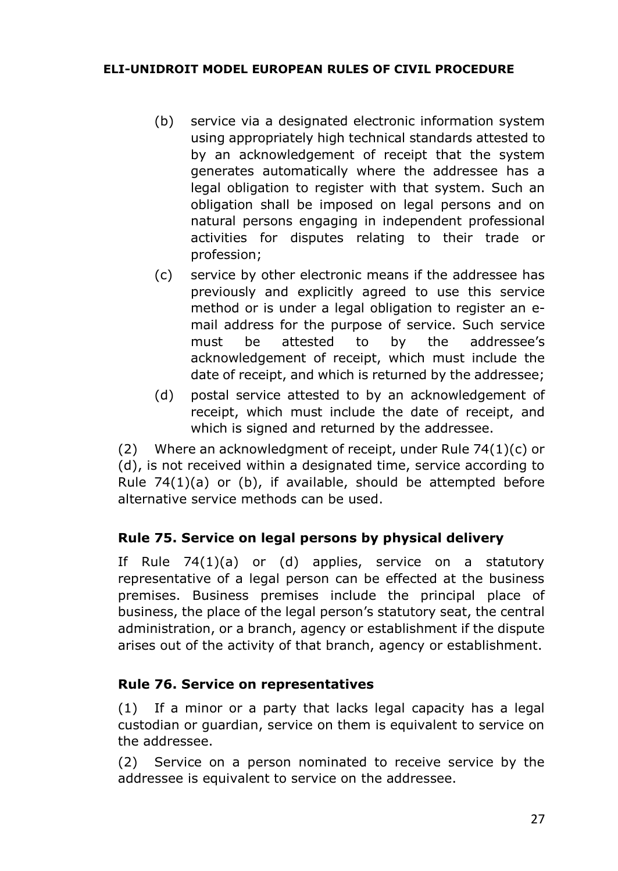- (b) service via a designated electronic information system using appropriately high technical standards attested to by an acknowledgement of receipt that the system generates automatically where the addressee has a legal obligation to register with that system. Such an obligation shall be imposed on legal persons and on natural persons engaging in independent professional activities for disputes relating to their trade or profession;
- (c) service by other electronic means if the addressee has previously and explicitly agreed to use this service method or is under a legal obligation to register an email address for the purpose of service. Such service must be attested to by the addressee's acknowledgement of receipt, which must include the date of receipt, and which is returned by the addressee;
- (d) postal service attested to by an acknowledgement of receipt, which must include the date of receipt, and which is signed and returned by the addressee.

(2) Where an acknowledgment of receipt, under Rule 74(1)(c) or (d), is not received within a designated time, service according to Rule  $74(1)(a)$  or (b), if available, should be attempted before alternative service methods can be used.

### **Rule 75. Service on legal persons by physical delivery**

If Rule 74(1)(a) or (d) applies, service on a statutory representative of a legal person can be effected at the business premises. Business premises include the principal place of business, the place of the legal person's statutory seat, the central administration, or a branch, agency or establishment if the dispute arises out of the activity of that branch, agency or establishment.

### **Rule 76. Service on representatives**

(1) If a minor or a party that lacks legal capacity has a legal custodian or guardian, service on them is equivalent to service on the addressee.

(2) Service on a person nominated to receive service by the addressee is equivalent to service on the addressee.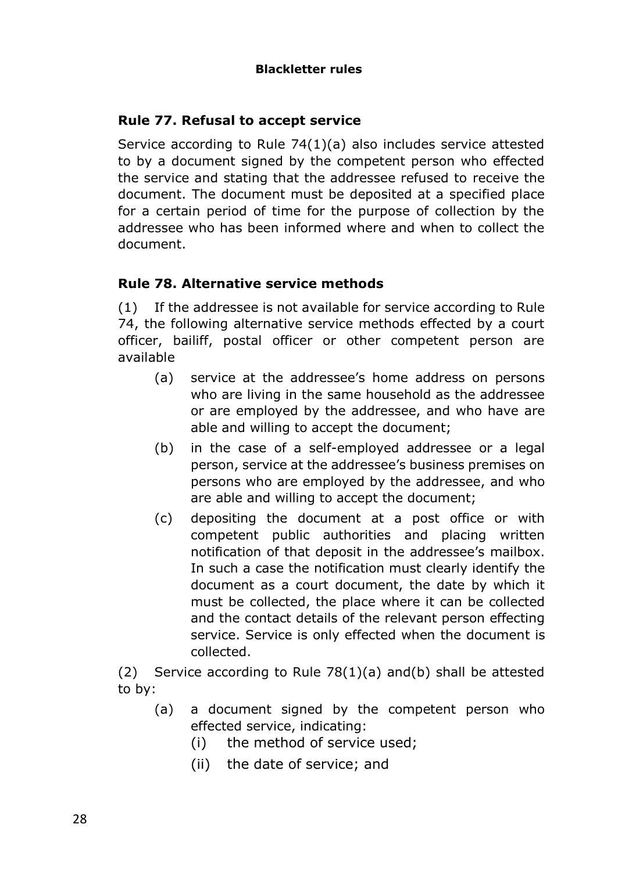# **Rule 77. Refusal to accept service**

Service according to Rule 74(1)(a) also includes service attested to by a document signed by the competent person who effected the service and stating that the addressee refused to receive the document. The document must be deposited at a specified place for a certain period of time for the purpose of collection by the addressee who has been informed where and when to collect the document.

# **Rule 78. Alternative service methods**

(1) If the addressee is not available for service according to Rule 74, the following alternative service methods effected by a court officer, bailiff, postal officer or other competent person are available

- (a) service at the addressee's home address on persons who are living in the same household as the addressee or are employed by the addressee, and who have are able and willing to accept the document;
- (b) in the case of a self-employed addressee or a legal person, service at the addressee's business premises on persons who are employed by the addressee, and who are able and willing to accept the document;
- (c) depositing the document at a post office or with competent public authorities and placing written notification of that deposit in the addressee's mailbox. In such a case the notification must clearly identify the document as a court document, the date by which it must be collected, the place where it can be collected and the contact details of the relevant person effecting service. Service is only effected when the document is collected.

(2) Service according to Rule  $78(1)(a)$  and(b) shall be attested to by:

- (a) a document signed by the competent person who effected service, indicating:
	- (i) the method of service used;
	- (ii) the date of service; and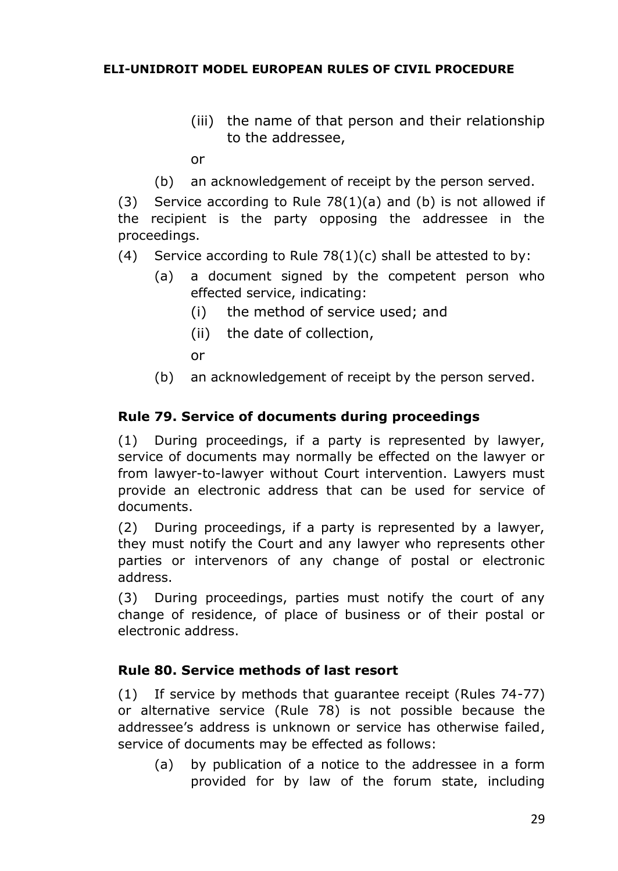- (iii) the name of that person and their relationship to the addressee,
- or
- (b) an acknowledgement of receipt by the person served.

(3) Service according to Rule  $78(1)(a)$  and (b) is not allowed if the recipient is the party opposing the addressee in the proceedings.

- (4) Service according to Rule  $78(1)(c)$  shall be attested to by:
	- (a) a document signed by the competent person who effected service, indicating:
		- (i) the method of service used; and
		- (ii) the date of collection,

or

(b) an acknowledgement of receipt by the person served.

### **Rule 79. Service of documents during proceedings**

(1) During proceedings, if a party is represented by lawyer, service of documents may normally be effected on the lawyer or from lawyer-to-lawyer without Court intervention. Lawyers must provide an electronic address that can be used for service of documents.

(2) During proceedings, if a party is represented by a lawyer, they must notify the Court and any lawyer who represents other parties or intervenors of any change of postal or electronic address.

(3) During proceedings, parties must notify the court of any change of residence, of place of business or of their postal or electronic address.

### **Rule 80. Service methods of last resort**

(1) If service by methods that guarantee receipt (Rules 74-77) or alternative service (Rule 78) is not possible because the addressee's address is unknown or service has otherwise failed, service of documents may be effected as follows:

(a) by publication of a notice to the addressee in a form provided for by law of the forum state, including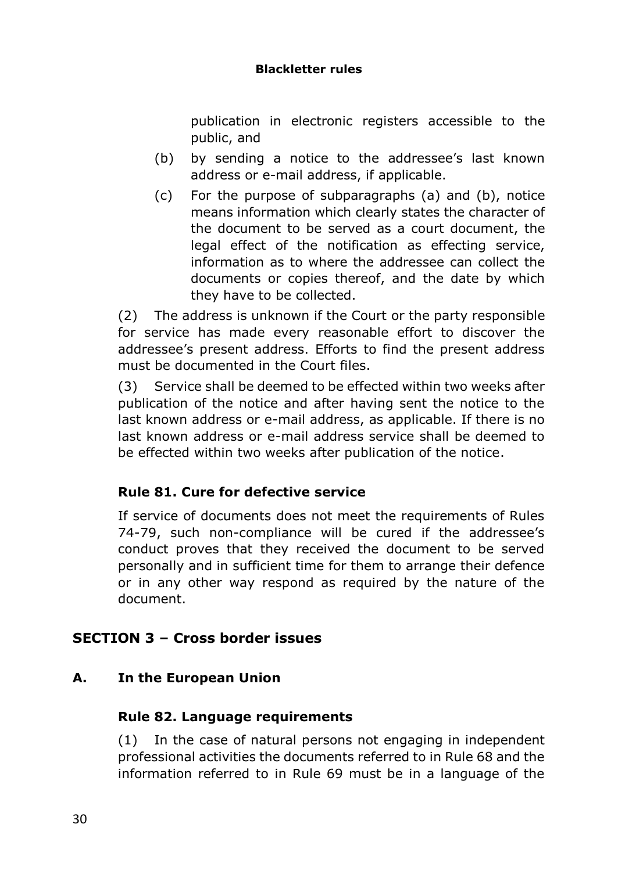#### **Blackletter rules**

publication in electronic registers accessible to the public, and

- (b) by sending a notice to the addressee's last known address or e-mail address, if applicable.
- (c) For the purpose of subparagraphs (a) and (b), notice means information which clearly states the character of the document to be served as a court document, the legal effect of the notification as effecting service, information as to where the addressee can collect the documents or copies thereof, and the date by which they have to be collected.

(2) The address is unknown if the Court or the party responsible for service has made every reasonable effort to discover the addressee's present address. Efforts to find the present address must be documented in the Court files.

(3) Service shall be deemed to be effected within two weeks after publication of the notice and after having sent the notice to the last known address or e-mail address, as applicable. If there is no last known address or e-mail address service shall be deemed to be effected within two weeks after publication of the notice.

# **Rule 81. Cure for defective service**

If service of documents does not meet the requirements of Rules 74-79, such non-compliance will be cured if the addressee's conduct proves that they received the document to be served personally and in sufficient time for them to arrange their defence or in any other way respond as required by the nature of the document.

# **SECTION 3 – Cross border issues**

### **A. In the European Union**

### **Rule 82. Language requirements**

(1) In the case of natural persons not engaging in independent professional activities the documents referred to in Rule 68 and the information referred to in Rule 69 must be in a language of the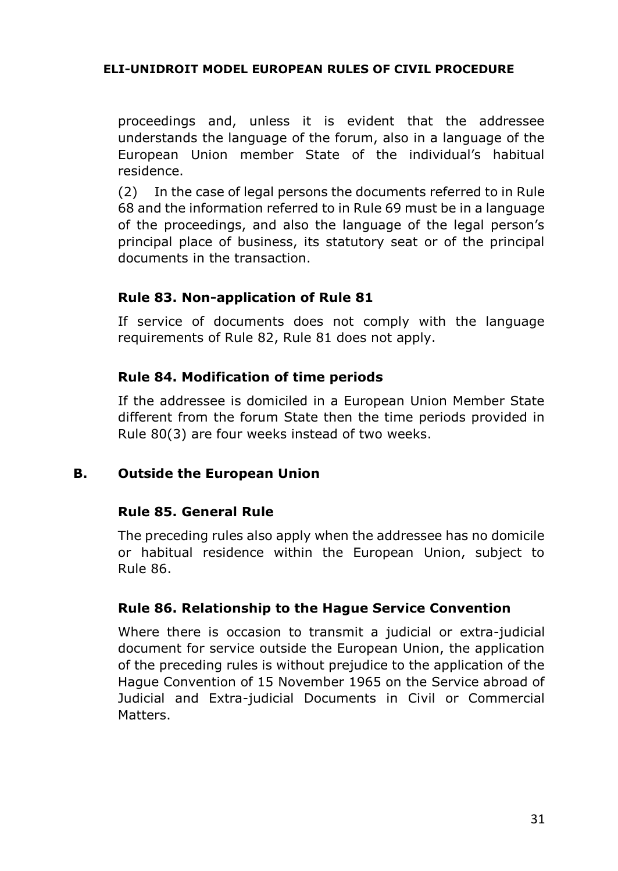proceedings and, unless it is evident that the addressee understands the language of the forum, also in a language of the European Union member State of the individual's habitual residence.

(2) In the case of legal persons the documents referred to in Rule 68 and the information referred to in Rule 69 must be in a language of the proceedings, and also the language of the legal person's principal place of business, its statutory seat or of the principal documents in the transaction.

### **Rule 83. Non-application of Rule 81**

If service of documents does not comply with the language requirements of Rule 82, Rule 81 does not apply.

### **Rule 84. Modification of time periods**

If the addressee is domiciled in a European Union Member State different from the forum State then the time periods provided in Rule 80(3) are four weeks instead of two weeks.

#### **B. Outside the European Union**

#### **Rule 85. General Rule**

The preceding rules also apply when the addressee has no domicile or habitual residence within the European Union, subject to Rule 86.

#### **Rule 86. Relationship to the Hague Service Convention**

Where there is occasion to transmit a judicial or extra-judicial document for service outside the European Union, the application of the preceding rules is without prejudice to the application of the Hague Convention of 15 November 1965 on the Service abroad of Judicial and Extra-judicial Documents in Civil or Commercial Matters.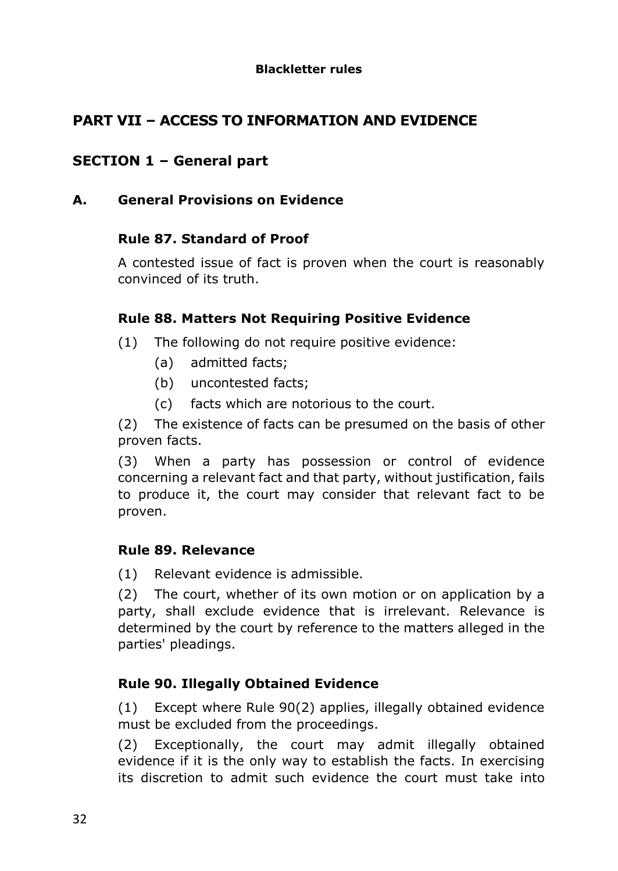# **PART VII – ACCESS TO INFORMATION AND EVIDENCE**

# **SECTION 1 – General part**

# **A. General Provisions on Evidence**

# **Rule 87. Standard of Proof**

A contested issue of fact is proven when the court is reasonably convinced of its truth.

# **Rule 88. Matters Not Requiring Positive Evidence**

- (1) The following do not require positive evidence:
	- (a) admitted facts;
	- (b) uncontested facts;
	- (c) facts which are notorious to the court.

(2) The existence of facts can be presumed on the basis of other proven facts.

(3) When a party has possession or control of evidence concerning a relevant fact and that party, without justification, fails to produce it, the court may consider that relevant fact to be proven.

### **Rule 89. Relevance**

(1) Relevant evidence is admissible.

(2) The court, whether of its own motion or on application by a party, shall exclude evidence that is irrelevant. Relevance is determined by the court by reference to the matters alleged in the parties' pleadings.

# **Rule 90. Illegally Obtained Evidence**

(1) Except where Rule 90(2) applies, illegally obtained evidence must be excluded from the proceedings.

(2) Exceptionally, the court may admit illegally obtained evidence if it is the only way to establish the facts. In exercising its discretion to admit such evidence the court must take into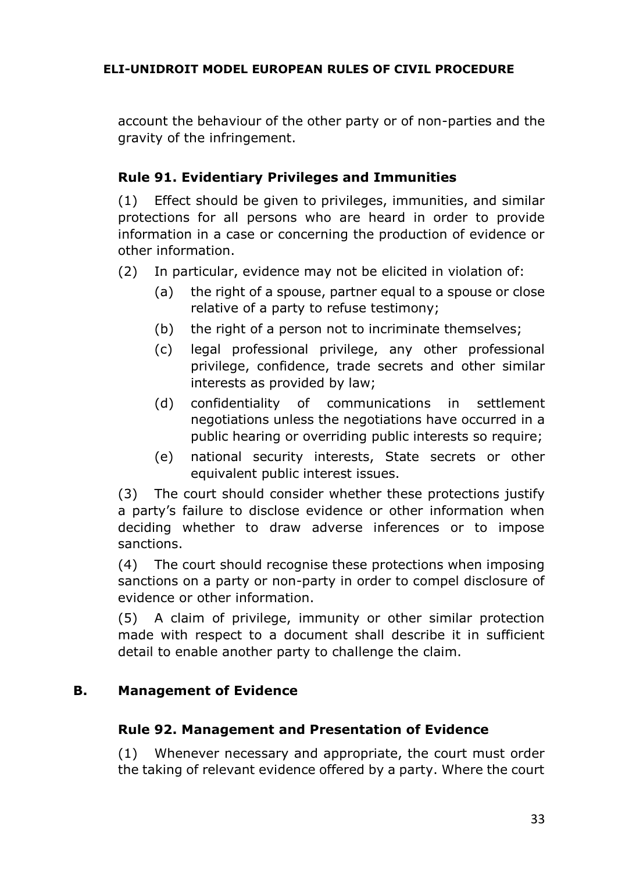account the behaviour of the other party or of non-parties and the gravity of the infringement.

# **Rule 91. Evidentiary Privileges and Immunities**

(1) Effect should be given to privileges, immunities, and similar protections for all persons who are heard in order to provide information in a case or concerning the production of evidence or other information.

- (2) In particular, evidence may not be elicited in violation of:
	- (a) the right of a spouse, partner equal to a spouse or close relative of a party to refuse testimony;
	- (b) the right of a person not to incriminate themselves;
	- (c) legal professional privilege, any other professional privilege, confidence, trade secrets and other similar interests as provided by law;
	- (d) confidentiality of communications in settlement negotiations unless the negotiations have occurred in a public hearing or overriding public interests so require;
	- (e) national security interests, State secrets or other equivalent public interest issues.

(3) The court should consider whether these protections justify a party's failure to disclose evidence or other information when deciding whether to draw adverse inferences or to impose sanctions.

(4) The court should recognise these protections when imposing sanctions on a party or non-party in order to compel disclosure of evidence or other information.

(5) A claim of privilege, immunity or other similar protection made with respect to a document shall describe it in sufficient detail to enable another party to challenge the claim.

### **B. Management of Evidence**

### **Rule 92. Management and Presentation of Evidence**

(1) Whenever necessary and appropriate, the court must order the taking of relevant evidence offered by a party. Where the court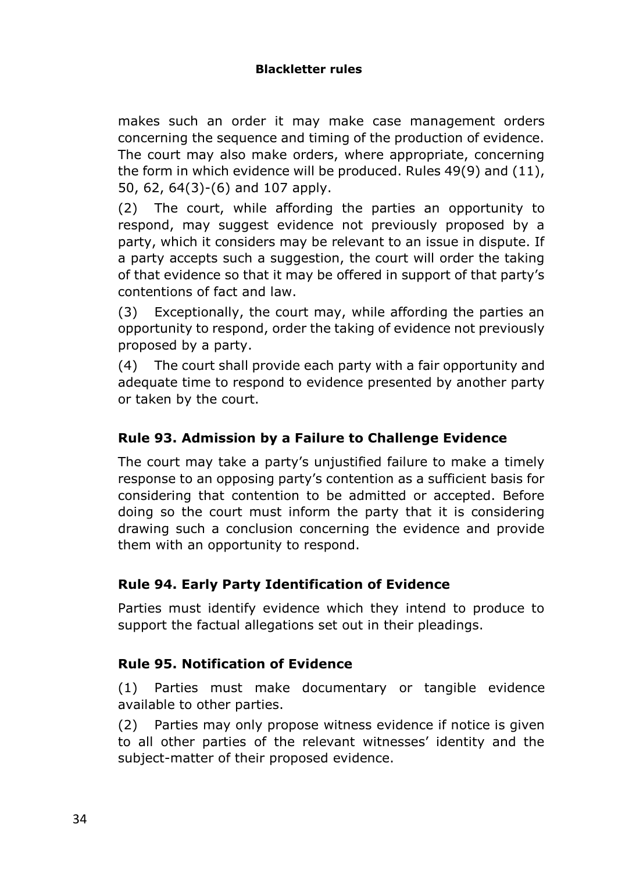makes such an order it may make case management orders concerning the sequence and timing of the production of evidence. The court may also make orders, where appropriate, concerning the form in which evidence will be produced. Rules 49(9) and (11), 50, 62, 64(3)-(6) and 107 apply.

(2) The court, while affording the parties an opportunity to respond, may suggest evidence not previously proposed by a party, which it considers may be relevant to an issue in dispute. If a party accepts such a suggestion, the court will order the taking of that evidence so that it may be offered in support of that party's contentions of fact and law.

(3) Exceptionally, the court may, while affording the parties an opportunity to respond, order the taking of evidence not previously proposed by a party.

(4) The court shall provide each party with a fair opportunity and adequate time to respond to evidence presented by another party or taken by the court.

# **Rule 93. Admission by a Failure to Challenge Evidence**

The court may take a party's unjustified failure to make a timely response to an opposing party's contention as a sufficient basis for considering that contention to be admitted or accepted. Before doing so the court must inform the party that it is considering drawing such a conclusion concerning the evidence and provide them with an opportunity to respond.

# **Rule 94. Early Party Identification of Evidence**

Parties must identify evidence which they intend to produce to support the factual allegations set out in their pleadings.

### **Rule 95. Notification of Evidence**

(1) Parties must make documentary or tangible evidence available to other parties.

(2) Parties may only propose witness evidence if notice is given to all other parties of the relevant witnesses' identity and the subject-matter of their proposed evidence.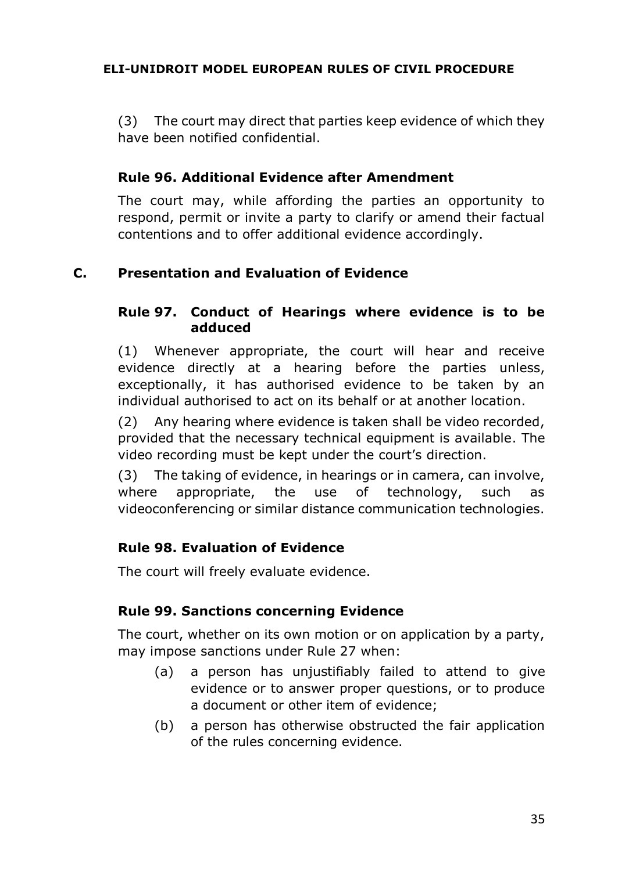(3) The court may direct that parties keep evidence of which they have been notified confidential.

# **Rule 96. Additional Evidence after Amendment**

The court may, while affording the parties an opportunity to respond, permit or invite a party to clarify or amend their factual contentions and to offer additional evidence accordingly.

# **C. Presentation and Evaluation of Evidence**

# **Rule 97. Conduct of Hearings where evidence is to be adduced**

(1) Whenever appropriate, the court will hear and receive evidence directly at a hearing before the parties unless, exceptionally, it has authorised evidence to be taken by an individual authorised to act on its behalf or at another location.

(2) Any hearing where evidence is taken shall be video recorded, provided that the necessary technical equipment is available. The video recording must be kept under the court's direction.

(3) The taking of evidence, in hearings or in camera, can involve, where appropriate, the use of technology, such as videoconferencing or similar distance communication technologies.

# **Rule 98. Evaluation of Evidence**

The court will freely evaluate evidence.

# **Rule 99. Sanctions concerning Evidence**

The court, whether on its own motion or on application by a party, may impose sanctions under Rule 27 when:

- (a) a person has unjustifiably failed to attend to give evidence or to answer proper questions, or to produce a document or other item of evidence;
- (b) a person has otherwise obstructed the fair application of the rules concerning evidence.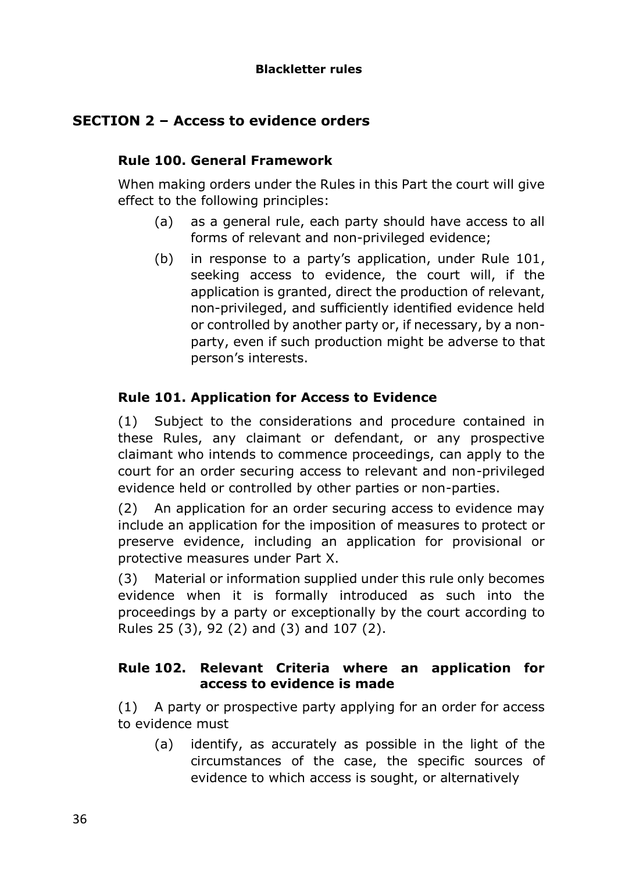# **SECTION 2 – Access to evidence orders**

### **Rule 100. General Framework**

When making orders under the Rules in this Part the court will give effect to the following principles:

- (a) as a general rule, each party should have access to all forms of relevant and non-privileged evidence;
- (b) in response to a party's application, under Rule 101, seeking access to evidence, the court will, if the application is granted, direct the production of relevant, non-privileged, and sufficiently identified evidence held or controlled by another party or, if necessary, by a nonparty, even if such production might be adverse to that person's interests.

# **Rule 101. Application for Access to Evidence**

(1) Subject to the considerations and procedure contained in these Rules, any claimant or defendant, or any prospective claimant who intends to commence proceedings, can apply to the court for an order securing access to relevant and non-privileged evidence held or controlled by other parties or non-parties.

(2) An application for an order securing access to evidence may include an application for the imposition of measures to protect or preserve evidence, including an application for provisional or protective measures under Part X.

(3) Material or information supplied under this rule only becomes evidence when it is formally introduced as such into the proceedings by a party or exceptionally by the court according to Rules 25 (3), 92 (2) and (3) and 107 (2).

### **Rule 102. Relevant Criteria where an application for access to evidence is made**

(1) A party or prospective party applying for an order for access to evidence must

(a) identify, as accurately as possible in the light of the circumstances of the case, the specific sources of evidence to which access is sought, or alternatively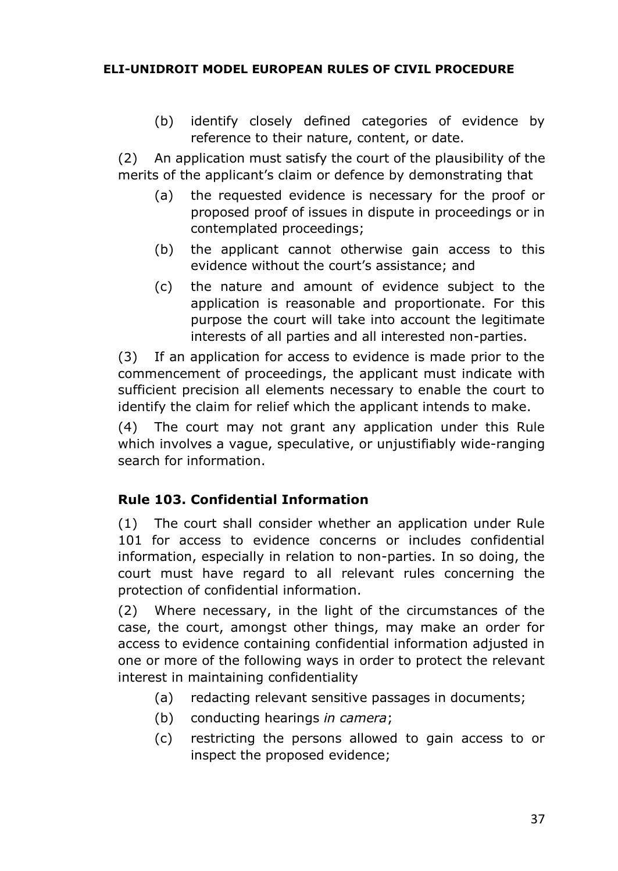(b) identify closely defined categories of evidence by reference to their nature, content, or date.

(2) An application must satisfy the court of the plausibility of the merits of the applicant's claim or defence by demonstrating that

- (a) the requested evidence is necessary for the proof or proposed proof of issues in dispute in proceedings or in contemplated proceedings;
- (b) the applicant cannot otherwise gain access to this evidence without the court's assistance; and
- (c) the nature and amount of evidence subject to the application is reasonable and proportionate. For this purpose the court will take into account the legitimate interests of all parties and all interested non-parties.

(3) If an application for access to evidence is made prior to the commencement of proceedings, the applicant must indicate with sufficient precision all elements necessary to enable the court to identify the claim for relief which the applicant intends to make.

(4) The court may not grant any application under this Rule which involves a vague, speculative, or unjustifiably wide-ranging search for information.

# **Rule 103. Confidential Information**

(1) The court shall consider whether an application under Rule 101 for access to evidence concerns or includes confidential information, especially in relation to non-parties. In so doing, the court must have regard to all relevant rules concerning the protection of confidential information.

(2) Where necessary, in the light of the circumstances of the case, the court, amongst other things, may make an order for access to evidence containing confidential information adjusted in one or more of the following ways in order to protect the relevant interest in maintaining confidentiality

- (a) redacting relevant sensitive passages in documents;
- (b) conducting hearings *in camera*;
- (c) restricting the persons allowed to gain access to or inspect the proposed evidence;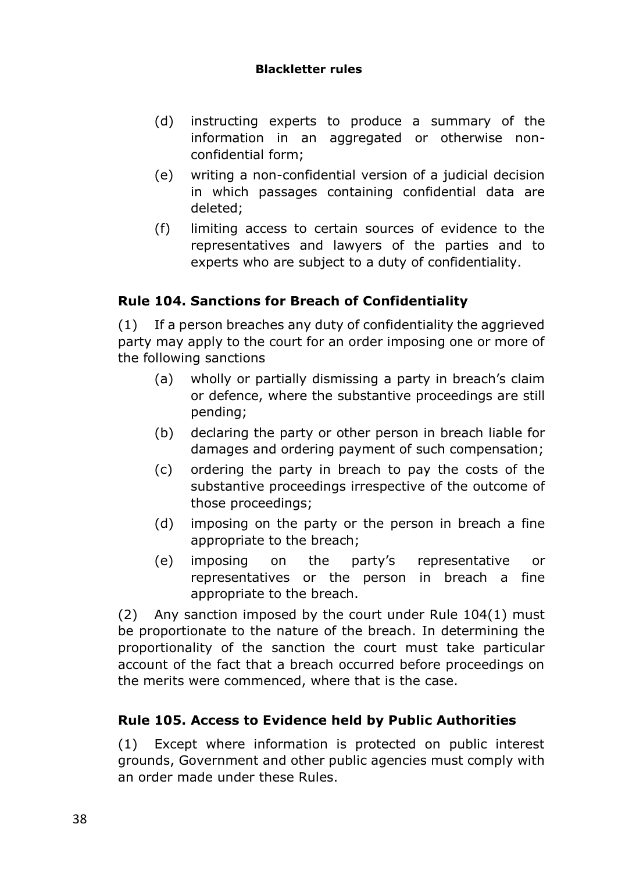#### **Blackletter rules**

- (d) instructing experts to produce a summary of the information in an aggregated or otherwise nonconfidential form;
- (e) writing a non-confidential version of a judicial decision in which passages containing confidential data are deleted;
- (f) limiting access to certain sources of evidence to the representatives and lawyers of the parties and to experts who are subject to a duty of confidentiality.

# **Rule 104. Sanctions for Breach of Confidentiality**

(1) If a person breaches any duty of confidentiality the aggrieved party may apply to the court for an order imposing one or more of the following sanctions

- (a) wholly or partially dismissing a party in breach's claim or defence, where the substantive proceedings are still pending;
- (b) declaring the party or other person in breach liable for damages and ordering payment of such compensation;
- (c) ordering the party in breach to pay the costs of the substantive proceedings irrespective of the outcome of those proceedings;
- (d) imposing on the party or the person in breach a fine appropriate to the breach;
- (e) imposing on the party's representative or representatives or the person in breach a fine appropriate to the breach.

(2) Any sanction imposed by the court under Rule 104(1) must be proportionate to the nature of the breach. In determining the proportionality of the sanction the court must take particular account of the fact that a breach occurred before proceedings on the merits were commenced, where that is the case.

# **Rule 105. Access to Evidence held by Public Authorities**

(1) Except where information is protected on public interest grounds, Government and other public agencies must comply with an order made under these Rules.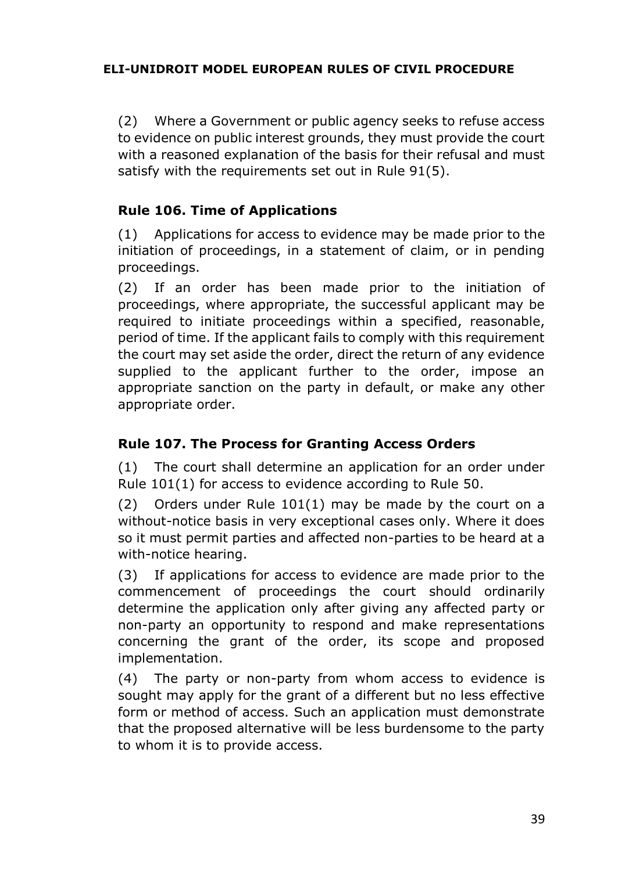(2) Where a Government or public agency seeks to refuse access to evidence on public interest grounds, they must provide the court with a reasoned explanation of the basis for their refusal and must satisfy with the requirements set out in Rule 91(5).

## **Rule 106. Time of Applications**

(1) Applications for access to evidence may be made prior to the initiation of proceedings, in a statement of claim, or in pending proceedings.

(2) If an order has been made prior to the initiation of proceedings, where appropriate, the successful applicant may be required to initiate proceedings within a specified, reasonable, period of time. If the applicant fails to comply with this requirement the court may set aside the order, direct the return of any evidence supplied to the applicant further to the order, impose an appropriate sanction on the party in default, or make any other appropriate order.

#### **Rule 107. The Process for Granting Access Orders**

(1) The court shall determine an application for an order under Rule 101(1) for access to evidence according to Rule 50.

(2) Orders under Rule 101(1) may be made by the court on a without-notice basis in very exceptional cases only. Where it does so it must permit parties and affected non-parties to be heard at a with-notice hearing.

(3) If applications for access to evidence are made prior to the commencement of proceedings the court should ordinarily determine the application only after giving any affected party or non-party an opportunity to respond and make representations concerning the grant of the order, its scope and proposed implementation.

(4) The party or non-party from whom access to evidence is sought may apply for the grant of a different but no less effective form or method of access. Such an application must demonstrate that the proposed alternative will be less burdensome to the party to whom it is to provide access.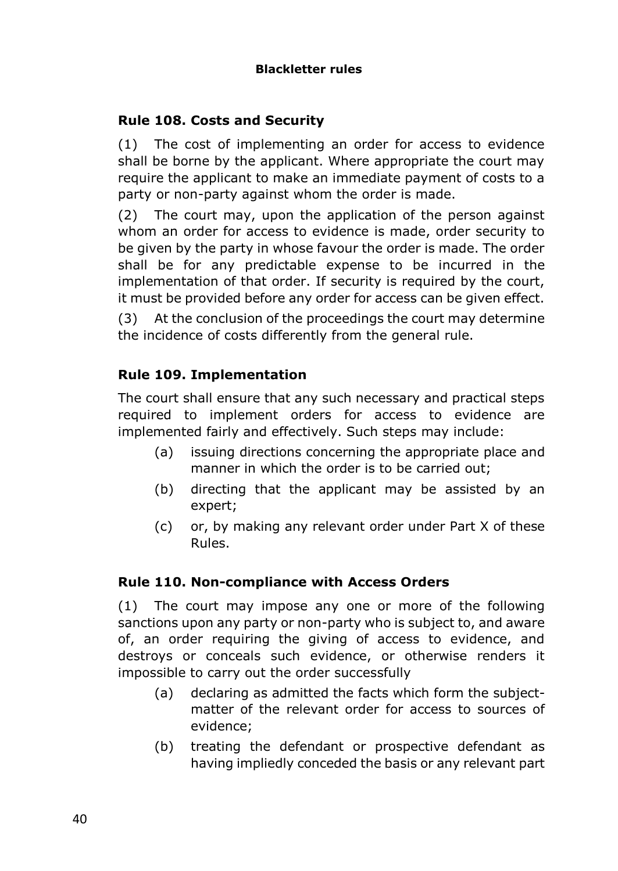## **Rule 108. Costs and Security**

(1) The cost of implementing an order for access to evidence shall be borne by the applicant. Where appropriate the court may require the applicant to make an immediate payment of costs to a party or non-party against whom the order is made.

(2) The court may, upon the application of the person against whom an order for access to evidence is made, order security to be given by the party in whose favour the order is made. The order shall be for any predictable expense to be incurred in the implementation of that order. If security is required by the court, it must be provided before any order for access can be given effect.

(3) At the conclusion of the proceedings the court may determine the incidence of costs differently from the general rule.

#### **Rule 109. Implementation**

The court shall ensure that any such necessary and practical steps required to implement orders for access to evidence are implemented fairly and effectively. Such steps may include:

- (a) issuing directions concerning the appropriate place and manner in which the order is to be carried out;
- (b) directing that the applicant may be assisted by an expert;
- (c) or, by making any relevant order under Part X of these Rules.

#### **Rule 110. Non-compliance with Access Orders**

(1) The court may impose any one or more of the following sanctions upon any party or non-party who is subject to, and aware of, an order requiring the giving of access to evidence, and destroys or conceals such evidence, or otherwise renders it impossible to carry out the order successfully

- (a) declaring as admitted the facts which form the subjectmatter of the relevant order for access to sources of evidence;
- (b) treating the defendant or prospective defendant as having impliedly conceded the basis or any relevant part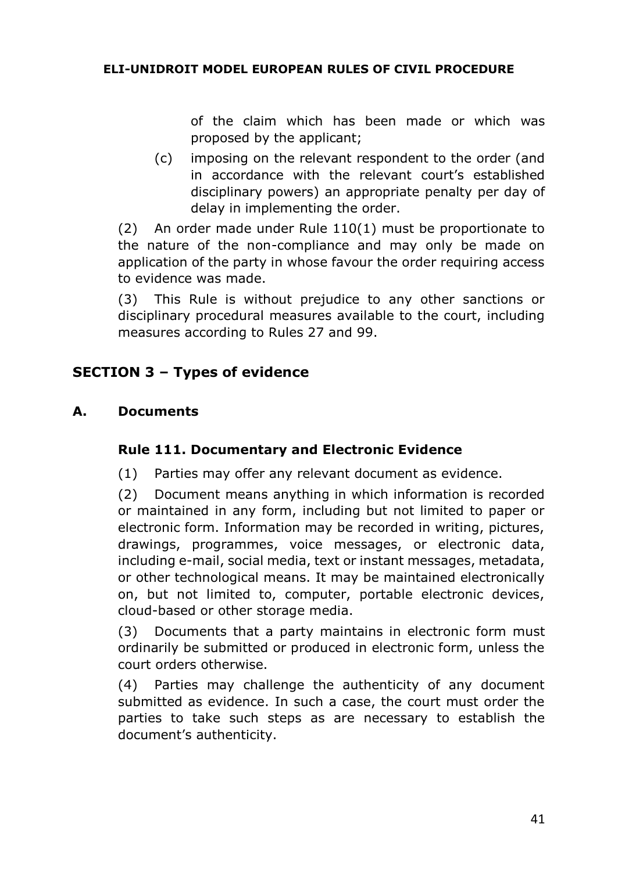of the claim which has been made or which was proposed by the applicant;

(c) imposing on the relevant respondent to the order (and in accordance with the relevant court's established disciplinary powers) an appropriate penalty per day of delay in implementing the order.

(2) An order made under Rule 110(1) must be proportionate to the nature of the non-compliance and may only be made on application of the party in whose favour the order requiring access to evidence was made.

(3) This Rule is without prejudice to any other sanctions or disciplinary procedural measures available to the court, including measures according to Rules 27 and 99.

# **SECTION 3 – Types of evidence**

#### **A. Documents**

#### **Rule 111. Documentary and Electronic Evidence**

(1) Parties may offer any relevant document as evidence.

(2) Document means anything in which information is recorded or maintained in any form, including but not limited to paper or electronic form. Information may be recorded in writing, pictures, drawings, programmes, voice messages, or electronic data, including e-mail, social media, text or instant messages, metadata, or other technological means. It may be maintained electronically on, but not limited to, computer, portable electronic devices, cloud-based or other storage media.

(3) Documents that a party maintains in electronic form must ordinarily be submitted or produced in electronic form, unless the court orders otherwise.

(4) Parties may challenge the authenticity of any document submitted as evidence. In such a case, the court must order the parties to take such steps as are necessary to establish the document's authenticity.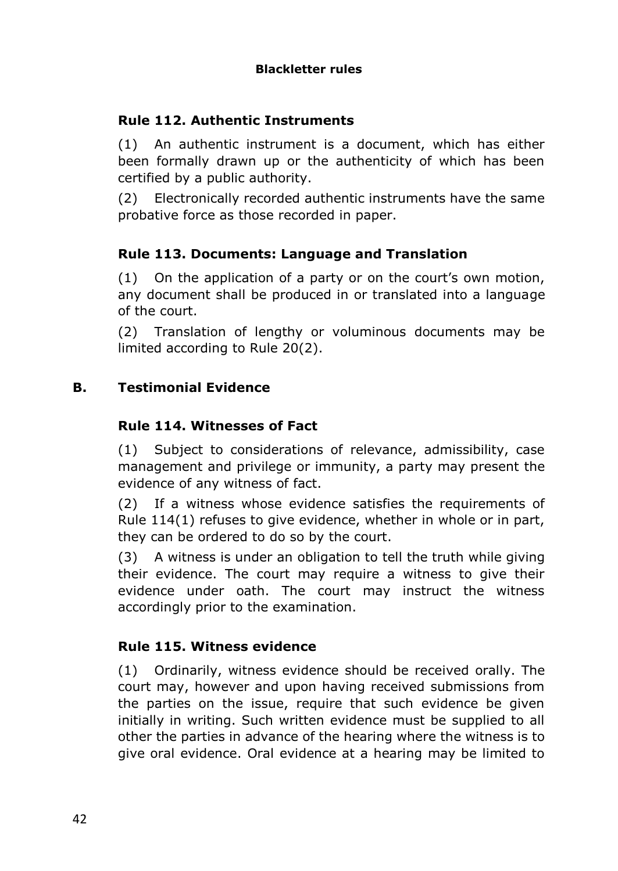### **Rule 112. Authentic Instruments**

(1) An authentic instrument is a document, which has either been formally drawn up or the authenticity of which has been certified by a public authority.

(2) Electronically recorded authentic instruments have the same probative force as those recorded in paper.

#### **Rule 113. Documents: Language and Translation**

(1) On the application of a party or on the court's own motion, any document shall be produced in or translated into a language of the court.

(2) Translation of lengthy or voluminous documents may be limited according to Rule 20(2).

## **B. Testimonial Evidence**

#### **Rule 114. Witnesses of Fact**

(1) Subject to considerations of relevance, admissibility, case management and privilege or immunity, a party may present the evidence of any witness of fact.

(2) If a witness whose evidence satisfies the requirements of Rule 114(1) refuses to give evidence, whether in whole or in part, they can be ordered to do so by the court.

(3) A witness is under an obligation to tell the truth while giving their evidence. The court may require a witness to give their evidence under oath. The court may instruct the witness accordingly prior to the examination.

#### **Rule 115. Witness evidence**

(1) Ordinarily, witness evidence should be received orally. The court may, however and upon having received submissions from the parties on the issue, require that such evidence be given initially in writing. Such written evidence must be supplied to all other the parties in advance of the hearing where the witness is to give oral evidence. Oral evidence at a hearing may be limited to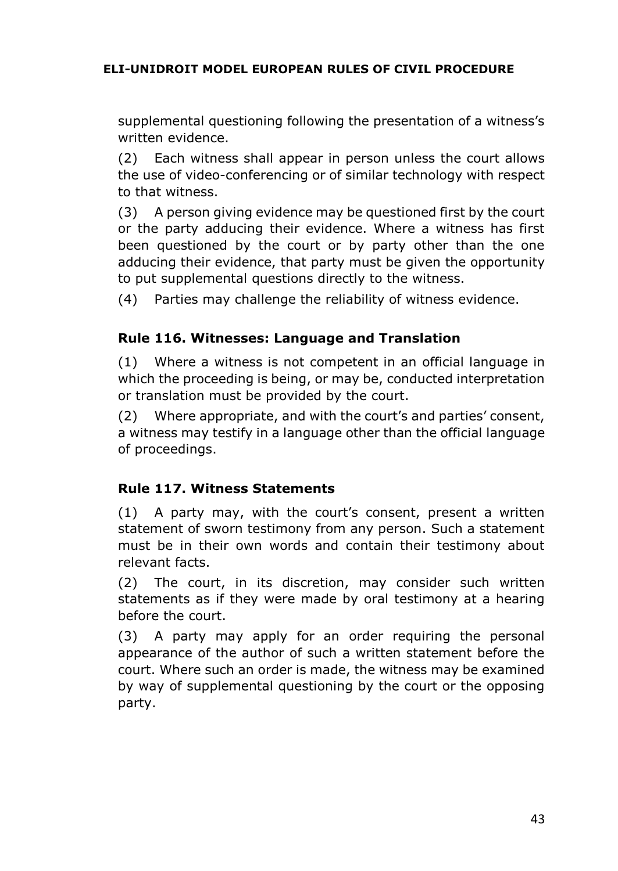supplemental questioning following the presentation of a witness's written evidence.

(2) Each witness shall appear in person unless the court allows the use of video-conferencing or of similar technology with respect to that witness.

(3) A person giving evidence may be questioned first by the court or the party adducing their evidence. Where a witness has first been questioned by the court or by party other than the one adducing their evidence, that party must be given the opportunity to put supplemental questions directly to the witness.

(4) Parties may challenge the reliability of witness evidence.

# **Rule 116. Witnesses: Language and Translation**

(1) Where a witness is not competent in an official language in which the proceeding is being, or may be, conducted interpretation or translation must be provided by the court.

(2) Where appropriate, and with the court's and parties' consent, a witness may testify in a language other than the official language of proceedings.

# **Rule 117. Witness Statements**

(1) A party may, with the court's consent, present a written statement of sworn testimony from any person. Such a statement must be in their own words and contain their testimony about relevant facts.

(2) The court, in its discretion, may consider such written statements as if they were made by oral testimony at a hearing before the court.

(3) A party may apply for an order requiring the personal appearance of the author of such a written statement before the court. Where such an order is made, the witness may be examined by way of supplemental questioning by the court or the opposing party.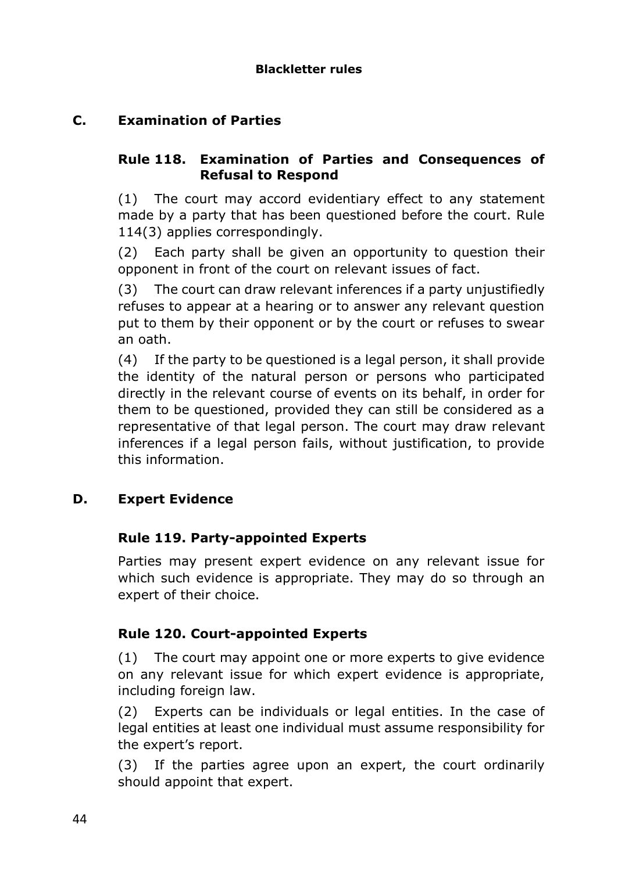# **C. Examination of Parties**

#### **Rule 118. Examination of Parties and Consequences of Refusal to Respond**

(1) The court may accord evidentiary effect to any statement made by a party that has been questioned before the court. Rule 114(3) applies correspondingly.

(2) Each party shall be given an opportunity to question their opponent in front of the court on relevant issues of fact.

(3) The court can draw relevant inferences if a party unjustifiedly refuses to appear at a hearing or to answer any relevant question put to them by their opponent or by the court or refuses to swear an oath.

(4) If the party to be questioned is a legal person, it shall provide the identity of the natural person or persons who participated directly in the relevant course of events on its behalf, in order for them to be questioned, provided they can still be considered as a representative of that legal person. The court may draw relevant inferences if a legal person fails, without justification, to provide this information.

#### **D. Expert Evidence**

#### **Rule 119. Party-appointed Experts**

Parties may present expert evidence on any relevant issue for which such evidence is appropriate. They may do so through an expert of their choice.

#### **Rule 120. Court-appointed Experts**

(1) The court may appoint one or more experts to give evidence on any relevant issue for which expert evidence is appropriate, including foreign law.

(2) Experts can be individuals or legal entities. In the case of legal entities at least one individual must assume responsibility for the expert's report.

(3) If the parties agree upon an expert, the court ordinarily should appoint that expert.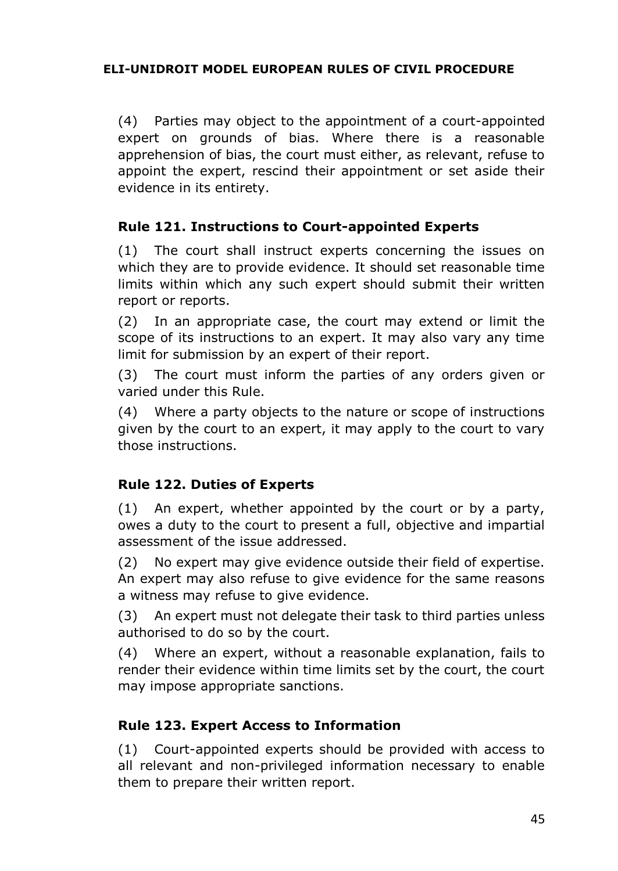(4) Parties may object to the appointment of a court-appointed expert on grounds of bias. Where there is a reasonable apprehension of bias, the court must either, as relevant, refuse to appoint the expert, rescind their appointment or set aside their evidence in its entirety.

## **Rule 121. Instructions to Court-appointed Experts**

(1) The court shall instruct experts concerning the issues on which they are to provide evidence. It should set reasonable time limits within which any such expert should submit their written report or reports.

(2) In an appropriate case, the court may extend or limit the scope of its instructions to an expert. It may also vary any time limit for submission by an expert of their report.

(3) The court must inform the parties of any orders given or varied under this Rule.

(4) Where a party objects to the nature or scope of instructions given by the court to an expert, it may apply to the court to vary those instructions.

#### **Rule 122. Duties of Experts**

(1) An expert, whether appointed by the court or by a party, owes a duty to the court to present a full, objective and impartial assessment of the issue addressed.

(2) No expert may give evidence outside their field of expertise. An expert may also refuse to give evidence for the same reasons a witness may refuse to give evidence.

(3) An expert must not delegate their task to third parties unless authorised to do so by the court.

(4) Where an expert, without a reasonable explanation, fails to render their evidence within time limits set by the court, the court may impose appropriate sanctions.

# **Rule 123. Expert Access to Information**

(1) Court-appointed experts should be provided with access to all relevant and non-privileged information necessary to enable them to prepare their written report.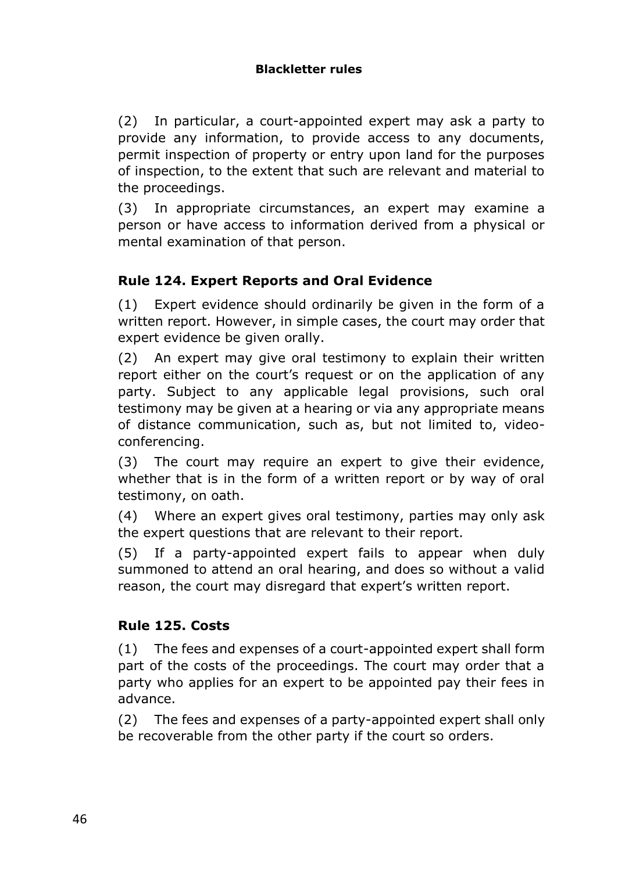#### **Blackletter rules**

(2) In particular, a court-appointed expert may ask a party to provide any information, to provide access to any documents, permit inspection of property or entry upon land for the purposes of inspection, to the extent that such are relevant and material to the proceedings.

(3) In appropriate circumstances, an expert may examine a person or have access to information derived from a physical or mental examination of that person.

# **Rule 124. Expert Reports and Oral Evidence**

(1) Expert evidence should ordinarily be given in the form of a written report. However, in simple cases, the court may order that expert evidence be given orally.

(2) An expert may give oral testimony to explain their written report either on the court's request or on the application of any party. Subject to any applicable legal provisions, such oral testimony may be given at a hearing or via any appropriate means of distance communication, such as, but not limited to, videoconferencing.

(3) The court may require an expert to give their evidence, whether that is in the form of a written report or by way of oral testimony, on oath.

(4) Where an expert gives oral testimony, parties may only ask the expert questions that are relevant to their report.

(5) If a party-appointed expert fails to appear when duly summoned to attend an oral hearing, and does so without a valid reason, the court may disregard that expert's written report.

#### **Rule 125. Costs**

(1) The fees and expenses of a court-appointed expert shall form part of the costs of the proceedings. The court may order that a party who applies for an expert to be appointed pay their fees in advance.

(2) The fees and expenses of a party-appointed expert shall only be recoverable from the other party if the court so orders.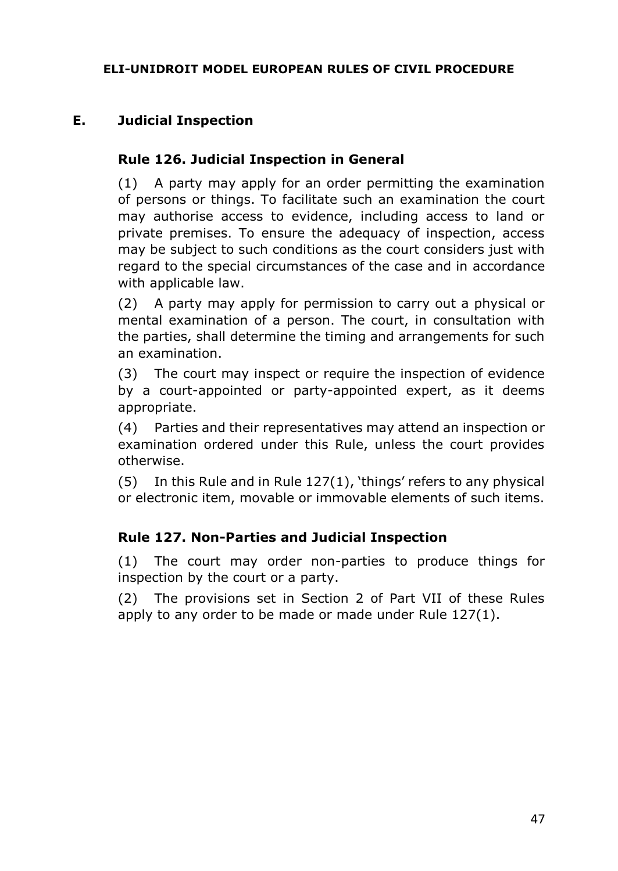## **E. Judicial Inspection**

#### **Rule 126. Judicial Inspection in General**

(1) A party may apply for an order permitting the examination of persons or things. To facilitate such an examination the court may authorise access to evidence, including access to land or private premises. To ensure the adequacy of inspection, access may be subject to such conditions as the court considers just with regard to the special circumstances of the case and in accordance with applicable law.

(2) A party may apply for permission to carry out a physical or mental examination of a person. The court, in consultation with the parties, shall determine the timing and arrangements for such an examination.

(3) The court may inspect or require the inspection of evidence by a court-appointed or party-appointed expert, as it deems appropriate.

(4) Parties and their representatives may attend an inspection or examination ordered under this Rule, unless the court provides otherwise.

(5) In this Rule and in Rule 127(1), 'things' refers to any physical or electronic item, movable or immovable elements of such items.

#### **Rule 127. Non-Parties and Judicial Inspection**

(1) The court may order non-parties to produce things for inspection by the court or a party.

(2) The provisions set in Section 2 of Part VII of these Rules apply to any order to be made or made under Rule 127(1).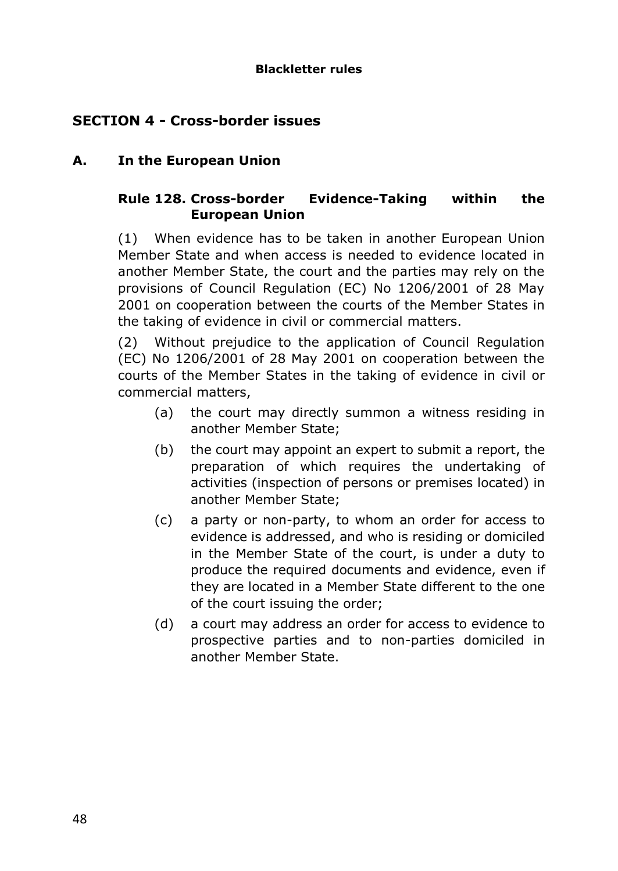#### **Blackletter rules**

# **SECTION 4 - Cross-border issues**

### **A. In the European Union**

## **Rule 128. Cross-border Evidence-Taking within the European Union**

(1) When evidence has to be taken in another European Union Member State and when access is needed to evidence located in another Member State, the court and the parties may rely on the provisions of Council Regulation (EC) No 1206/2001 of 28 May 2001 on cooperation between the courts of the Member States in the taking of evidence in civil or commercial matters.

(2) Without prejudice to the application of Council Regulation (EC) No 1206/2001 of 28 May 2001 on cooperation between the courts of the Member States in the taking of evidence in civil or commercial matters,

- (a) the court may directly summon a witness residing in another Member State;
- (b) the court may appoint an expert to submit a report, the preparation of which requires the undertaking of activities (inspection of persons or premises located) in another Member State;
- (c) a party or non-party, to whom an order for access to evidence is addressed, and who is residing or domiciled in the Member State of the court, is under a duty to produce the required documents and evidence, even if they are located in a Member State different to the one of the court issuing the order;
- (d) a court may address an order for access to evidence to prospective parties and to non-parties domiciled in another Member State.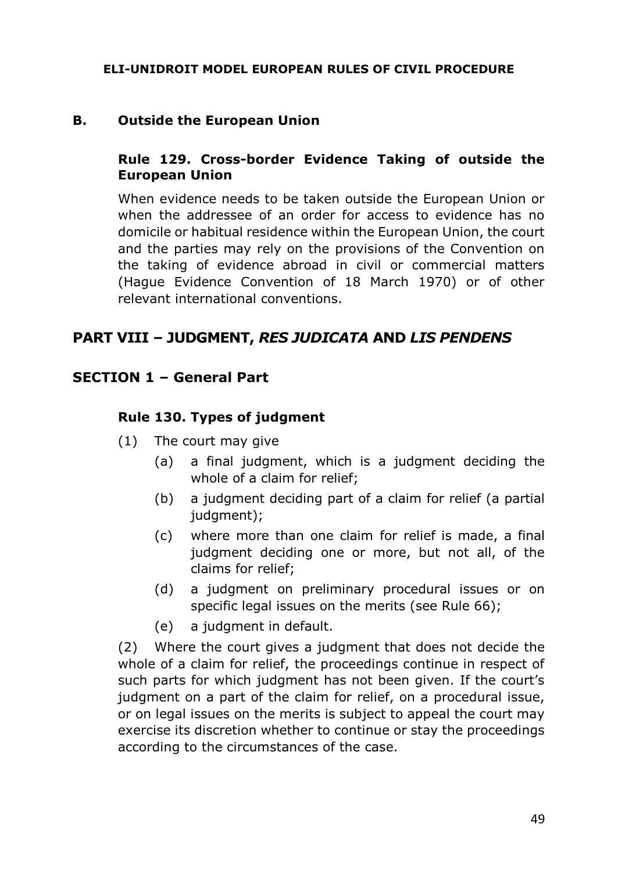#### **B. Outside the European Union**

#### **Rule 129. Cross-border Evidence Taking of outside the European Union**

When evidence needs to be taken outside the European Union or when the addressee of an order for access to evidence has no domicile or habitual residence within the European Union, the court and the parties may rely on the provisions of the Convention on the taking of evidence abroad in civil or commercial matters (Hague Evidence Convention of 18 March 1970) or of other relevant international conventions.

## **PART VIII – JUDGMENT,** *RES JUDICATA* **AND** *LIS PENDENS*

#### **SECTION 1 – General Part**

#### **Rule 130. Types of judgment**

- (1) The court may give
	- (a) a final judgment, which is a judgment deciding the whole of a claim for relief;
	- (b) a judgment deciding part of a claim for relief (a partial judgment);
	- (c) where more than one claim for relief is made, a final judgment deciding one or more, but not all, of the claims for relief;
	- (d) a judgment on preliminary procedural issues or on specific legal issues on the merits (see Rule 66);
	- (e) a judgment in default.

(2) Where the court gives a judgment that does not decide the whole of a claim for relief, the proceedings continue in respect of such parts for which judgment has not been given. If the court's judgment on a part of the claim for relief, on a procedural issue, or on legal issues on the merits is subject to appeal the court may exercise its discretion whether to continue or stay the proceedings according to the circumstances of the case.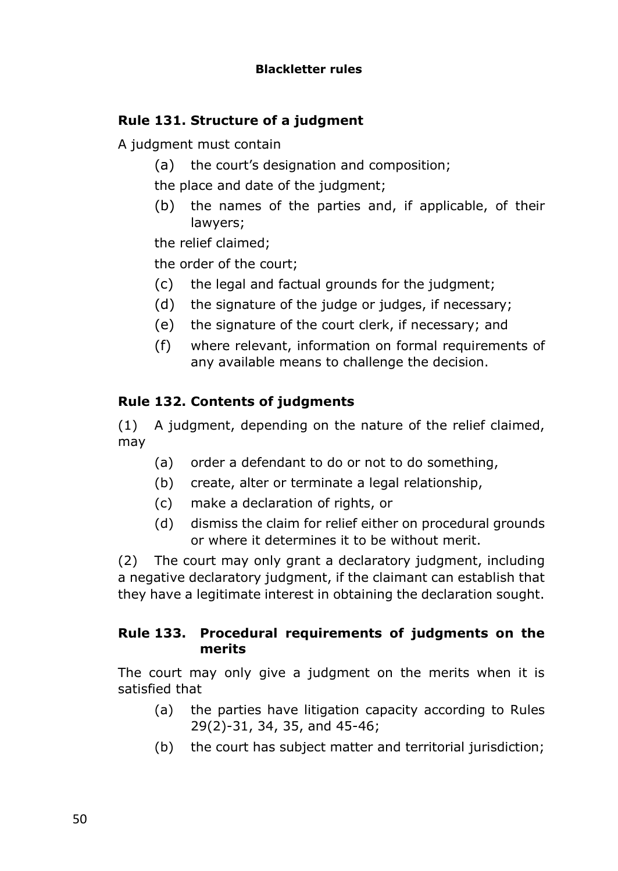# **Rule 131. Structure of a judgment**

A judgment must contain

(a) the court's designation and composition;

the place and date of the judgment;

(b) the names of the parties and, if applicable, of their lawyers;

the relief claimed;

the order of the court;

- (c) the legal and factual grounds for the judgment;
- (d) the signature of the judge or judges, if necessary;
- (e) the signature of the court clerk, if necessary; and
- (f) where relevant, information on formal requirements of any available means to challenge the decision.

# **Rule 132. Contents of judgments**

(1) A judgment, depending on the nature of the relief claimed, may

- (a) order a defendant to do or not to do something,
- (b) create, alter or terminate a legal relationship,
- (c) make a declaration of rights, or
- (d) dismiss the claim for relief either on procedural grounds or where it determines it to be without merit.

(2) The court may only grant a declaratory judgment, including a negative declaratory judgment, if the claimant can establish that they have a legitimate interest in obtaining the declaration sought.

#### **Rule 133. Procedural requirements of judgments on the merits**

The court may only give a judgment on the merits when it is satisfied that

- (a) the parties have litigation capacity according to Rules 29(2)-31, 34, 35, and 45-46;
- (b) the court has subject matter and territorial jurisdiction;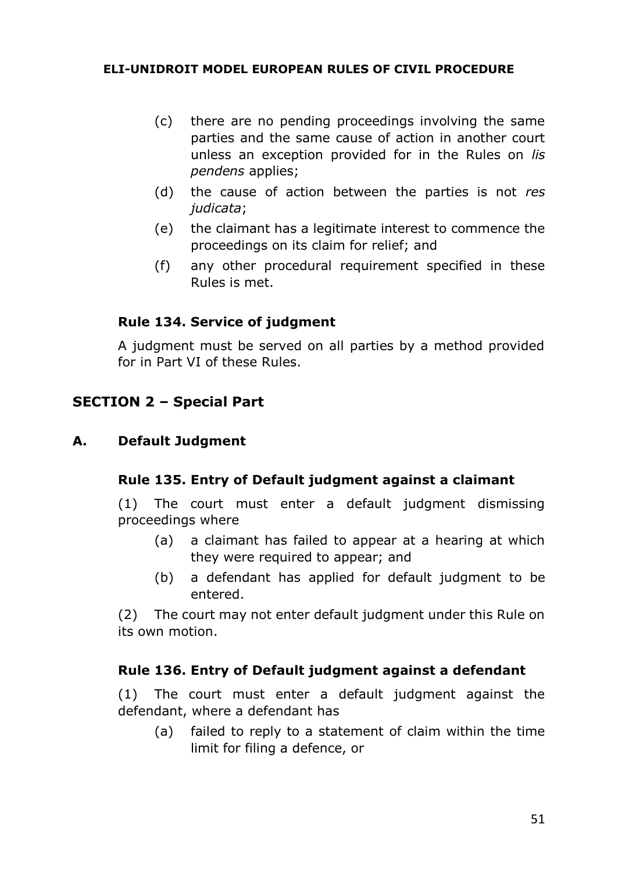- (c) there are no pending proceedings involving the same parties and the same cause of action in another court unless an exception provided for in the Rules on *lis pendens* applies;
- (d) the cause of action between the parties is not *res judicata*;
- (e) the claimant has a legitimate interest to commence the proceedings on its claim for relief; and
- (f) any other procedural requirement specified in these Rules is met.

## **Rule 134. Service of judgment**

A judgment must be served on all parties by a method provided for in Part VI of these Rules.

# **SECTION 2 – Special Part**

#### **A. Default Judgment**

#### **Rule 135. Entry of Default judgment against a claimant**

(1) The court must enter a default judgment dismissing proceedings where

- (a) a claimant has failed to appear at a hearing at which they were required to appear; and
- (b) a defendant has applied for default judgment to be entered.

(2) The court may not enter default judgment under this Rule on its own motion.

#### **Rule 136. Entry of Default judgment against a defendant**

(1) The court must enter a default judgment against the defendant, where a defendant has

(a) failed to reply to a statement of claim within the time limit for filing a defence, or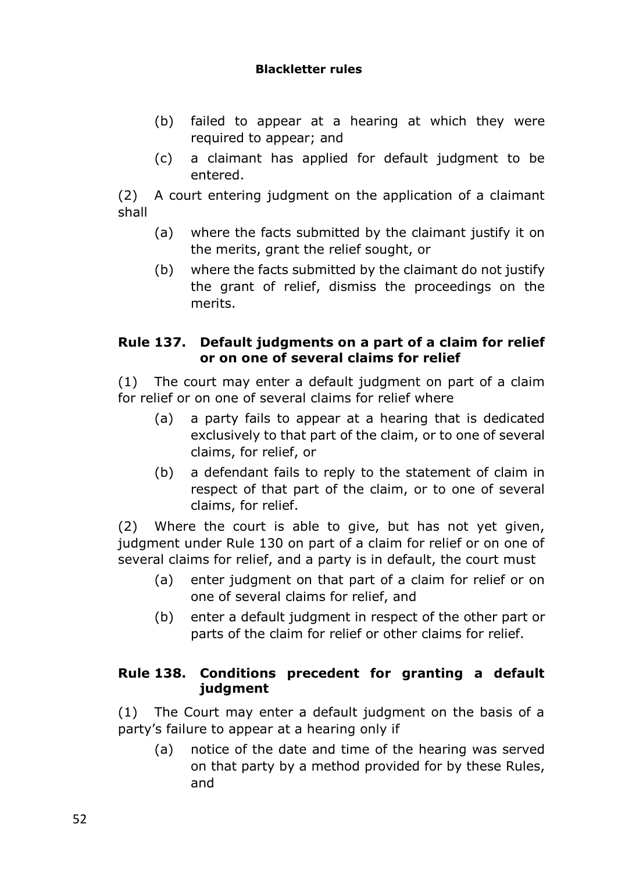#### **Blackletter rules**

- (b) failed to appear at a hearing at which they were required to appear; and
- (c) a claimant has applied for default judgment to be entered.

(2) A court entering judgment on the application of a claimant shall

- (a) where the facts submitted by the claimant justify it on the merits, grant the relief sought, or
- (b) where the facts submitted by the claimant do not justify the grant of relief, dismiss the proceedings on the merits.

### **Rule 137. Default judgments on a part of a claim for relief or on one of several claims for relief**

(1) The court may enter a default judgment on part of a claim for relief or on one of several claims for relief where

- (a) a party fails to appear at a hearing that is dedicated exclusively to that part of the claim, or to one of several claims, for relief, or
- (b) a defendant fails to reply to the statement of claim in respect of that part of the claim, or to one of several claims, for relief.

(2) Where the court is able to give, but has not yet given, judgment under Rule 130 on part of a claim for relief or on one of several claims for relief, and a party is in default, the court must

- (a) enter judgment on that part of a claim for relief or on one of several claims for relief, and
- (b) enter a default judgment in respect of the other part or parts of the claim for relief or other claims for relief.

## **Rule 138. Conditions precedent for granting a default judgment**

(1) The Court may enter a default judgment on the basis of a party's failure to appear at a hearing only if

(a) notice of the date and time of the hearing was served on that party by a method provided for by these Rules, and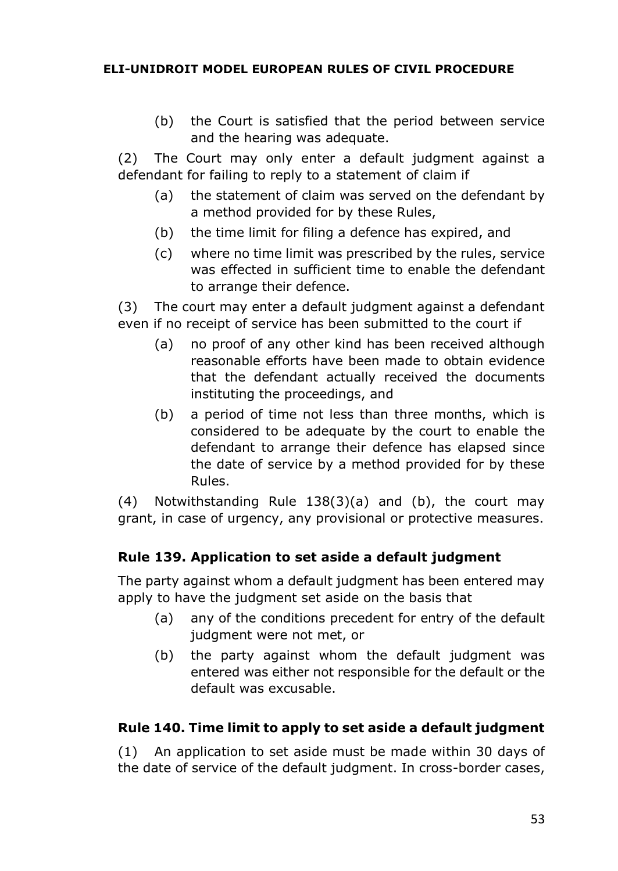(b) the Court is satisfied that the period between service and the hearing was adequate.

(2) The Court may only enter a default judgment against a defendant for failing to reply to a statement of claim if

- (a) the statement of claim was served on the defendant by a method provided for by these Rules,
- (b) the time limit for filing a defence has expired, and
- (c) where no time limit was prescribed by the rules, service was effected in sufficient time to enable the defendant to arrange their defence.

(3) The court may enter a default judgment against a defendant even if no receipt of service has been submitted to the court if

- (a) no proof of any other kind has been received although reasonable efforts have been made to obtain evidence that the defendant actually received the documents instituting the proceedings, and
- (b) a period of time not less than three months, which is considered to be adequate by the court to enable the defendant to arrange their defence has elapsed since the date of service by a method provided for by these Rules.

(4) Notwithstanding Rule 138(3)(a) and (b), the court may grant, in case of urgency, any provisional or protective measures.

# **Rule 139. Application to set aside a default judgment**

The party against whom a default judgment has been entered may apply to have the judgment set aside on the basis that

- (a) any of the conditions precedent for entry of the default judgment were not met, or
- (b) the party against whom the default judgment was entered was either not responsible for the default or the default was excusable.

# **Rule 140. Time limit to apply to set aside a default judgment**

(1) An application to set aside must be made within 30 days of the date of service of the default judgment. In cross-border cases,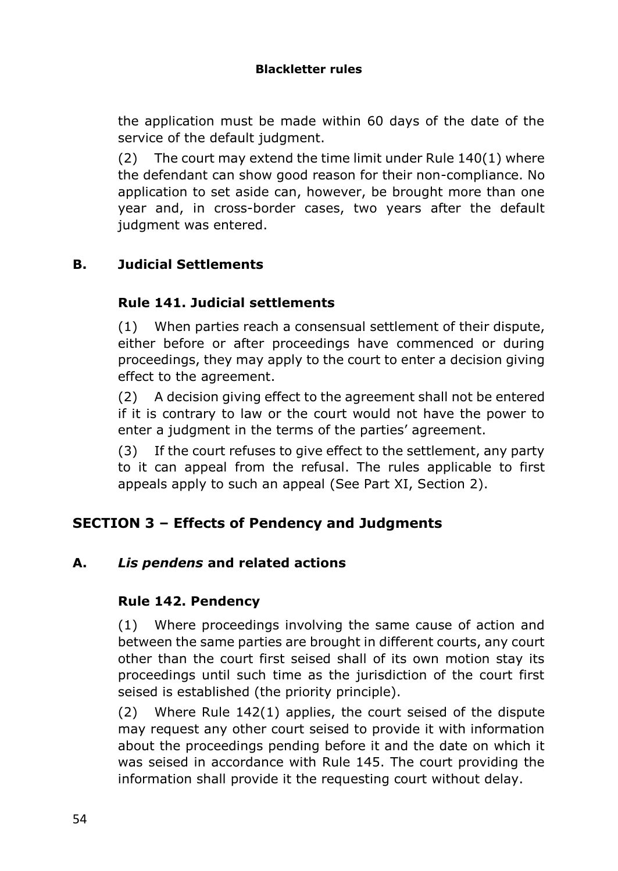the application must be made within 60 days of the date of the service of the default judgment.

(2) The court may extend the time limit under Rule 140(1) where the defendant can show good reason for their non-compliance. No application to set aside can, however, be brought more than one year and, in cross-border cases, two years after the default judgment was entered.

# **B. Judicial Settlements**

## **Rule 141. Judicial settlements**

(1) When parties reach a consensual settlement of their dispute, either before or after proceedings have commenced or during proceedings, they may apply to the court to enter a decision giving effect to the agreement.

(2) A decision giving effect to the agreement shall not be entered if it is contrary to law or the court would not have the power to enter a judgment in the terms of the parties' agreement.

(3) If the court refuses to give effect to the settlement, any party to it can appeal from the refusal. The rules applicable to first appeals apply to such an appeal (See Part XI, Section 2).

# **SECTION 3 – Effects of Pendency and Judgments**

#### **A.** *Lis pendens* **and related actions**

#### **Rule 142. Pendency**

(1) Where proceedings involving the same cause of action and between the same parties are brought in different courts, any court other than the court first seised shall of its own motion stay its proceedings until such time as the jurisdiction of the court first seised is established (the priority principle).

(2) Where Rule 142(1) applies, the court seised of the dispute may request any other court seised to provide it with information about the proceedings pending before it and the date on which it was seised in accordance with Rule 145. The court providing the information shall provide it the requesting court without delay.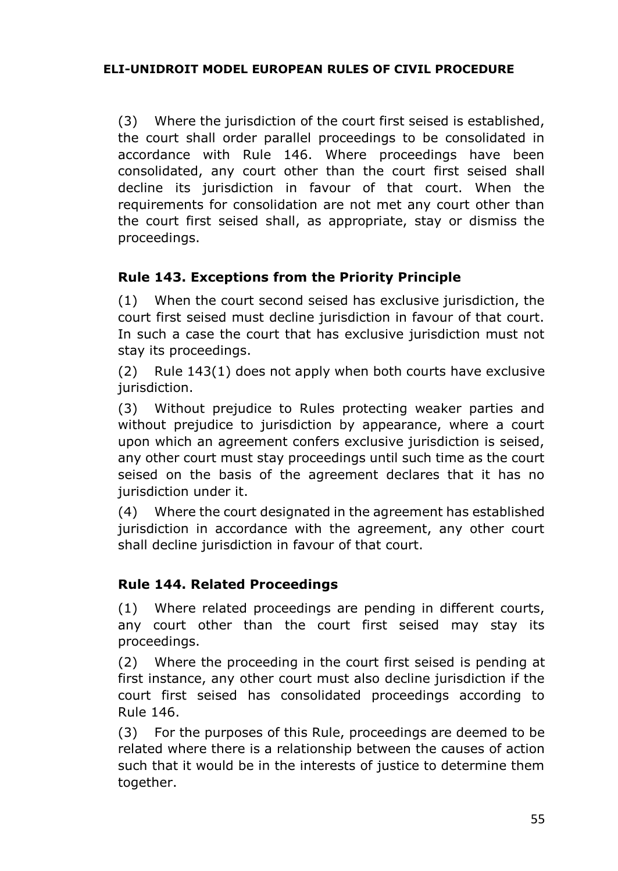(3) Where the jurisdiction of the court first seised is established, the court shall order parallel proceedings to be consolidated in accordance with Rule 146. Where proceedings have been consolidated, any court other than the court first seised shall decline its jurisdiction in favour of that court. When the requirements for consolidation are not met any court other than the court first seised shall, as appropriate, stay or dismiss the proceedings.

# **Rule 143. Exceptions from the Priority Principle**

(1) When the court second seised has exclusive jurisdiction, the court first seised must decline jurisdiction in favour of that court. In such a case the court that has exclusive jurisdiction must not stay its proceedings.

(2) Rule 143(1) does not apply when both courts have exclusive jurisdiction.

(3) Without prejudice to Rules protecting weaker parties and without prejudice to jurisdiction by appearance, where a court upon which an agreement confers exclusive jurisdiction is seised, any other court must stay proceedings until such time as the court seised on the basis of the agreement declares that it has no jurisdiction under it.

(4) Where the court designated in the agreement has established jurisdiction in accordance with the agreement, any other court shall decline jurisdiction in favour of that court.

#### **Rule 144. Related Proceedings**

(1) Where related proceedings are pending in different courts, any court other than the court first seised may stay its proceedings.

(2) Where the proceeding in the court first seised is pending at first instance, any other court must also decline jurisdiction if the court first seised has consolidated proceedings according to Rule 146.

(3) For the purposes of this Rule, proceedings are deemed to be related where there is a relationship between the causes of action such that it would be in the interests of justice to determine them together.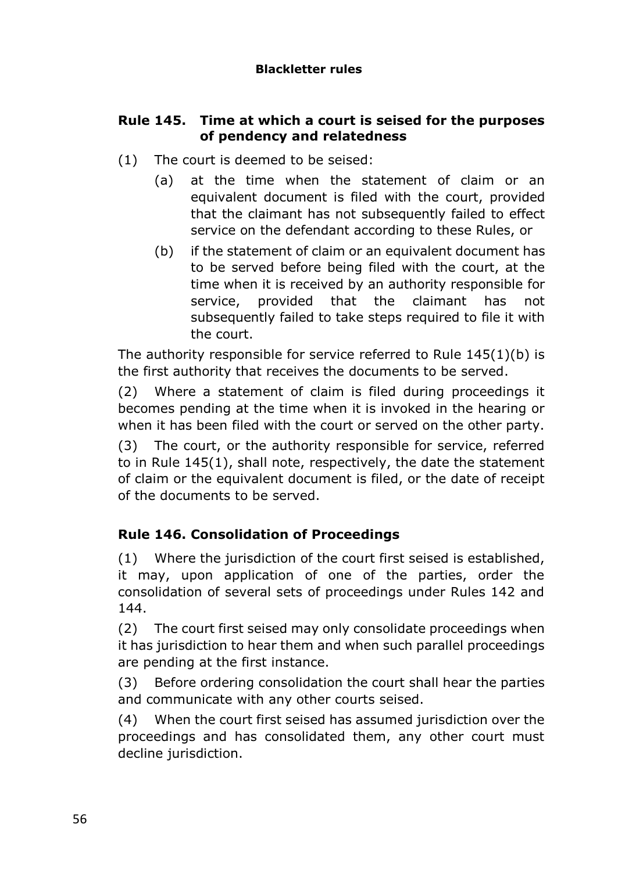## **Rule 145. Time at which a court is seised for the purposes of pendency and relatedness**

- (1) The court is deemed to be seised:
	- (a) at the time when the statement of claim or an equivalent document is filed with the court, provided that the claimant has not subsequently failed to effect service on the defendant according to these Rules, or
	- (b) if the statement of claim or an equivalent document has to be served before being filed with the court, at the time when it is received by an authority responsible for service, provided that the claimant has not subsequently failed to take steps required to file it with the court.

The authority responsible for service referred to Rule 145(1)(b) is the first authority that receives the documents to be served.

(2) Where a statement of claim is filed during proceedings it becomes pending at the time when it is invoked in the hearing or when it has been filed with the court or served on the other party.

(3) The court, or the authority responsible for service, referred to in Rule 145(1), shall note, respectively, the date the statement of claim or the equivalent document is filed, or the date of receipt of the documents to be served.

# **Rule 146. Consolidation of Proceedings**

(1) Where the jurisdiction of the court first seised is established, it may, upon application of one of the parties, order the consolidation of several sets of proceedings under Rules 142 and 144.

(2) The court first seised may only consolidate proceedings when it has jurisdiction to hear them and when such parallel proceedings are pending at the first instance.

(3) Before ordering consolidation the court shall hear the parties and communicate with any other courts seised.

(4) When the court first seised has assumed jurisdiction over the proceedings and has consolidated them, any other court must decline jurisdiction.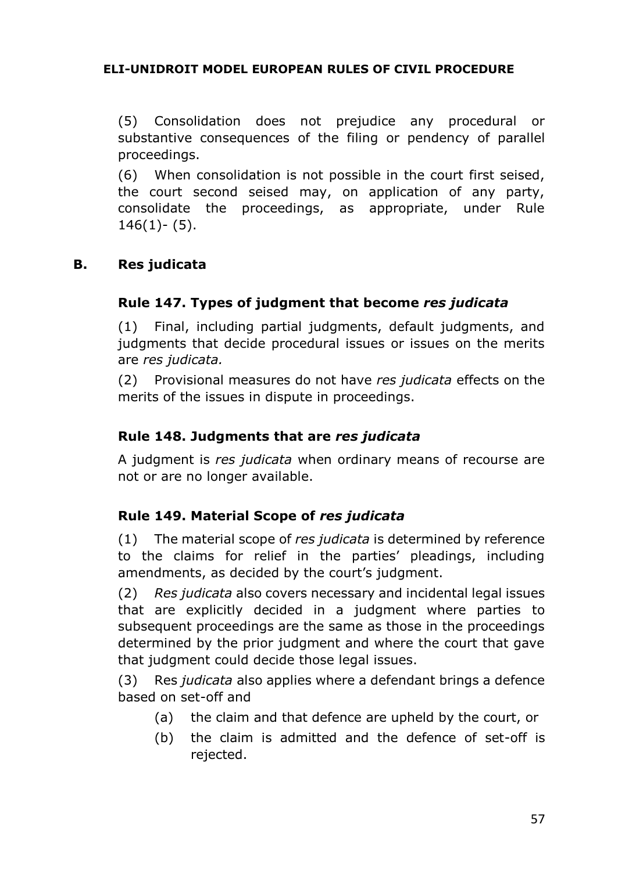(5) Consolidation does not prejudice any procedural or substantive consequences of the filing or pendency of parallel proceedings.

(6) When consolidation is not possible in the court first seised, the court second seised may, on application of any party, consolidate the proceedings, as appropriate, under Rule  $146(1) - (5)$ .

#### **B. Res judicata**

## **Rule 147. Types of judgment that become** *res judicata*

(1) Final, including partial judgments, default judgments, and judgments that decide procedural issues or issues on the merits are *res judicata.*

(2) Provisional measures do not have *res judicata* effects on the merits of the issues in dispute in proceedings.

#### **Rule 148. Judgments that are** *res judicata*

A judgment is *res judicata* when ordinary means of recourse are not or are no longer available.

#### **Rule 149. Material Scope of** *res judicata*

(1) The material scope of *res judicata* is determined by reference to the claims for relief in the parties' pleadings, including amendments, as decided by the court's judgment.

(2) *Res judicata* also covers necessary and incidental legal issues that are explicitly decided in a judgment where parties to subsequent proceedings are the same as those in the proceedings determined by the prior judgment and where the court that gave that judgment could decide those legal issues.

(3) Res *judicata* also applies where a defendant brings a defence based on set-off and

- (a) the claim and that defence are upheld by the court, or
- (b) the claim is admitted and the defence of set-off is rejected.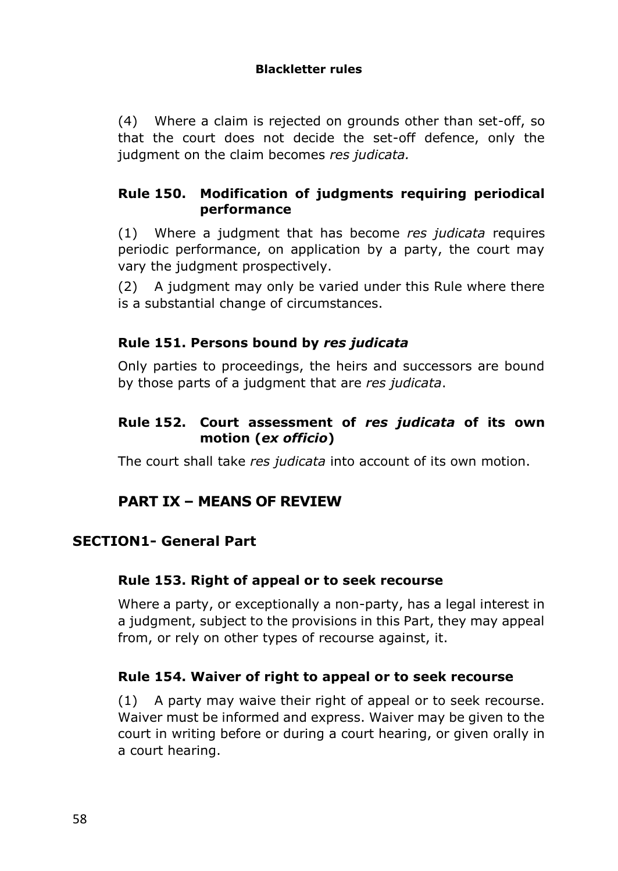(4) Where a claim is rejected on grounds other than set-off, so that the court does not decide the set-off defence, only the judgment on the claim becomes *res judicata.*

### **Rule 150. Modification of judgments requiring periodical performance**

(1) Where a judgment that has become *res judicata* requires periodic performance, on application by a party, the court may vary the judgment prospectively.

(2) A judgment may only be varied under this Rule where there is a substantial change of circumstances.

## **Rule 151. Persons bound by** *res judicata*

Only parties to proceedings, the heirs and successors are bound by those parts of a judgment that are *res judicata*.

#### **Rule 152. Court assessment of** *res judicata* **of its own motion (***ex officio***)**

The court shall take *res judicata* into account of its own motion.

# **PART IX – MEANS OF REVIEW**

### **SECTION1- General Part**

#### **Rule 153. Right of appeal or to seek recourse**

Where a party, or exceptionally a non-party, has a legal interest in a judgment, subject to the provisions in this Part, they may appeal from, or rely on other types of recourse against, it.

#### **Rule 154. Waiver of right to appeal or to seek recourse**

(1) A party may waive their right of appeal or to seek recourse. Waiver must be informed and express. Waiver may be given to the court in writing before or during a court hearing, or given orally in a court hearing.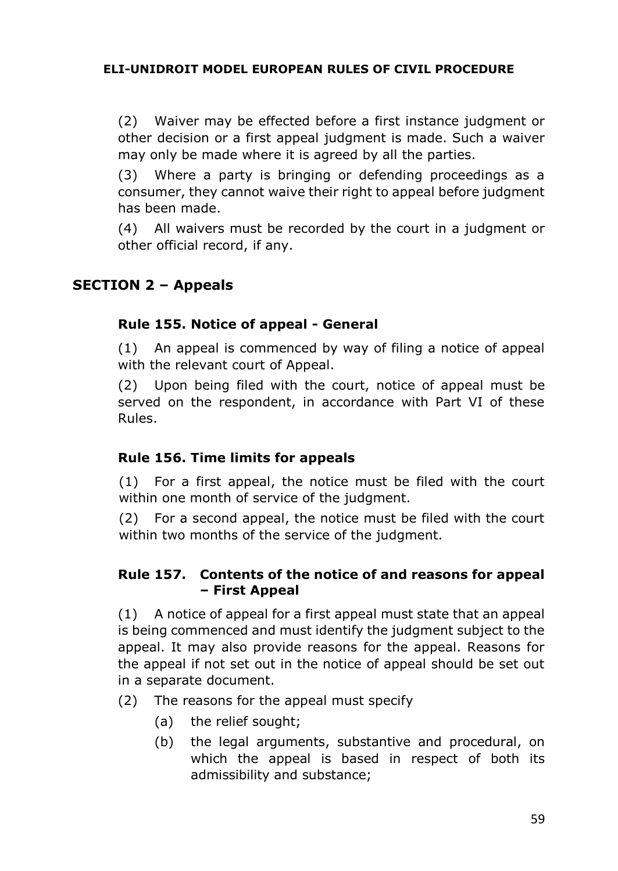(2) Waiver may be effected before a first instance judgment or other decision or a first appeal judgment is made. Such a waiver may only be made where it is agreed by all the parties.

(3) Where a party is bringing or defending proceedings as a consumer, they cannot waive their right to appeal before judgment has been made.

(4) All waivers must be recorded by the court in a judgment or other official record, if any.

# **SECTION 2 – Appeals**

#### **Rule 155. Notice of appeal - General**

(1) An appeal is commenced by way of filing a notice of appeal with the relevant court of Appeal.

(2) Upon being filed with the court, notice of appeal must be served on the respondent, in accordance with Part VI of these Rules.

# **Rule 156. Time limits for appeals**

(1) For a first appeal, the notice must be filed with the court within one month of service of the judgment.

(2) For a second appeal, the notice must be filed with the court within two months of the service of the judgment.

#### **Rule 157. Contents of the notice of and reasons for appeal – First Appeal**

(1) A notice of appeal for a first appeal must state that an appeal is being commenced and must identify the judgment subject to the appeal. It may also provide reasons for the appeal. Reasons for the appeal if not set out in the notice of appeal should be set out in a separate document.

- (2) The reasons for the appeal must specify
	- (a) the relief sought;
	- (b) the legal arguments, substantive and procedural, on which the appeal is based in respect of both its admissibility and substance;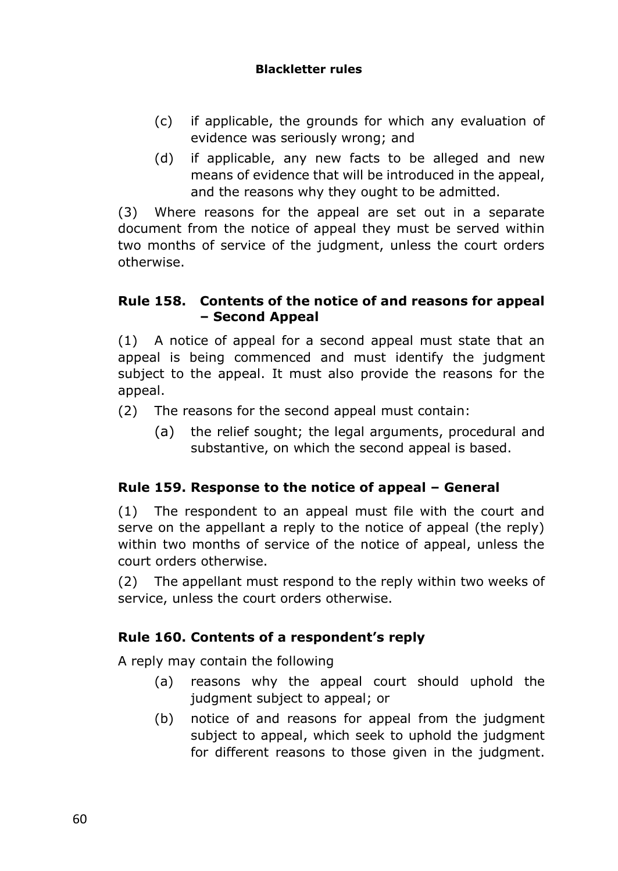#### **Blackletter rules**

- (c) if applicable, the grounds for which any evaluation of evidence was seriously wrong; and
- (d) if applicable, any new facts to be alleged and new means of evidence that will be introduced in the appeal, and the reasons why they ought to be admitted.

(3) Where reasons for the appeal are set out in a separate document from the notice of appeal they must be served within two months of service of the judgment, unless the court orders otherwise.

#### **Rule 158. Contents of the notice of and reasons for appeal – Second Appeal**

(1) A notice of appeal for a second appeal must state that an appeal is being commenced and must identify the judgment subject to the appeal. It must also provide the reasons for the appeal.

- (2) The reasons for the second appeal must contain:
	- (a) the relief sought; the legal arguments, procedural and substantive, on which the second appeal is based.

#### **Rule 159. Response to the notice of appeal – General**

(1) The respondent to an appeal must file with the court and serve on the appellant a reply to the notice of appeal (the reply) within two months of service of the notice of appeal, unless the court orders otherwise.

(2) The appellant must respond to the reply within two weeks of service, unless the court orders otherwise.

#### **Rule 160. Contents of a respondent's reply**

A reply may contain the following

- (a) reasons why the appeal court should uphold the judgment subject to appeal; or
- (b) notice of and reasons for appeal from the judgment subject to appeal, which seek to uphold the judgment for different reasons to those given in the judgment.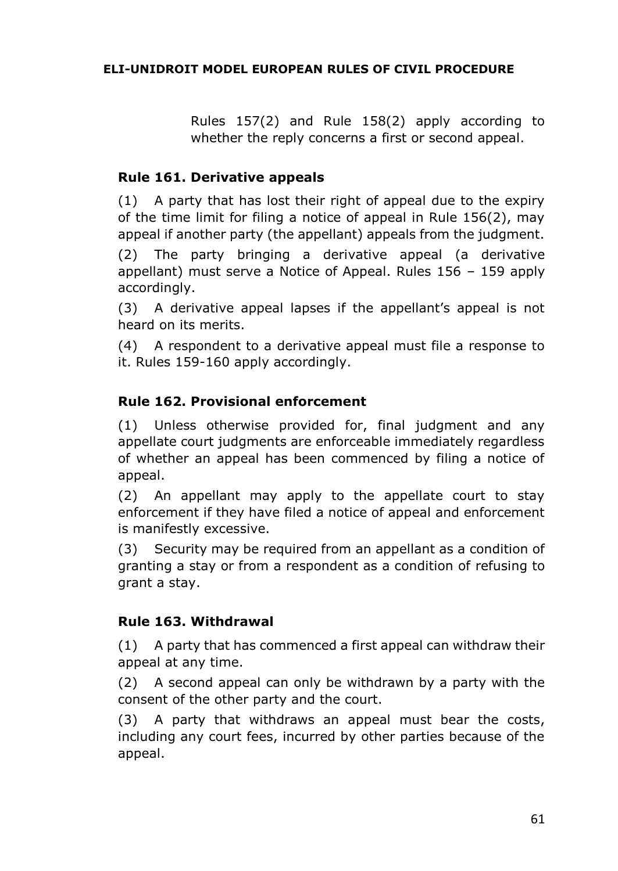Rules 157(2) and Rule 158(2) apply according to whether the reply concerns a first or second appeal.

### **Rule 161. Derivative appeals**

(1) A party that has lost their right of appeal due to the expiry of the time limit for filing a notice of appeal in Rule 156(2), may appeal if another party (the appellant) appeals from the judgment.

(2) The party bringing a derivative appeal (a derivative appellant) must serve a Notice of Appeal. Rules 156 – 159 apply accordingly.

(3) A derivative appeal lapses if the appellant's appeal is not heard on its merits.

(4) A respondent to a derivative appeal must file a response to it. Rules 159-160 apply accordingly.

## **Rule 162. Provisional enforcement**

(1) Unless otherwise provided for, final judgment and any appellate court judgments are enforceable immediately regardless of whether an appeal has been commenced by filing a notice of appeal.

(2) An appellant may apply to the appellate court to stay enforcement if they have filed a notice of appeal and enforcement is manifestly excessive.

(3) Security may be required from an appellant as a condition of granting a stay or from a respondent as a condition of refusing to grant a stay.

#### **Rule 163. Withdrawal**

(1) A party that has commenced a first appeal can withdraw their appeal at any time.

(2) A second appeal can only be withdrawn by a party with the consent of the other party and the court.

(3) A party that withdraws an appeal must bear the costs, including any court fees, incurred by other parties because of the appeal.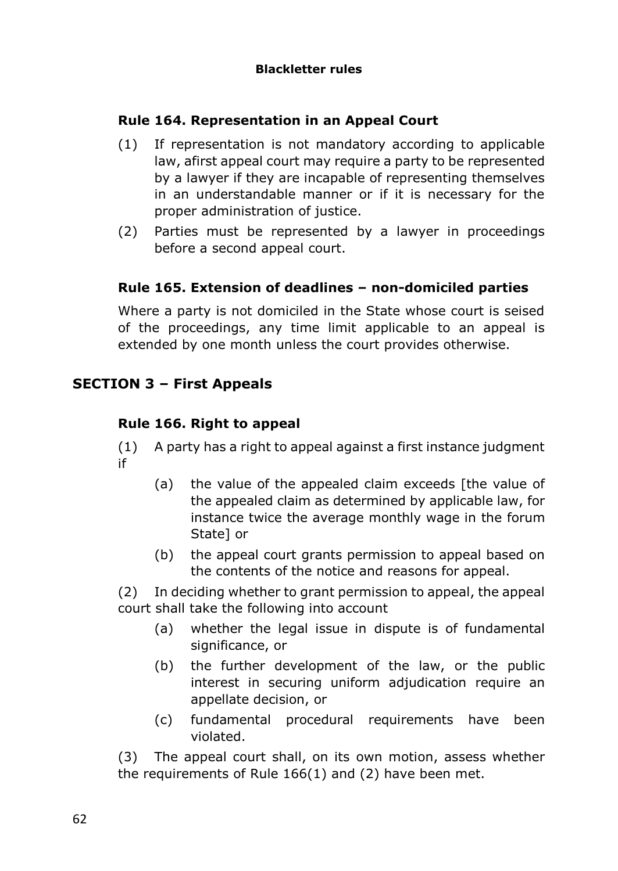## **Rule 164. Representation in an Appeal Court**

- (1) If representation is not mandatory according to applicable law, afirst appeal court may require a party to be represented by a lawyer if they are incapable of representing themselves in an understandable manner or if it is necessary for the proper administration of justice.
- (2) Parties must be represented by a lawyer in proceedings before a second appeal court.

#### **Rule 165. Extension of deadlines – non-domiciled parties**

Where a party is not domiciled in the State whose court is seised of the proceedings, any time limit applicable to an appeal is extended by one month unless the court provides otherwise.

## **SECTION 3 – First Appeals**

#### **Rule 166. Right to appeal**

- (1) A party has a right to appeal against a first instance judgment if
	- (a) the value of the appealed claim exceeds [the value of the appealed claim as determined by applicable law, for instance twice the average monthly wage in the forum State] or
	- (b) the appeal court grants permission to appeal based on the contents of the notice and reasons for appeal.

(2) In deciding whether to grant permission to appeal, the appeal court shall take the following into account

- (a) whether the legal issue in dispute is of fundamental significance, or
- (b) the further development of the law, or the public interest in securing uniform adjudication require an appellate decision, or
- (c) fundamental procedural requirements have been violated.

(3) The appeal court shall, on its own motion, assess whether the requirements of Rule 166(1) and (2) have been met.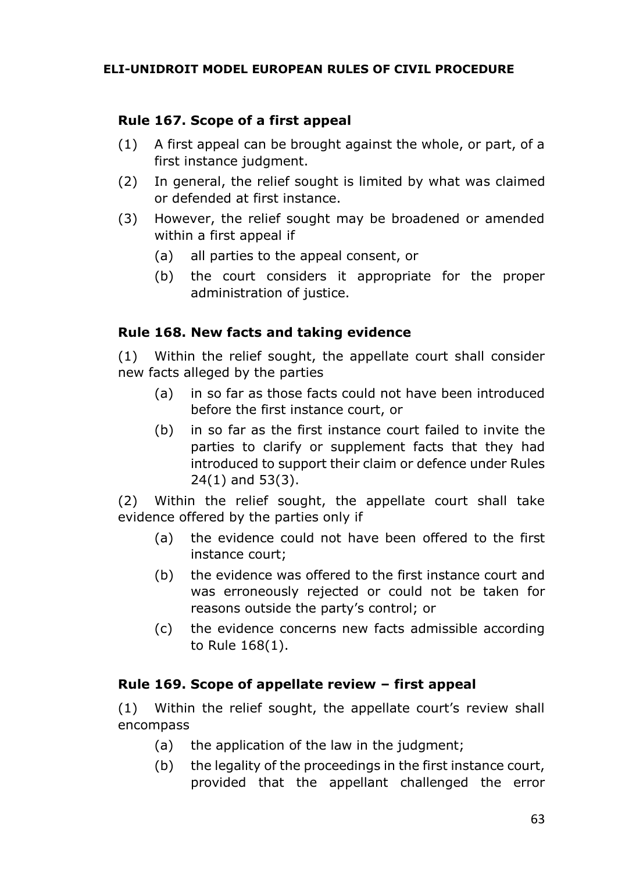## **Rule 167. Scope of a first appeal**

- (1) A first appeal can be brought against the whole, or part, of a first instance judgment.
- (2) In general, the relief sought is limited by what was claimed or defended at first instance.
- (3) However, the relief sought may be broadened or amended within a first appeal if
	- (a) all parties to the appeal consent, or
	- (b) the court considers it appropriate for the proper administration of justice.

#### **Rule 168. New facts and taking evidence**

(1) Within the relief sought, the appellate court shall consider new facts alleged by the parties

- (a) in so far as those facts could not have been introduced before the first instance court, or
- (b) in so far as the first instance court failed to invite the parties to clarify or supplement facts that they had introduced to support their claim or defence under Rules 24(1) and 53(3).

(2) Within the relief sought, the appellate court shall take evidence offered by the parties only if

- (a) the evidence could not have been offered to the first instance court;
- (b) the evidence was offered to the first instance court and was erroneously rejected or could not be taken for reasons outside the party's control; or
- (c) the evidence concerns new facts admissible according to Rule 168(1).

#### **Rule 169. Scope of appellate review – first appeal**

(1) Within the relief sought, the appellate court's review shall encompass

- (a) the application of the law in the judgment;
- (b) the legality of the proceedings in the first instance court, provided that the appellant challenged the error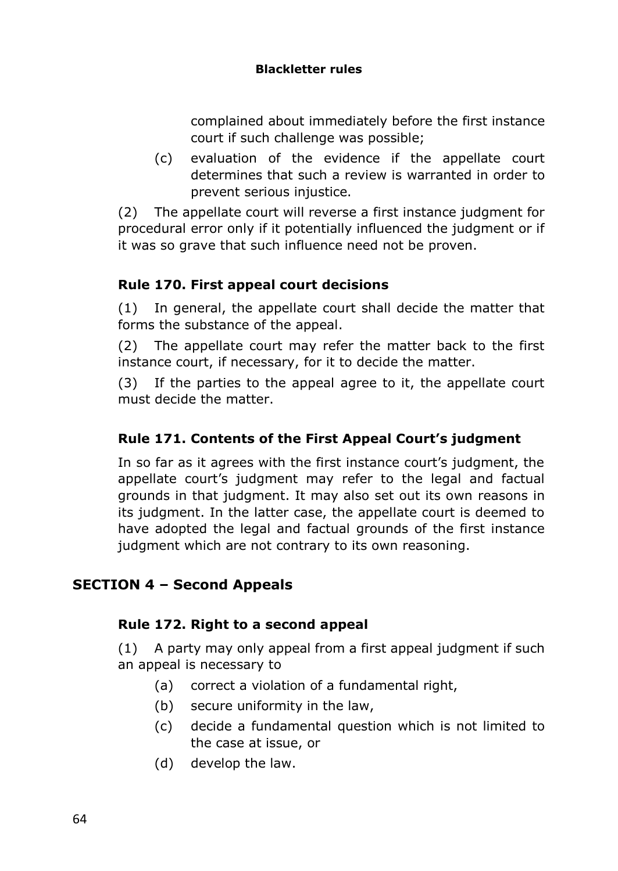#### **Blackletter rules**

complained about immediately before the first instance court if such challenge was possible;

(c) evaluation of the evidence if the appellate court determines that such a review is warranted in order to prevent serious injustice.

(2) The appellate court will reverse a first instance judgment for procedural error only if it potentially influenced the judgment or if it was so grave that such influence need not be proven.

## **Rule 170. First appeal court decisions**

(1) In general, the appellate court shall decide the matter that forms the substance of the appeal.

(2) The appellate court may refer the matter back to the first instance court, if necessary, for it to decide the matter.

(3) If the parties to the appeal agree to it, the appellate court must decide the matter.

# **Rule 171. Contents of the First Appeal Court's judgment**

In so far as it agrees with the first instance court's judgment, the appellate court's judgment may refer to the legal and factual grounds in that judgment. It may also set out its own reasons in its judgment. In the latter case, the appellate court is deemed to have adopted the legal and factual grounds of the first instance judgment which are not contrary to its own reasoning.

# **SECTION 4 – Second Appeals**

#### **Rule 172. Right to a second appeal**

(1) A party may only appeal from a first appeal judgment if such an appeal is necessary to

- (a) correct a violation of a fundamental right,
- (b) secure uniformity in the law,
- (c) decide a fundamental question which is not limited to the case at issue, or
- (d) develop the law.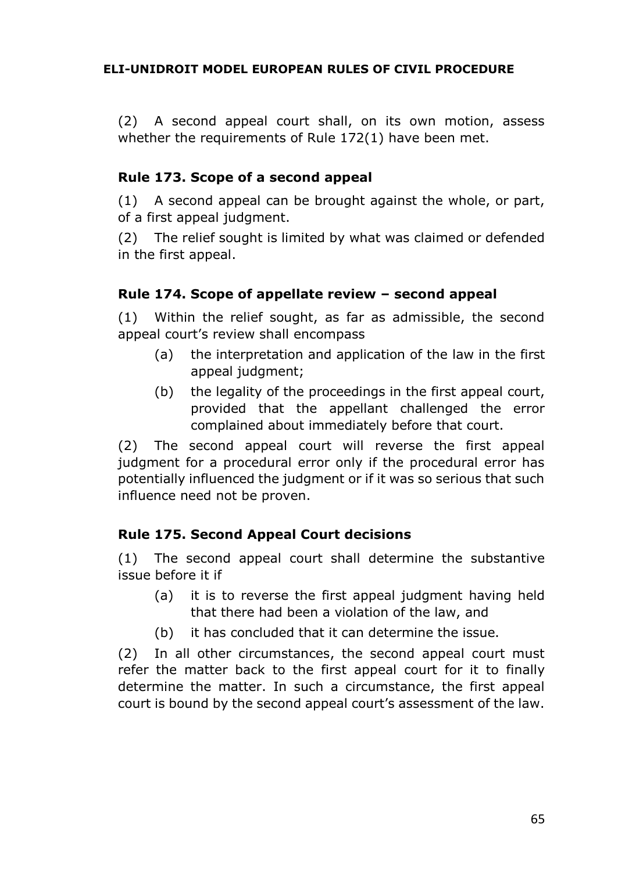(2) A second appeal court shall, on its own motion, assess whether the requirements of Rule 172(1) have been met.

# **Rule 173. Scope of a second appeal**

(1) A second appeal can be brought against the whole, or part, of a first appeal judgment.

(2) The relief sought is limited by what was claimed or defended in the first appeal.

## **Rule 174. Scope of appellate review – second appeal**

(1) Within the relief sought, as far as admissible, the second appeal court's review shall encompass

- (a) the interpretation and application of the law in the first appeal judgment;
- (b) the legality of the proceedings in the first appeal court, provided that the appellant challenged the error complained about immediately before that court.

(2) The second appeal court will reverse the first appeal judgment for a procedural error only if the procedural error has potentially influenced the judgment or if it was so serious that such influence need not be proven.

# **Rule 175. Second Appeal Court decisions**

(1) The second appeal court shall determine the substantive issue before it if

- (a) it is to reverse the first appeal judgment having held that there had been a violation of the law, and
- (b) it has concluded that it can determine the issue.

(2) In all other circumstances, the second appeal court must refer the matter back to the first appeal court for it to finally determine the matter. In such a circumstance, the first appeal court is bound by the second appeal court's assessment of the law.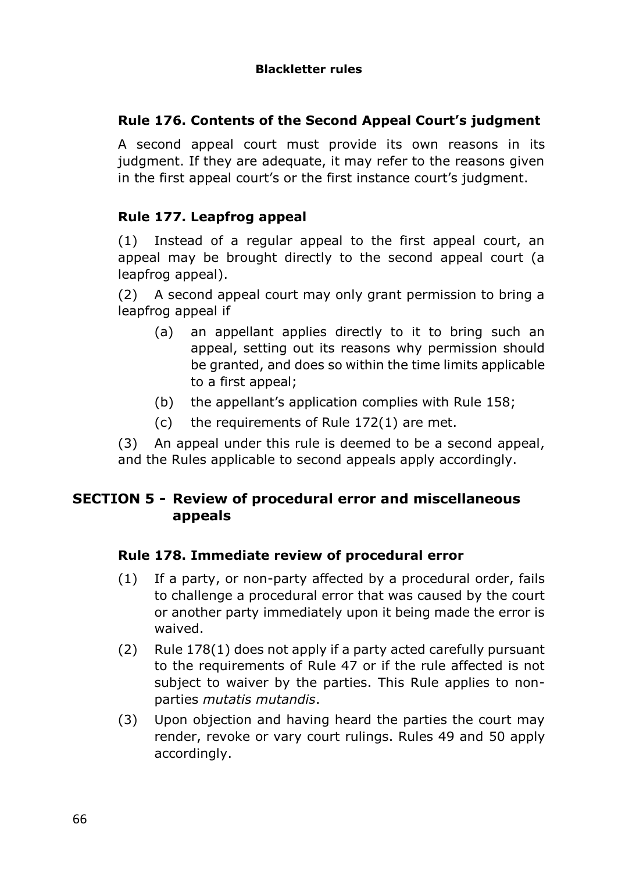## **Rule 176. Contents of the Second Appeal Court's judgment**

A second appeal court must provide its own reasons in its judgment. If they are adequate, it may refer to the reasons given in the first appeal court's or the first instance court's judgment.

## **Rule 177. Leapfrog appeal**

(1) Instead of a regular appeal to the first appeal court, an appeal may be brought directly to the second appeal court (a leapfrog appeal).

(2) A second appeal court may only grant permission to bring a leapfrog appeal if

- (a) an appellant applies directly to it to bring such an appeal, setting out its reasons why permission should be granted, and does so within the time limits applicable to a first appeal;
- (b) the appellant's application complies with Rule 158;
- (c) the requirements of Rule 172(1) are met.

(3) An appeal under this rule is deemed to be a second appeal, and the Rules applicable to second appeals apply accordingly.

# **SECTION 5 - Review of procedural error and miscellaneous appeals**

#### **Rule 178. Immediate review of procedural error**

- (1) If a party, or non-party affected by a procedural order, fails to challenge a procedural error that was caused by the court or another party immediately upon it being made the error is waived.
- (2) Rule 178(1) does not apply if a party acted carefully pursuant to the requirements of Rule 47 or if the rule affected is not subject to waiver by the parties. This Rule applies to nonparties *mutatis mutandis*.
- (3) Upon objection and having heard the parties the court may render, revoke or vary court rulings. Rules 49 and 50 apply accordingly.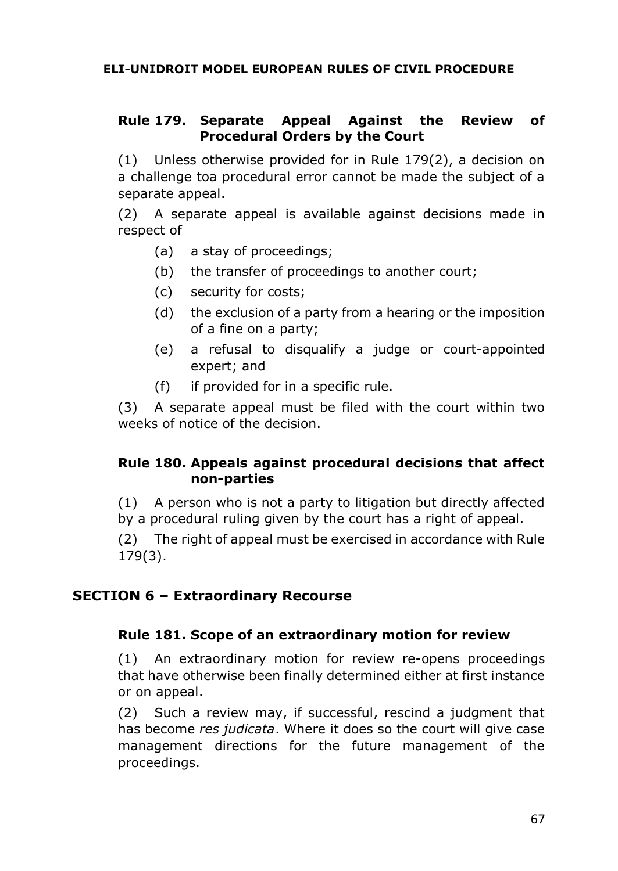## **Rule 179. Separate Appeal Against the Review of Procedural Orders by the Court**

(1) Unless otherwise provided for in Rule 179(2), a decision on a challenge toa procedural error cannot be made the subject of a separate appeal.

(2) A separate appeal is available against decisions made in respect of

- (a) a stay of proceedings;
- (b) the transfer of proceedings to another court;
- (c) security for costs;
- (d) the exclusion of a party from a hearing or the imposition of a fine on a party;
- (e) a refusal to disqualify a judge or court-appointed expert; and
- (f) if provided for in a specific rule.

(3) A separate appeal must be filed with the court within two weeks of notice of the decision.

#### **Rule 180. Appeals against procedural decisions that affect non-parties**

(1) A person who is not a party to litigation but directly affected by a procedural ruling given by the court has a right of appeal.

(2) The right of appeal must be exercised in accordance with Rule 179(3).

#### **SECTION 6 – Extraordinary Recourse**

#### **Rule 181. Scope of an extraordinary motion for review**

(1) An extraordinary motion for review re-opens proceedings that have otherwise been finally determined either at first instance or on appeal.

(2) Such a review may, if successful, rescind a judgment that has become *res judicata*. Where it does so the court will give case management directions for the future management of the proceedings.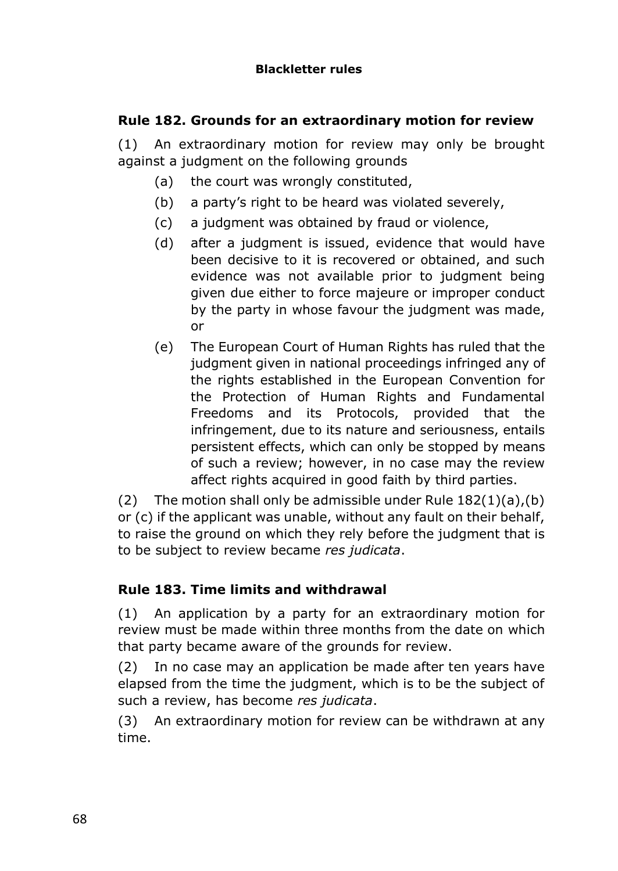## **Rule 182. Grounds for an extraordinary motion for review**

(1) An extraordinary motion for review may only be brought against a judgment on the following grounds

- (a) the court was wrongly constituted,
- (b) a party's right to be heard was violated severely,
- (c) a judgment was obtained by fraud or violence,
- (d) after a judgment is issued, evidence that would have been decisive to it is recovered or obtained, and such evidence was not available prior to judgment being given due either to force majeure or improper conduct by the party in whose favour the judgment was made, or
- (e) The European Court of Human Rights has ruled that the judgment given in national proceedings infringed any of the rights established in the European Convention for the Protection of Human Rights and Fundamental Freedoms and its Protocols, provided that the infringement, due to its nature and seriousness, entails persistent effects, which can only be stopped by means of such a review; however, in no case may the review affect rights acquired in good faith by third parties.

(2) The motion shall only be admissible under Rule  $182(1)(a)$ , (b) or (c) if the applicant was unable, without any fault on their behalf, to raise the ground on which they rely before the judgment that is to be subject to review became *res judicata*.

# **Rule 183. Time limits and withdrawal**

(1) An application by a party for an extraordinary motion for review must be made within three months from the date on which that party became aware of the grounds for review.

(2) In no case may an application be made after ten years have elapsed from the time the judgment, which is to be the subject of such a review, has become *res judicata*.

(3) An extraordinary motion for review can be withdrawn at any time.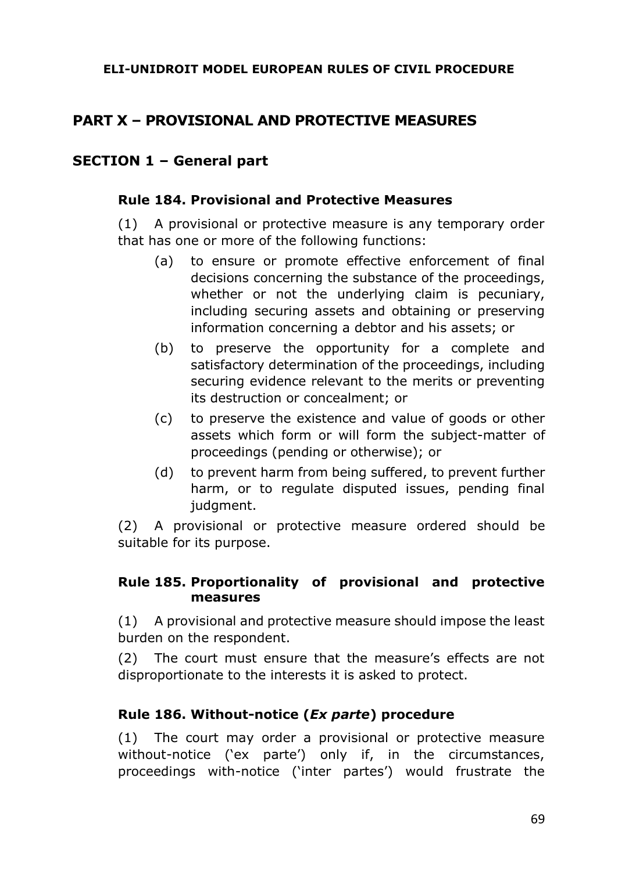# **PART X – PROVISIONAL AND PROTECTIVE MEASURES**

# **SECTION 1 – General part**

#### **Rule 184. Provisional and Protective Measures**

(1) A provisional or protective measure is any temporary order that has one or more of the following functions:

- (a) to ensure or promote effective enforcement of final decisions concerning the substance of the proceedings, whether or not the underlying claim is pecuniary, including securing assets and obtaining or preserving information concerning a debtor and his assets; or
- (b) to preserve the opportunity for a complete and satisfactory determination of the proceedings, including securing evidence relevant to the merits or preventing its destruction or concealment; or
- (c) to preserve the existence and value of goods or other assets which form or will form the subject-matter of proceedings (pending or otherwise); or
- (d) to prevent harm from being suffered, to prevent further harm, or to regulate disputed issues, pending final judgment.

(2) A provisional or protective measure ordered should be suitable for its purpose.

#### **Rule 185. Proportionality of provisional and protective measures**

(1) A provisional and protective measure should impose the least burden on the respondent.

(2) The court must ensure that the measure's effects are not disproportionate to the interests it is asked to protect.

# **Rule 186. Without-notice (***Ex parte***) procedure**

(1) The court may order a provisional or protective measure without-notice ('ex parte') only if, in the circumstances, proceedings with-notice ('inter partes') would frustrate the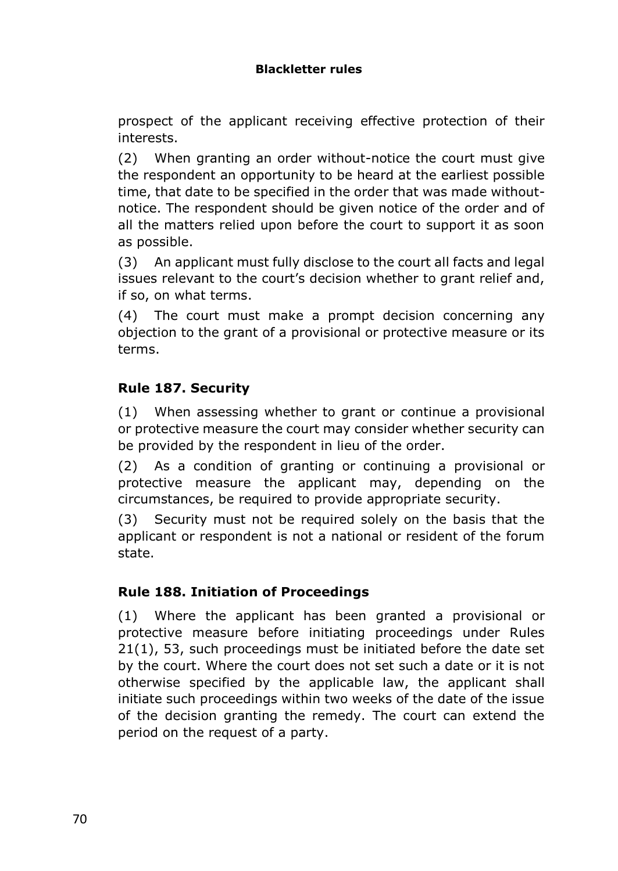prospect of the applicant receiving effective protection of their interests.

(2) When granting an order without-notice the court must give the respondent an opportunity to be heard at the earliest possible time, that date to be specified in the order that was made withoutnotice. The respondent should be given notice of the order and of all the matters relied upon before the court to support it as soon as possible.

(3) An applicant must fully disclose to the court all facts and legal issues relevant to the court's decision whether to grant relief and, if so, on what terms.

(4) The court must make a prompt decision concerning any objection to the grant of a provisional or protective measure or its terms.

# **Rule 187. Security**

(1) When assessing whether to grant or continue a provisional or protective measure the court may consider whether security can be provided by the respondent in lieu of the order.

(2) As a condition of granting or continuing a provisional or protective measure the applicant may, depending on the circumstances, be required to provide appropriate security.

(3) Security must not be required solely on the basis that the applicant or respondent is not a national or resident of the forum state.

# **Rule 188. Initiation of Proceedings**

(1) Where the applicant has been granted a provisional or protective measure before initiating proceedings under Rules 21(1), 53, such proceedings must be initiated before the date set by the court. Where the court does not set such a date or it is not otherwise specified by the applicable law, the applicant shall initiate such proceedings within two weeks of the date of the issue of the decision granting the remedy. The court can extend the period on the request of a party.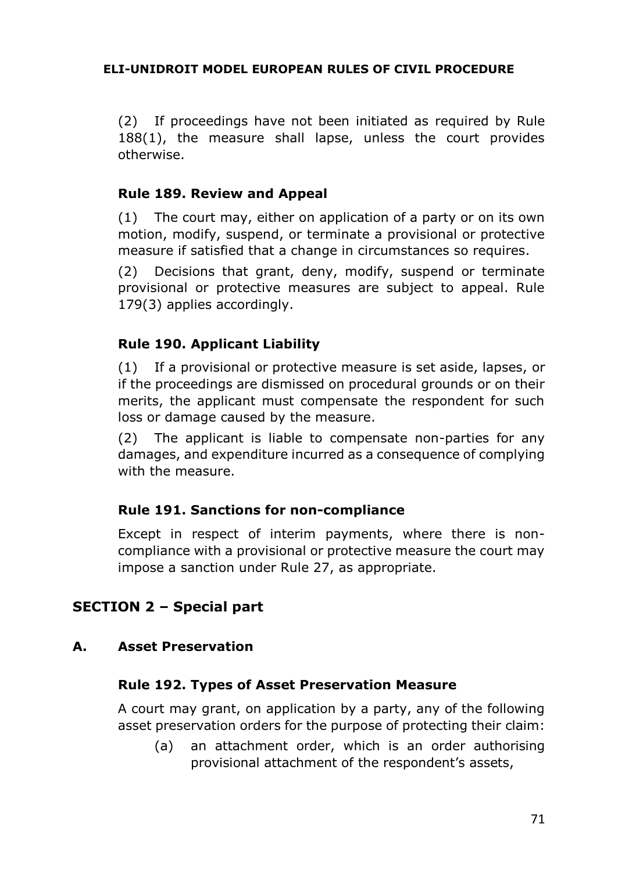(2) If proceedings have not been initiated as required by Rule 188(1), the measure shall lapse, unless the court provides otherwise.

#### **Rule 189. Review and Appeal**

(1) The court may, either on application of a party or on its own motion, modify, suspend, or terminate a provisional or protective measure if satisfied that a change in circumstances so requires.

(2) Decisions that grant, deny, modify, suspend or terminate provisional or protective measures are subject to appeal. Rule 179(3) applies accordingly.

#### **Rule 190. Applicant Liability**

(1) If a provisional or protective measure is set aside, lapses, or if the proceedings are dismissed on procedural grounds or on their merits, the applicant must compensate the respondent for such loss or damage caused by the measure.

(2) The applicant is liable to compensate non-parties for any damages, and expenditure incurred as a consequence of complying with the measure.

#### **Rule 191. Sanctions for non-compliance**

Except in respect of interim payments, where there is noncompliance with a provisional or protective measure the court may impose a sanction under Rule 27, as appropriate.

#### **SECTION 2 – Special part**

#### **A. Asset Preservation**

#### **Rule 192. Types of Asset Preservation Measure**

A court may grant, on application by a party, any of the following asset preservation orders for the purpose of protecting their claim:

(a) an attachment order, which is an order authorising provisional attachment of the respondent's assets,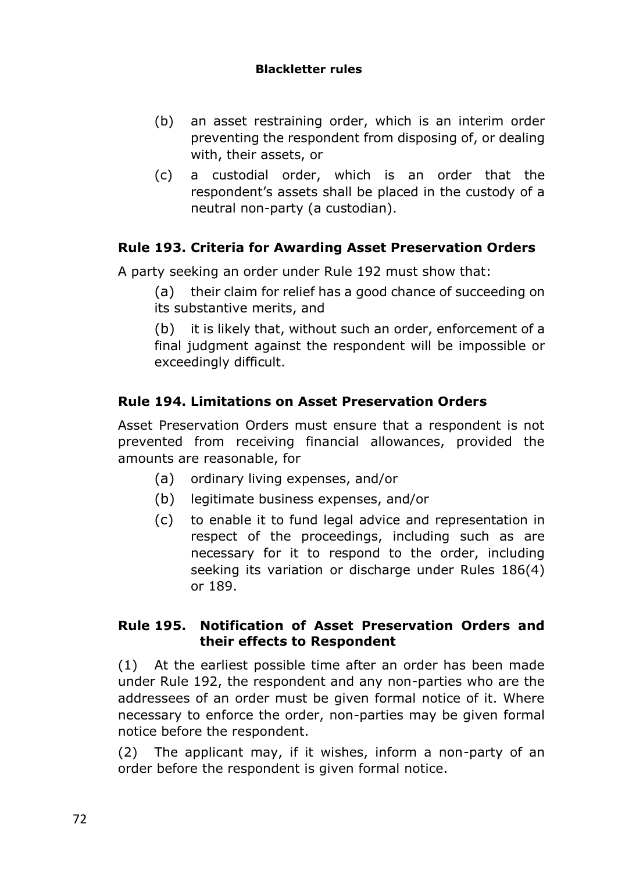#### **Blackletter rules**

- (b) an asset restraining order, which is an interim order preventing the respondent from disposing of, or dealing with, their assets, or
- (c) a custodial order, which is an order that the respondent's assets shall be placed in the custody of a neutral non-party (a custodian).

# **Rule 193. Criteria for Awarding Asset Preservation Orders**

A party seeking an order under Rule 192 must show that:

(a) their claim for relief has a good chance of succeeding on its substantive merits, and

(b) it is likely that, without such an order, enforcement of a final judgment against the respondent will be impossible or exceedingly difficult.

# **Rule 194. Limitations on Asset Preservation Orders**

Asset Preservation Orders must ensure that a respondent is not prevented from receiving financial allowances, provided the amounts are reasonable, for

- (a) ordinary living expenses, and/or
- (b) legitimate business expenses, and/or
- (c) to enable it to fund legal advice and representation in respect of the proceedings, including such as are necessary for it to respond to the order, including seeking its variation or discharge under Rules 186(4) or 189.

#### **Rule 195. Notification of Asset Preservation Orders and their effects to Respondent**

(1) At the earliest possible time after an order has been made under Rule 192, the respondent and any non-parties who are the addressees of an order must be given formal notice of it. Where necessary to enforce the order, non-parties may be given formal notice before the respondent.

(2) The applicant may, if it wishes, inform a non-party of an order before the respondent is given formal notice.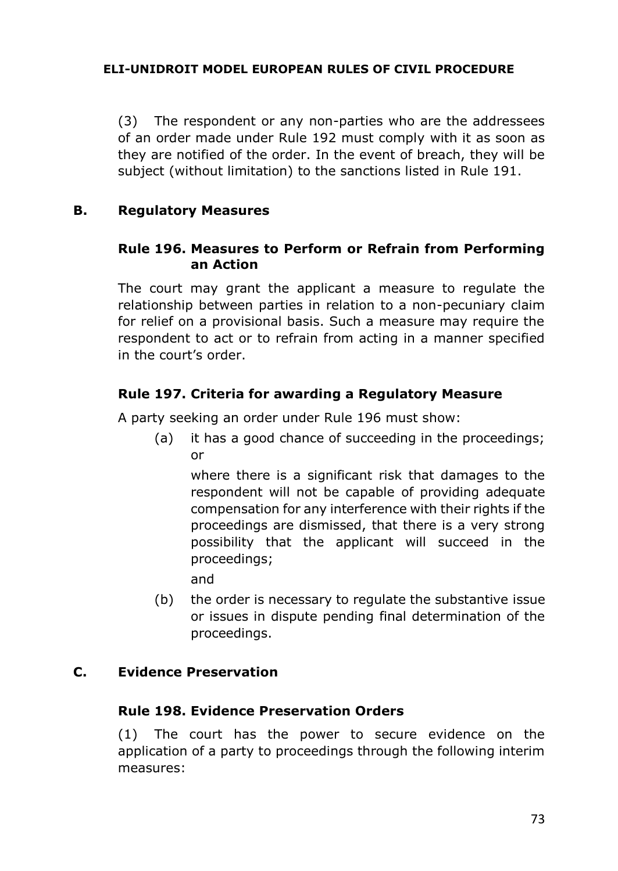(3) The respondent or any non-parties who are the addressees of an order made under Rule 192 must comply with it as soon as they are notified of the order. In the event of breach, they will be subject (without limitation) to the sanctions listed in Rule 191.

#### **B. Regulatory Measures**

## **Rule 196. Measures to Perform or Refrain from Performing an Action**

The court may grant the applicant a measure to regulate the relationship between parties in relation to a non-pecuniary claim for relief on a provisional basis. Such a measure may require the respondent to act or to refrain from acting in a manner specified in the court's order.

## **Rule 197. Criteria for awarding a Regulatory Measure**

A party seeking an order under Rule 196 must show:

(a) it has a good chance of succeeding in the proceedings; or

where there is a significant risk that damages to the respondent will not be capable of providing adequate compensation for any interference with their rights if the proceedings are dismissed, that there is a very strong possibility that the applicant will succeed in the proceedings;

and

(b) the order is necessary to regulate the substantive issue or issues in dispute pending final determination of the proceedings.

#### **C. Evidence Preservation**

## **Rule 198. Evidence Preservation Orders**

(1) The court has the power to secure evidence on the application of a party to proceedings through the following interim measures: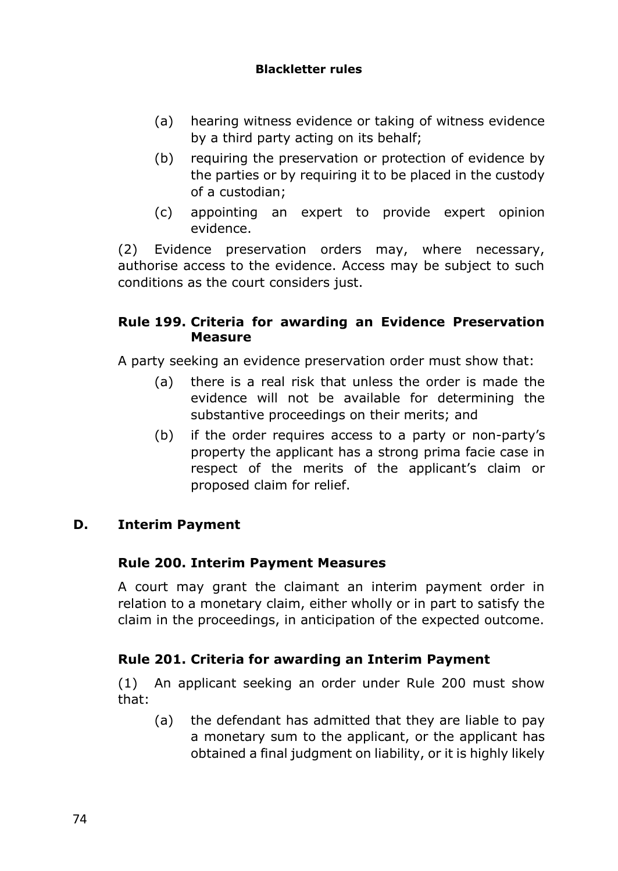#### **Blackletter rules**

- (a) hearing witness evidence or taking of witness evidence by a third party acting on its behalf;
- (b) requiring the preservation or protection of evidence by the parties or by requiring it to be placed in the custody of a custodian;
- (c) appointing an expert to provide expert opinion evidence.

(2) Evidence preservation orders may, where necessary, authorise access to the evidence. Access may be subject to such conditions as the court considers just.

## **Rule 199. Criteria for awarding an Evidence Preservation Measure**

A party seeking an evidence preservation order must show that:

- (a) there is a real risk that unless the order is made the evidence will not be available for determining the substantive proceedings on their merits; and
- (b) if the order requires access to a party or non-party's property the applicant has a strong prima facie case in respect of the merits of the applicant's claim or proposed claim for relief.

## **D. Interim Payment**

## **Rule 200. Interim Payment Measures**

A court may grant the claimant an interim payment order in relation to a monetary claim, either wholly or in part to satisfy the claim in the proceedings, in anticipation of the expected outcome.

## **Rule 201. Criteria for awarding an Interim Payment**

(1) An applicant seeking an order under Rule 200 must show that:

(a) the defendant has admitted that they are liable to pay a monetary sum to the applicant, or the applicant has obtained a final judgment on liability, or it is highly likely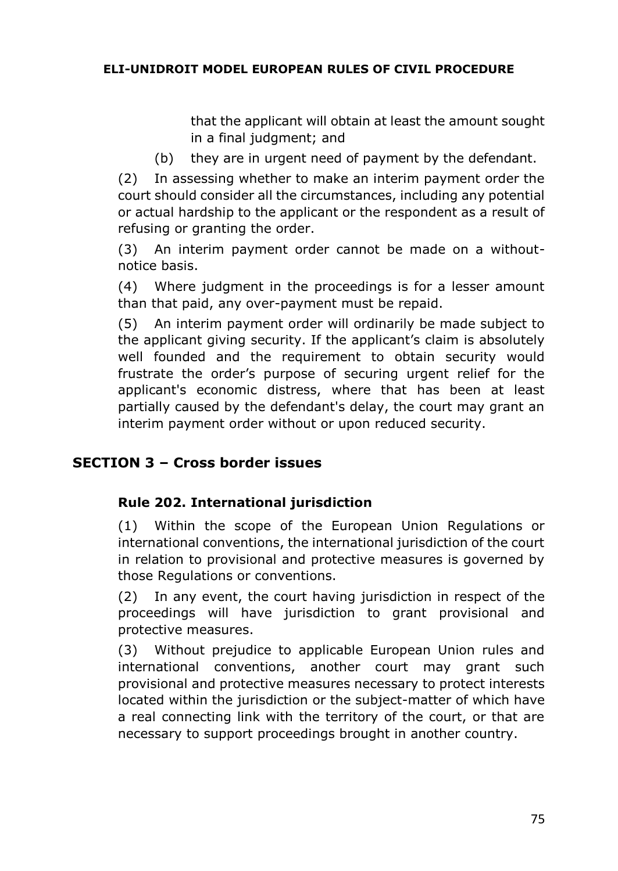that the applicant will obtain at least the amount sought in a final judgment; and

(b) they are in urgent need of payment by the defendant.

(2) In assessing whether to make an interim payment order the court should consider all the circumstances, including any potential or actual hardship to the applicant or the respondent as a result of refusing or granting the order.

(3) An interim payment order cannot be made on a withoutnotice basis.

(4) Where judgment in the proceedings is for a lesser amount than that paid, any over-payment must be repaid.

(5) An interim payment order will ordinarily be made subject to the applicant giving security. If the applicant's claim is absolutely well founded and the requirement to obtain security would frustrate the order's purpose of securing urgent relief for the applicant's economic distress, where that has been at least partially caused by the defendant's delay, the court may grant an interim payment order without or upon reduced security.

## **SECTION 3 – Cross border issues**

## **Rule 202. International jurisdiction**

(1) Within the scope of the European Union Regulations or international conventions, the international jurisdiction of the court in relation to provisional and protective measures is governed by those Regulations or conventions.

(2) In any event, the court having jurisdiction in respect of the proceedings will have jurisdiction to grant provisional and protective measures.

(3) Without prejudice to applicable European Union rules and international conventions, another court may grant such provisional and protective measures necessary to protect interests located within the jurisdiction or the subject-matter of which have a real connecting link with the territory of the court, or that are necessary to support proceedings brought in another country.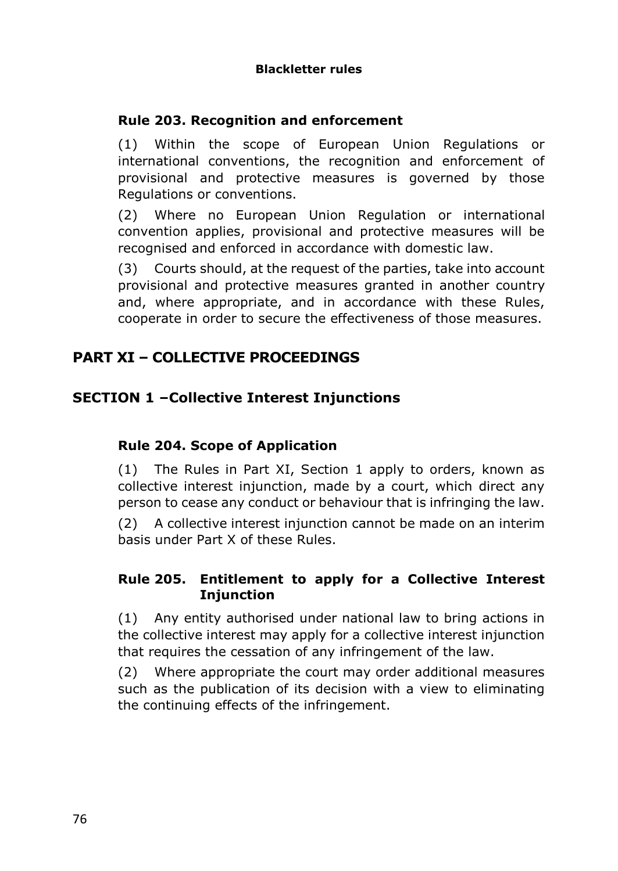## **Rule 203. Recognition and enforcement**

(1) Within the scope of European Union Regulations or international conventions, the recognition and enforcement of provisional and protective measures is governed by those Regulations or conventions.

(2) Where no European Union Regulation or international convention applies, provisional and protective measures will be recognised and enforced in accordance with domestic law.

(3) Courts should, at the request of the parties, take into account provisional and protective measures granted in another country and, where appropriate, and in accordance with these Rules, cooperate in order to secure the effectiveness of those measures.

# **PART XI – COLLECTIVE PROCEEDINGS**

## **SECTION 1 –Collective Interest Injunctions**

## **Rule 204. Scope of Application**

(1) The Rules in Part XI, Section 1 apply to orders, known as collective interest injunction, made by a court, which direct any person to cease any conduct or behaviour that is infringing the law.

(2) A collective interest injunction cannot be made on an interim basis under Part X of these Rules.

#### **Rule 205. Entitlement to apply for a Collective Interest Injunction**

(1) Any entity authorised under national law to bring actions in the collective interest may apply for a collective interest injunction that requires the cessation of any infringement of the law.

(2) Where appropriate the court may order additional measures such as the publication of its decision with a view to eliminating the continuing effects of the infringement.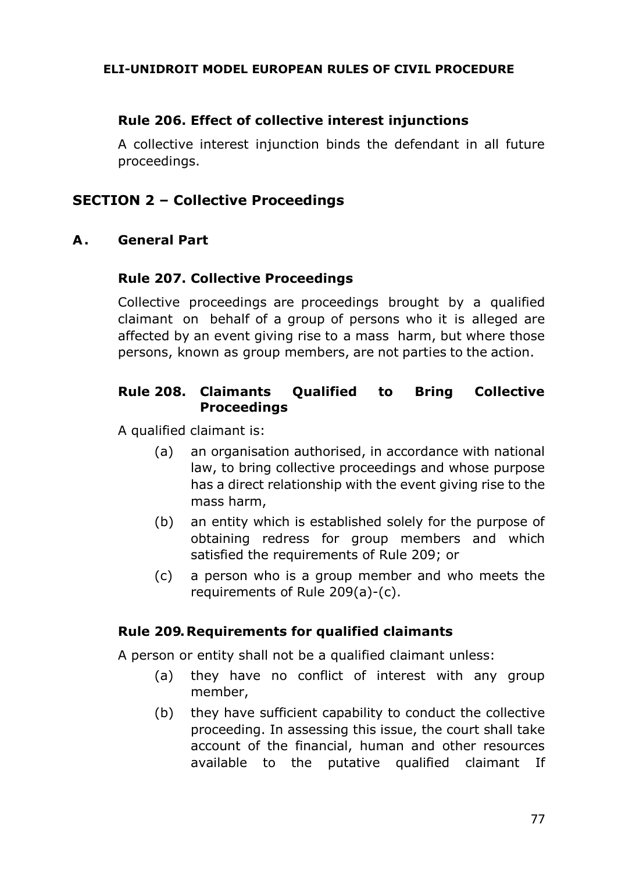## **Rule 206. Effect of collective interest injunctions**

A collective interest injunction binds the defendant in all future proceedings.

## **SECTION 2 – Collective Proceedings**

#### **A . General Part**

#### **Rule 207. Collective Proceedings**

Collective proceedings are proceedings brought by a qualified claimant on behalf of a group of persons who it is alleged are affected by an event giving rise to a mass harm, but where those persons, known as group members, are not parties to the action.

## **Rule 208. Claimants Qualified to Bring Collective Proceedings**

A qualified claimant is:

- (a) an organisation authorised, in accordance with national law, to bring collective proceedings and whose purpose has a direct relationship with the event giving rise to the mass harm,
- (b) an entity which is established solely for the purpose of obtaining redress for group members and which satisfied the requirements of Rule 209; or
- (c) a person who is a group member and who meets the requirements of Rule 209(a)-(c).

#### **Rule 209. Requirements for qualified claimants**

A person or entity shall not be a qualified claimant unless:

- (a) they have no conflict of interest with any group member,
- (b) they have sufficient capability to conduct the collective proceeding. In assessing this issue, the court shall take account of the financial, human and other resources available to the putative qualified claimant If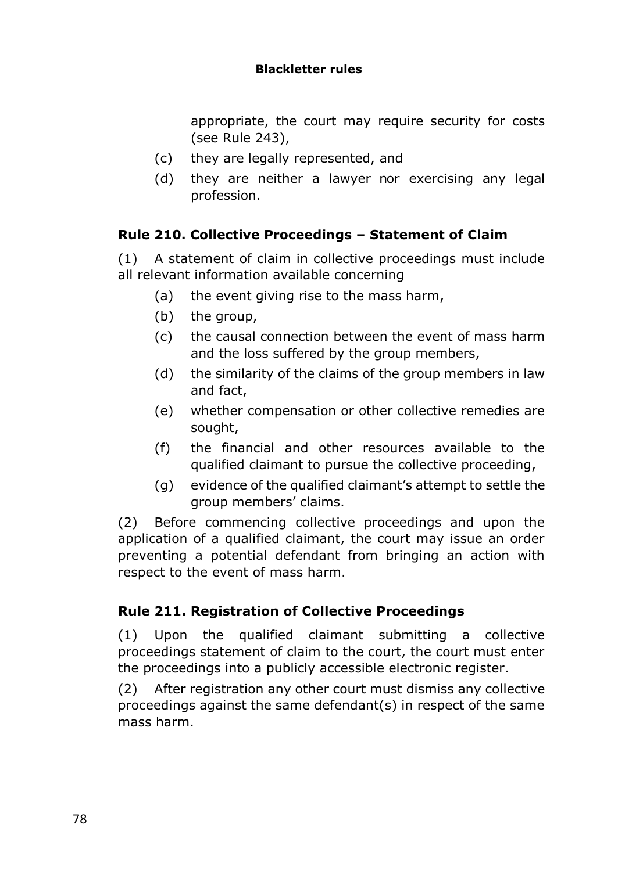#### **Blackletter rules**

appropriate, the court may require security for costs (see Rule 243),

- (c) they are legally represented, and
- (d) they are neither a lawyer nor exercising any legal profession.

## **Rule 210. Collective Proceedings – Statement of Claim**

(1) A statement of claim in collective proceedings must include all relevant information available concerning

- (a) the event giving rise to the mass harm,
- (b) the group,
- (c) the causal connection between the event of mass harm and the loss suffered by the group members,
- (d) the similarity of the claims of the group members in law and fact,
- (e) whether compensation or other collective remedies are sought,
- (f) the financial and other resources available to the qualified claimant to pursue the collective proceeding,
- (g) evidence of the qualified claimant's attempt to settle the group members' claims.

(2) Before commencing collective proceedings and upon the application of a qualified claimant, the court may issue an order preventing a potential defendant from bringing an action with respect to the event of mass harm.

## **Rule 211. Registration of Collective Proceedings**

(1) Upon the qualified claimant submitting a collective proceedings statement of claim to the court, the court must enter the proceedings into a publicly accessible electronic register.

(2) After registration any other court must dismiss any collective proceedings against the same defendant(s) in respect of the same mass harm.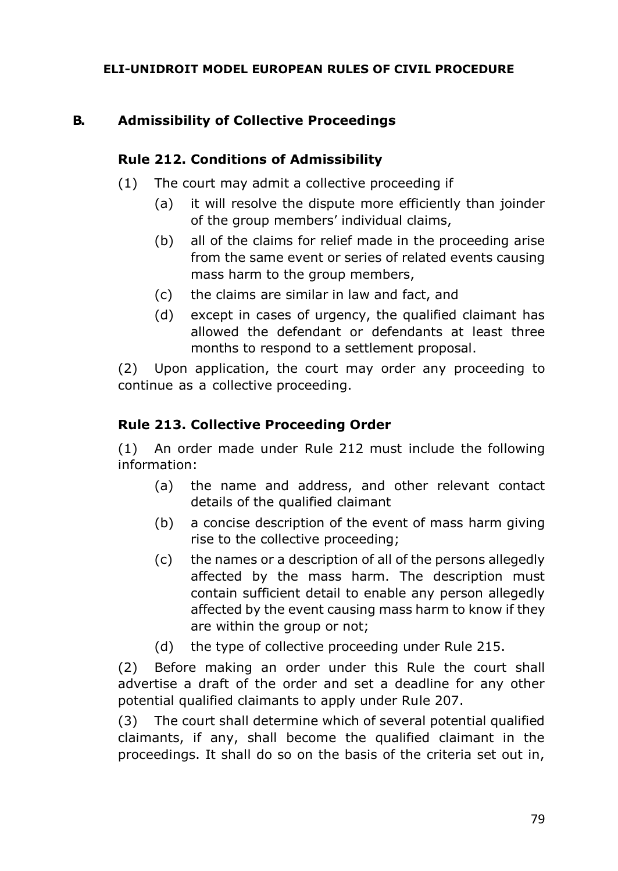## **B. Admissibility of Collective Proceedings**

#### **Rule 212. Conditions of Admissibility**

- (1) The court may admit a collective proceeding if
	- (a) it will resolve the dispute more efficiently than joinder of the group members' individual claims,
	- (b) all of the claims for relief made in the proceeding arise from the same event or series of related events causing mass harm to the group members,
	- (c) the claims are similar in law and fact, and
	- (d) except in cases of urgency, the qualified claimant has allowed the defendant or defendants at least three months to respond to a settlement proposal.

(2) Upon application, the court may order any proceeding to continue as a collective proceeding.

## **Rule 213. Collective Proceeding Order**

(1) An order made under Rule 212 must include the following information:

- (a) the name and address, and other relevant contact details of the qualified claimant
- (b) a concise description of the event of mass harm giving rise to the collective proceeding;
- (c) the names or a description of all of the persons allegedly affected by the mass harm. The description must contain sufficient detail to enable any person allegedly affected by the event causing mass harm to know if they are within the group or not;
- (d) the type of collective proceeding under Rule 215.

(2) Before making an order under this Rule the court shall advertise a draft of the order and set a deadline for any other potential qualified claimants to apply under Rule 207.

(3) The court shall determine which of several potential qualified claimants, if any, shall become the qualified claimant in the proceedings. It shall do so on the basis of the criteria set out in,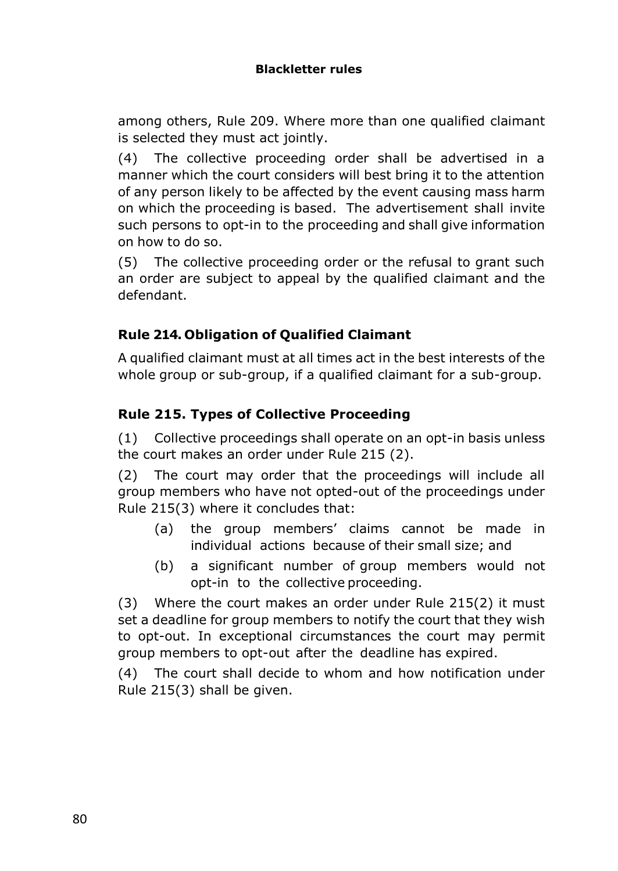among others, Rule 209. Where more than one qualified claimant is selected they must act jointly.

(4) The collective proceeding order shall be advertised in a manner which the court considers will best bring it to the attention of any person likely to be affected by the event causing mass harm on which the proceeding is based. The advertisement shall invite such persons to opt-in to the proceeding and shall give information on how to do so.

(5) The collective proceeding order or the refusal to grant such an order are subject to appeal by the qualified claimant and the defendant.

## **Rule 214. Obligation of Qualified Claimant**

A qualified claimant must at all times act in the best interests of the whole group or sub-group, if a qualified claimant for a sub-group.

# **Rule 215. Types of Collective Proceeding**

(1) Collective proceedings shall operate on an opt-in basis unless the court makes an order under Rule 215 (2).

(2) The court may order that the proceedings will include all group members who have not opted-out of the proceedings under Rule 215(3) where it concludes that:

- (a) the group members' claims cannot be made in individual actions because of their small size; and
- (b) a significant number of group members would not opt-in to the collective proceeding.

(3) Where the court makes an order under Rule 215(2) it must set a deadline for group members to notify the court that they wish to opt-out. In exceptional circumstances the court may permit group members to opt-out after the deadline has expired.

(4) The court shall decide to whom and how notification under Rule 215(3) shall be given.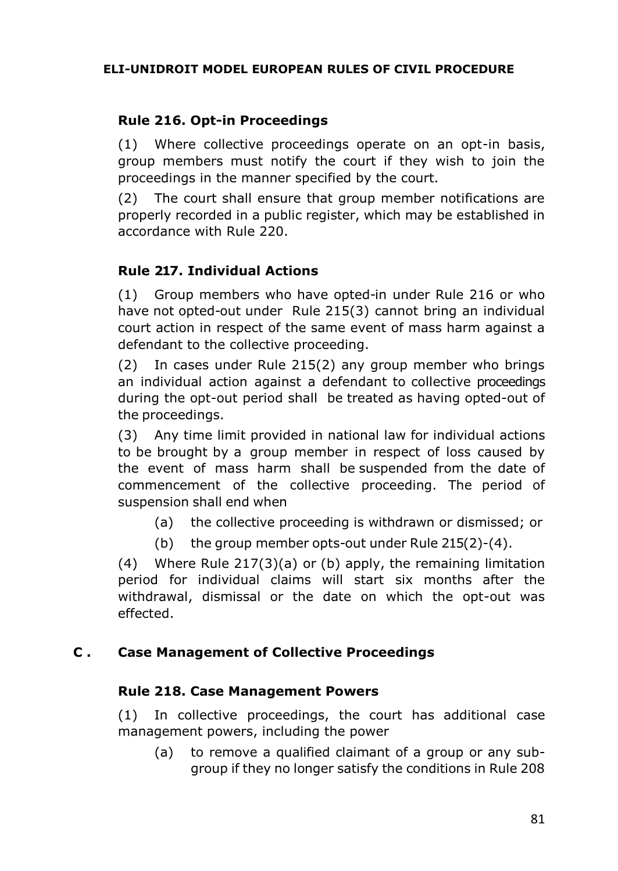## **Rule 216. Opt-in Proceedings**

(1) Where collective proceedings operate on an opt-in basis, group members must notify the court if they wish to join the proceedings in the manner specified by the court.

(2) The court shall ensure that group member notifications are properly recorded in a public register, which may be established in accordance with Rule 220.

## **Rule 217. Individual Actions**

(1) Group members who have opted-in under Rule 216 or who have not opted-out under Rule 215(3) cannot bring an individual court action in respect of the same event of mass harm against a defendant to the collective proceeding.

(2) In cases under Rule 215(2) any group member who brings an individual action against a defendant to collective proceedings during the opt-out period shall be treated as having opted-out of the proceedings.

(3) Any time limit provided in national law for individual actions to be brought by a group member in respect of loss caused by the event of mass harm shall be suspended from the date of commencement of the collective proceeding. The period of suspension shall end when

- (a) the collective proceeding is withdrawn or dismissed; or
- (b) the group member opts-out under Rule 215(2)-(4).

(4) Where Rule 217(3)(a) or (b) apply, the remaining limitation period for individual claims will start six months after the withdrawal, dismissal or the date on which the opt-out was effected.

## **C . Case Management of Collective Proceedings**

#### **Rule 218. Case Management Powers**

(1) In collective proceedings, the court has additional case management powers, including the power

(a) to remove a qualified claimant of a group or any subgroup if they no longer satisfy the conditions in Rule 208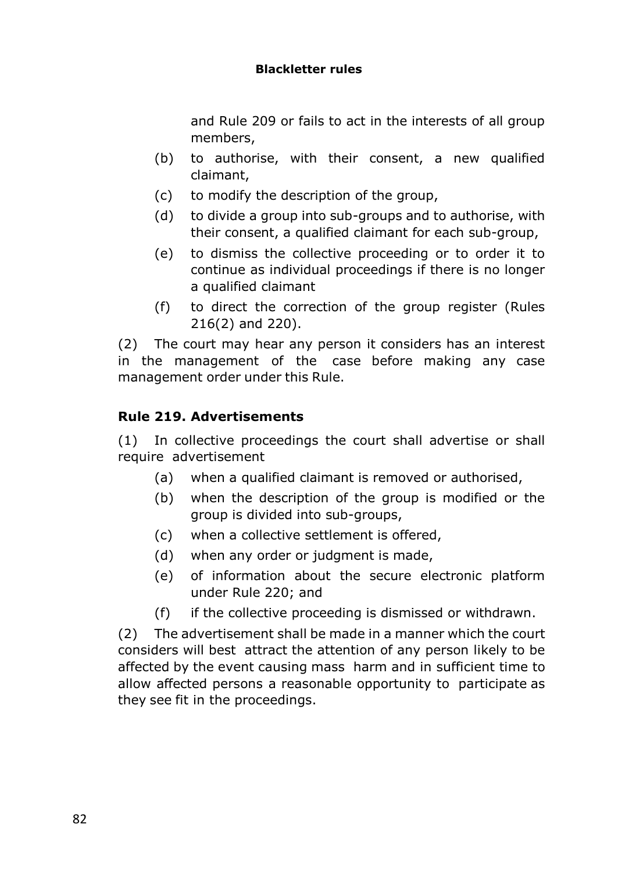#### **Blackletter rules**

and Rule 209 or fails to act in the interests of all group members,

- (b) to authorise, with their consent, a new qualified claimant,
- (c) to modify the description of the group,
- (d) to divide a group into sub-groups and to authorise, with their consent, a qualified claimant for each sub-group,
- (e) to dismiss the collective proceeding or to order it to continue as individual proceedings if there is no longer a qualified claimant
- (f) to direct the correction of the group register (Rules 216(2) and 220).

(2) The court may hear any person it considers has an interest in the management of the case before making any case management order under this Rule.

## **Rule 219. Advertisements**

(1) In collective proceedings the court shall advertise or shall require advertisement

- (a) when a qualified claimant is removed or authorised,
- (b) when the description of the group is modified or the group is divided into sub-groups,
- (c) when a collective settlement is offered,
- (d) when any order or judgment is made,
- (e) of information about the secure electronic platform under Rule 220; and
- (f) if the collective proceeding is dismissed or withdrawn.

(2) The advertisement shall be made in a manner which the court considers will best attract the attention of any person likely to be affected by the event causing mass harm and in sufficient time to allow affected persons a reasonable opportunity to participate as they see fit in the proceedings.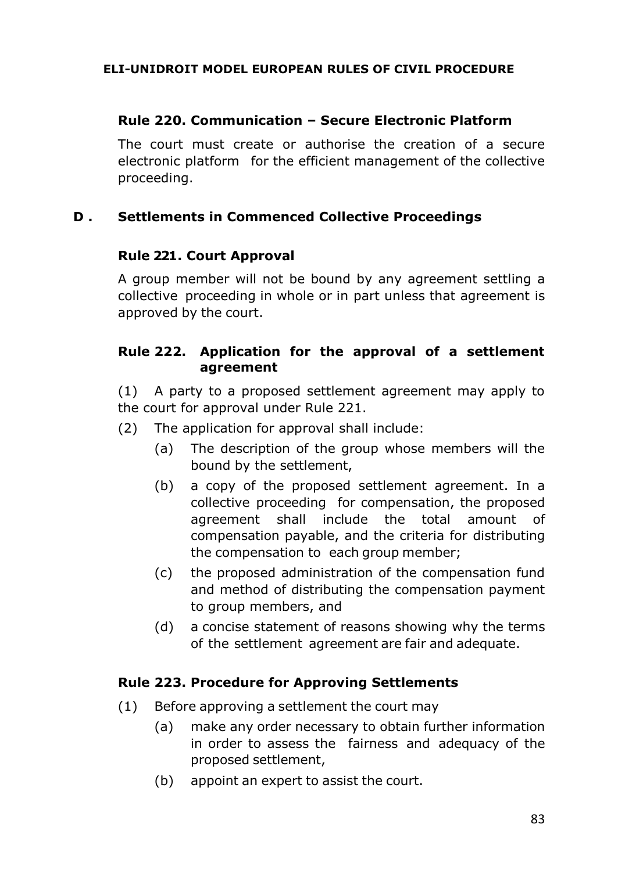#### **Rule 220. Communication – Secure Electronic Platform**

The court must create or authorise the creation of a secure electronic platform for the efficient management of the collective proceeding.

#### **D . Settlements in Commenced Collective Proceedings**

#### **Rule 221. Court Approval**

A group member will not be bound by any agreement settling a collective proceeding in whole or in part unless that agreement is approved by the court.

#### **Rule 222. Application for the approval of a settlement agreement**

(1) A party to a proposed settlement agreement may apply to the court for approval under Rule 221.

- (2) The application for approval shall include:
	- (a) The description of the group whose members will the bound by the settlement,
	- (b) a copy of the proposed settlement agreement. In a collective proceeding for compensation, the proposed agreement shall include the total amount of compensation payable, and the criteria for distributing the compensation to each group member;
	- (c) the proposed administration of the compensation fund and method of distributing the compensation payment to group members, and
	- (d) a concise statement of reasons showing why the terms of the settlement agreement are fair and adequate.

## **Rule 223. Procedure for Approving Settlements**

- (1) Before approving a settlement the court may
	- (a) make any order necessary to obtain further information in order to assess the fairness and adequacy of the proposed settlement,
	- (b) appoint an expert to assist the court.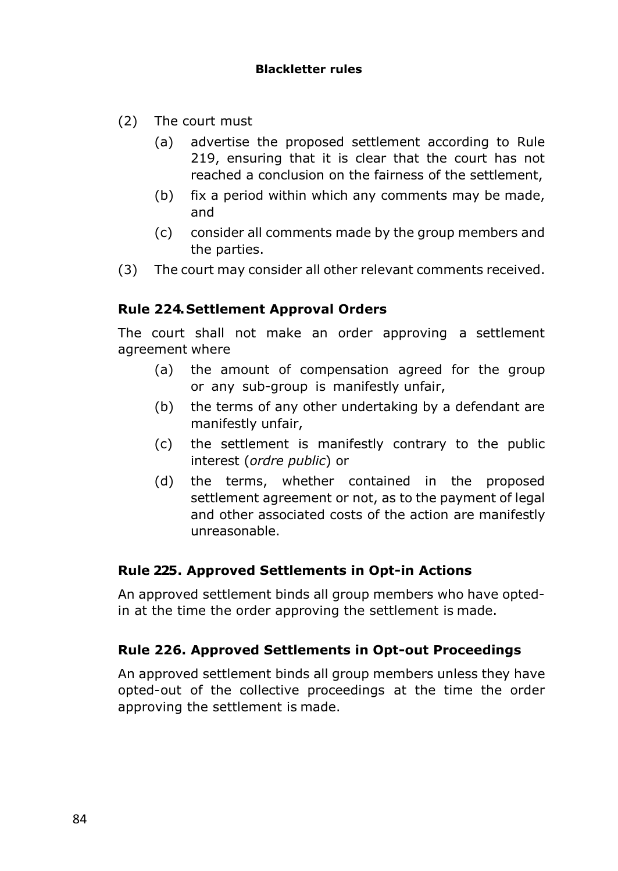- (2) The court must
	- (a) advertise the proposed settlement according to Rule 219, ensuring that it is clear that the court has not reached a conclusion on the fairness of the settlement,
	- (b) fix a period within which any comments may be made, and
	- (c) consider all comments made by the group members and the parties.
- (3) The court may consider all other relevant comments received.

## **Rule 224. Settlement Approval Orders**

The court shall not make an order approving a settlement agreement where

- (a) the amount of compensation agreed for the group or any sub-group is manifestly unfair,
- (b) the terms of any other undertaking by a defendant are manifestly unfair,
- (c) the settlement is manifestly contrary to the public interest (*ordre public*) or
- (d) the terms, whether contained in the proposed settlement agreement or not, as to the payment of legal and other associated costs of the action are manifestly unreasonable.

## **Rule 225. Approved Settlements in Opt-in Actions**

An approved settlement binds all group members who have optedin at the time the order approving the settlement is made.

## **Rule 226. Approved Settlements in Opt-out Proceedings**

An approved settlement binds all group members unless they have opted-out of the collective proceedings at the time the order approving the settlement is made.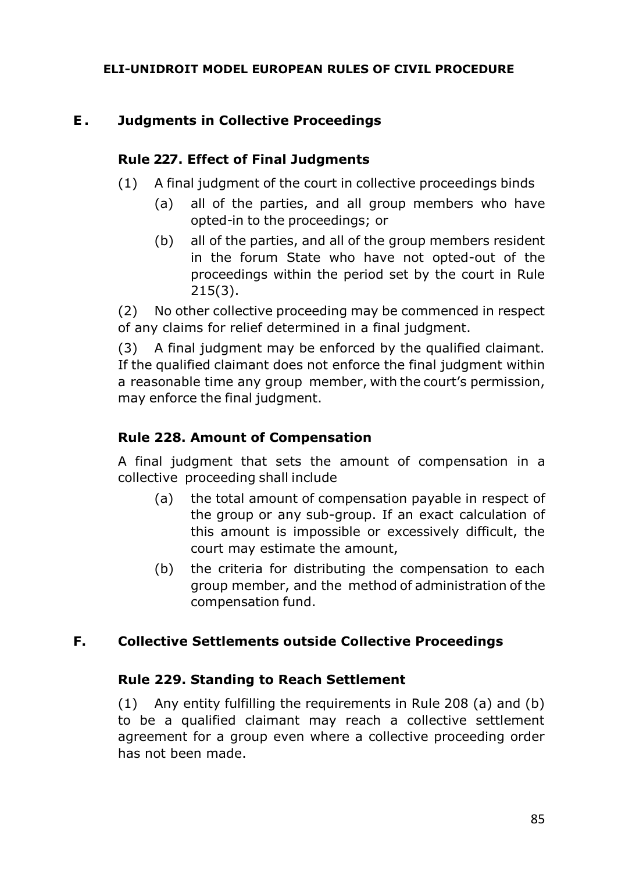## **E . Judgments in Collective Proceedings**

#### **Rule 227. Effect of Final Judgments**

- (1) A final judgment of the court in collective proceedings binds
	- (a) all of the parties, and all group members who have opted-in to the proceedings; or
	- (b) all of the parties, and all of the group members resident in the forum State who have not opted-out of the proceedings within the period set by the court in Rule 215(3).

(2) No other collective proceeding may be commenced in respect of any claims for relief determined in a final judgment.

(3) A final judgment may be enforced by the qualified claimant. If the qualified claimant does not enforce the final judgment within a reasonable time any group member, with the court's permission, may enforce the final judgment.

## **Rule 228. Amount of Compensation**

A final judgment that sets the amount of compensation in a collective proceeding shall include

- (a) the total amount of compensation payable in respect of the group or any sub-group. If an exact calculation of this amount is impossible or excessively difficult, the court may estimate the amount,
- (b) the criteria for distributing the compensation to each group member, and the method of administration of the compensation fund.

## **F. Collective Settlements outside Collective Proceedings**

#### **Rule 229. Standing to Reach Settlement**

(1) Any entity fulfilling the requirements in Rule 208 (a) and (b) to be a qualified claimant may reach a collective settlement agreement for a group even where a collective proceeding order has not been made.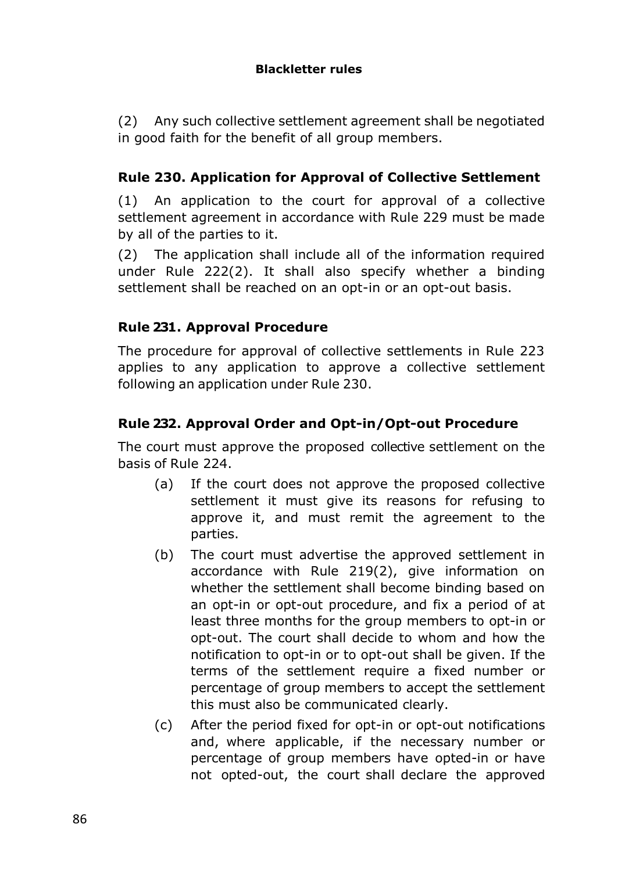(2) Any such collective settlement agreement shall be negotiated in good faith for the benefit of all group members.

# **Rule 230. Application for Approval of Collective Settlement**

(1) An application to the court for approval of a collective settlement agreement in accordance with Rule 229 must be made by all of the parties to it.

(2) The application shall include all of the information required under Rule 222(2). It shall also specify whether a binding settlement shall be reached on an opt-in or an opt-out basis.

## **Rule 231. Approval Procedure**

The procedure for approval of collective settlements in Rule 223 applies to any application to approve a collective settlement following an application under Rule 230.

## **Rule 232. Approval Order and Opt-in/Opt-out Procedure**

The court must approve the proposed collective settlement on the basis of Rule 224.

- (a) If the court does not approve the proposed collective settlement it must give its reasons for refusing to approve it, and must remit the agreement to the parties.
- (b) The court must advertise the approved settlement in accordance with Rule 219(2), give information on whether the settlement shall become binding based on an opt-in or opt-out procedure, and fix a period of at least three months for the group members to opt-in or opt-out. The court shall decide to whom and how the notification to opt-in or to opt-out shall be given. If the terms of the settlement require a fixed number or percentage of group members to accept the settlement this must also be communicated clearly.
- (c) After the period fixed for opt-in or opt-out notifications and, where applicable, if the necessary number or percentage of group members have opted-in or have not opted-out, the court shall declare the approved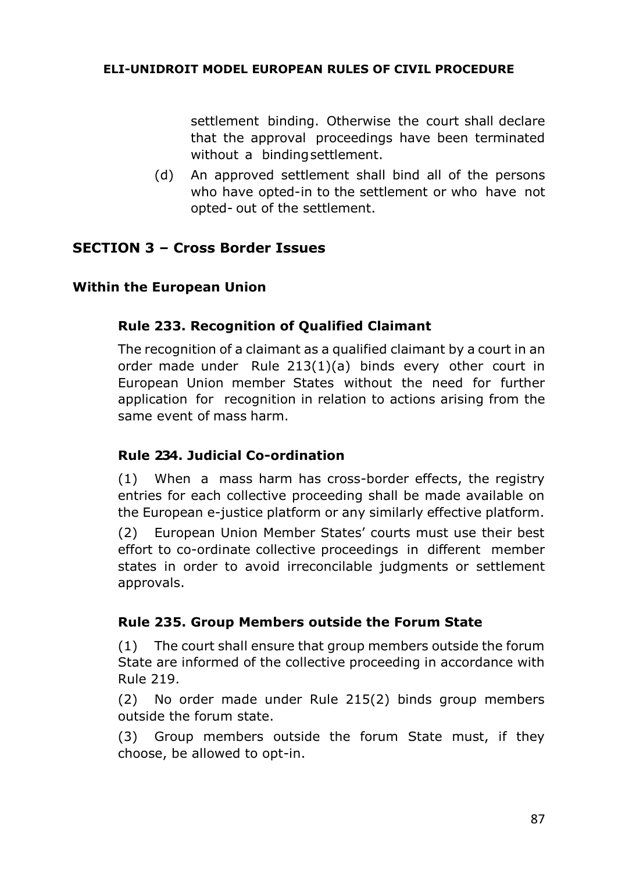settlement binding. Otherwise the court shall declare that the approval proceedings have been terminated without a bindingsettlement.

(d) An approved settlement shall bind all of the persons who have opted-in to the settlement or who have not opted- out of the settlement.

## **SECTION 3 – Cross Border Issues**

#### **Within the European Union**

#### **Rule 233. Recognition of Qualified Claimant**

The recognition of a claimant as a qualified claimant by a court in an order made under Rule 213(1)(a) binds every other court in European Union member States without the need for further application for recognition in relation to actions arising from the same event of mass harm.

#### **Rule 234. Judicial Co-ordination**

(1) When a mass harm has cross-border effects, the registry entries for each collective proceeding shall be made available on the European e-justice platform or any similarly effective platform.

(2) European Union Member States' courts must use their best effort to co-ordinate collective proceedings in different member states in order to avoid irreconcilable judgments or settlement approvals.

#### **Rule 235. Group Members outside the Forum State**

(1) The court shall ensure that group members outside the forum State are informed of the collective proceeding in accordance with Rule 219.

(2) No order made under Rule 215(2) binds group members outside the forum state.

(3) Group members outside the forum State must, if they choose, be allowed to opt-in.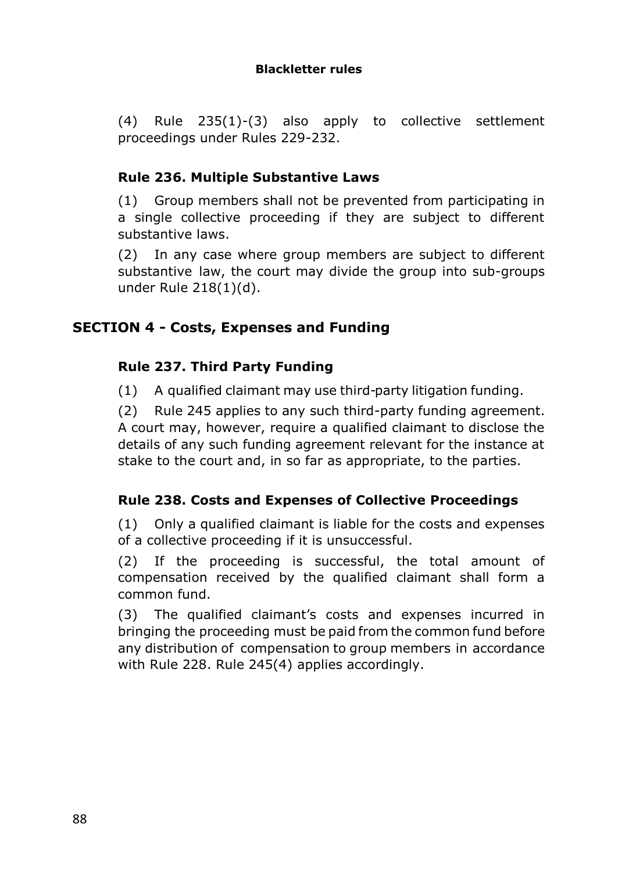(4) Rule 235(1)-(3) also apply to collective settlement proceedings under Rules 229-232.

# **Rule 236. Multiple Substantive Laws**

(1) Group members shall not be prevented from participating in a single collective proceeding if they are subject to different substantive laws.

(2) In any case where group members are subject to different substantive law, the court may divide the group into sub-groups under Rule 218(1)(d).

# **SECTION 4 - Costs, Expenses and Funding**

## **Rule 237. Third Party Funding**

(1) A qualified claimant may use third-party litigation funding.

(2) Rule 245 applies to any such third-party funding agreement. A court may, however, require a qualified claimant to disclose the details of any such funding agreement relevant for the instance at stake to the court and, in so far as appropriate, to the parties.

## **Rule 238. Costs and Expenses of Collective Proceedings**

(1) Only a qualified claimant is liable for the costs and expenses of a collective proceeding if it is unsuccessful.

(2) If the proceeding is successful, the total amount of compensation received by the qualified claimant shall form a common fund.

(3) The qualified claimant's costs and expenses incurred in bringing the proceeding must be paid from the common fund before any distribution of compensation to group members in accordance with Rule 228. Rule 245(4) applies accordingly.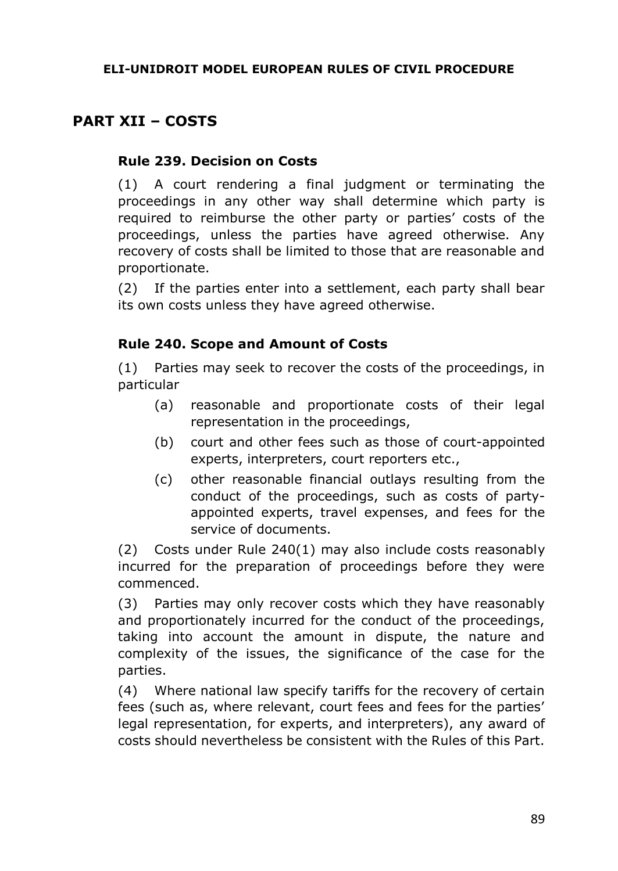# **PART XII – COSTS**

## **Rule 239. Decision on Costs**

(1) A court rendering a final judgment or terminating the proceedings in any other way shall determine which party is required to reimburse the other party or parties' costs of the proceedings, unless the parties have agreed otherwise. Any recovery of costs shall be limited to those that are reasonable and proportionate.

(2) If the parties enter into a settlement, each party shall bear its own costs unless they have agreed otherwise.

## **Rule 240. Scope and Amount of Costs**

(1) Parties may seek to recover the costs of the proceedings, in particular

- (a) reasonable and proportionate costs of their legal representation in the proceedings,
- (b) court and other fees such as those of court-appointed experts, interpreters, court reporters etc.,
- (c) other reasonable financial outlays resulting from the conduct of the proceedings, such as costs of partyappointed experts, travel expenses, and fees for the service of documents.

(2) Costs under Rule 240(1) may also include costs reasonably incurred for the preparation of proceedings before they were commenced.

(3) Parties may only recover costs which they have reasonably and proportionately incurred for the conduct of the proceedings, taking into account the amount in dispute, the nature and complexity of the issues, the significance of the case for the parties.

(4) Where national law specify tariffs for the recovery of certain fees (such as, where relevant, court fees and fees for the parties' legal representation, for experts, and interpreters), any award of costs should nevertheless be consistent with the Rules of this Part.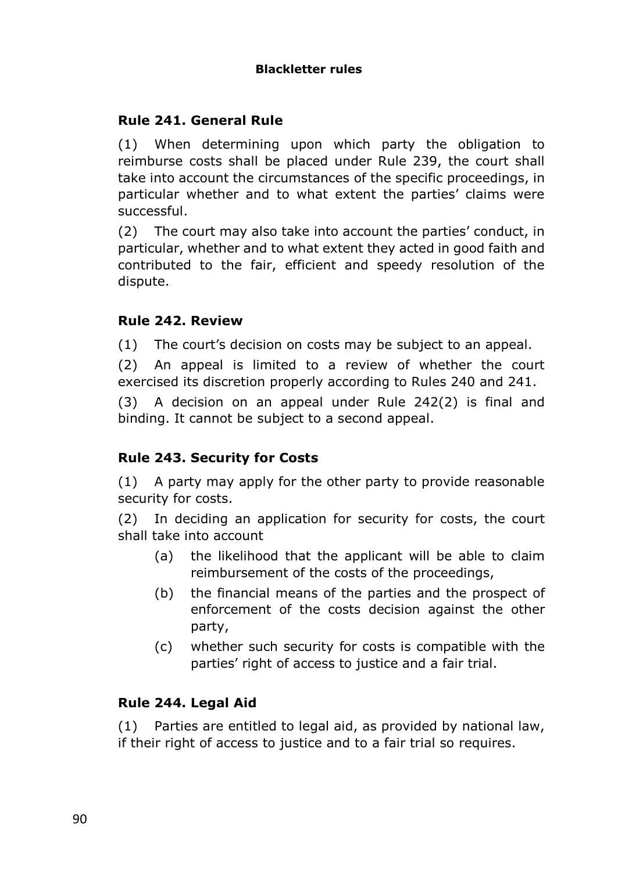## **Rule 241. General Rule**

(1) When determining upon which party the obligation to reimburse costs shall be placed under Rule 239, the court shall take into account the circumstances of the specific proceedings, in particular whether and to what extent the parties' claims were successful.

(2) The court may also take into account the parties' conduct, in particular, whether and to what extent they acted in good faith and contributed to the fair, efficient and speedy resolution of the dispute.

## **Rule 242. Review**

(1) The court's decision on costs may be subject to an appeal.

(2) An appeal is limited to a review of whether the court exercised its discretion properly according to Rules 240 and 241.

(3) A decision on an appeal under Rule 242(2) is final and binding. It cannot be subject to a second appeal.

## **Rule 243. Security for Costs**

(1) A party may apply for the other party to provide reasonable security for costs.

(2) In deciding an application for security for costs, the court shall take into account

- (a) the likelihood that the applicant will be able to claim reimbursement of the costs of the proceedings,
- (b) the financial means of the parties and the prospect of enforcement of the costs decision against the other party,
- (c) whether such security for costs is compatible with the parties' right of access to justice and a fair trial.

## **Rule 244. Legal Aid**

(1) Parties are entitled to legal aid, as provided by national law, if their right of access to justice and to a fair trial so requires.